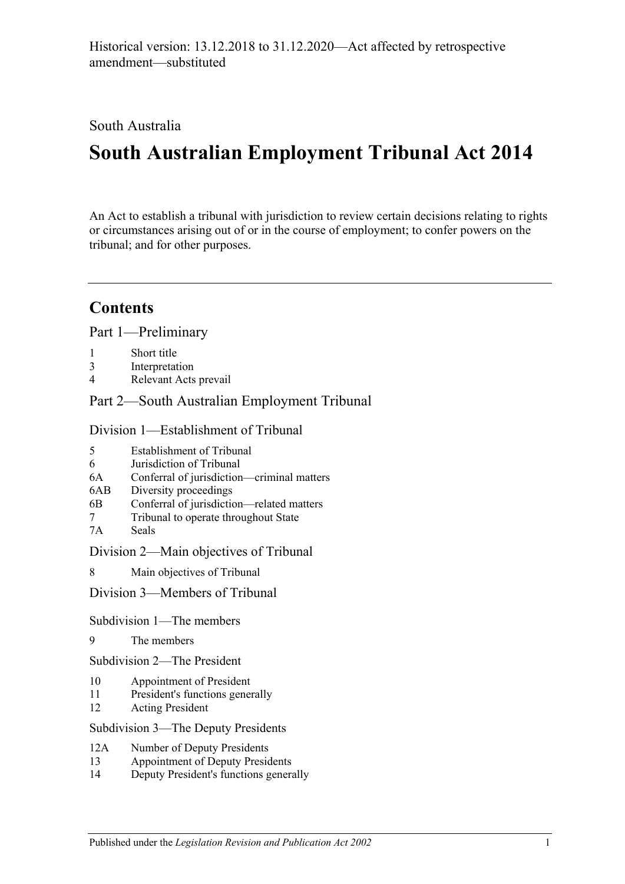South Australia

# **South Australian Employment Tribunal Act 2014**

An Act to establish a tribunal with jurisdiction to review certain decisions relating to rights or circumstances arising out of or in the course of employment; to confer powers on the tribunal; and for other purposes.

# **Contents**

Part [1—Preliminary](#page-4-0)

- 1 [Short title](#page-4-1)
- 3 [Interpretation](#page-4-2)
- 4 [Relevant Acts prevail](#page-5-0)

# Part [2—South Australian Employment Tribunal](#page-6-0)

Division [1—Establishment of Tribunal](#page-6-1)

| 5 | <b>Establishment of Tribunal</b> |  |
|---|----------------------------------|--|
|   |                                  |  |

- 6 [Jurisdiction of Tribunal](#page-6-3)
- 6A [Conferral of jurisdiction—criminal matters](#page-6-4)
- 6AB [Diversity proceedings](#page-7-0)
- 6B [Conferral of jurisdiction—related](#page-9-0) matters
- 7 [Tribunal to operate throughout State](#page-9-1)
- 7A [Seals](#page-9-2)

Division [2—Main objectives of Tribunal](#page-9-3)

8 [Main objectives of Tribunal](#page-9-4)

# Division [3—Members of Tribunal](#page-10-0)

Subdivision [1—The members](#page-10-1)

9 [The members](#page-10-2)

Subdivision [2—The President](#page-10-3)

- 10 [Appointment of President](#page-10-4)
- 11 [President's functions generally](#page-11-0)
- 12 [Acting President](#page-12-0)

Subdivision [3—The Deputy Presidents](#page-12-1)

- 12A [Number of Deputy Presidents](#page-12-2)
- 13 [Appointment of Deputy Presidents](#page-13-0)
- 14 [Deputy President's functions generally](#page-14-0)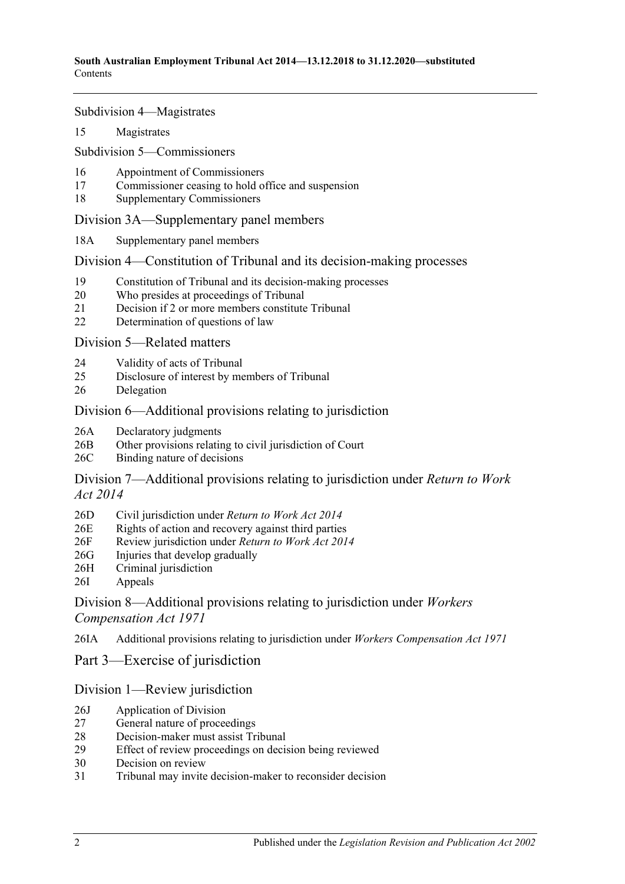Subdivision [4—Magistrates](#page-15-0)

15 [Magistrates](#page-15-1)

Subdivision [5—Commissioners](#page-15-2)

- 16 [Appointment of Commissioners](#page-15-3)
- 17 [Commissioner ceasing to hold office and suspension](#page-16-0)
- 18 [Supplementary Commissioners](#page-17-0)

[Division 3A—Supplementary panel members](#page-17-1)

18A [Supplementary panel members](#page-17-2)

Division [4—Constitution of Tribunal and its decision-making processes](#page-18-0)

- 19 [Constitution of Tribunal and its decision-making processes](#page-18-1)
- 20 [Who presides at proceedings of Tribunal](#page-19-0)
- 21 [Decision if 2 or more members constitute Tribunal](#page-20-0)
- 22 [Determination of questions of law](#page-20-1)

Division [5—Related matters](#page-20-2)

- 24 [Validity of acts of Tribunal](#page-20-3)
- 25 [Disclosure of interest by members of Tribunal](#page-20-4)
- 26 [Delegation](#page-21-0)

#### [Division 6—Additional provisions relating to jurisdiction](#page-21-1)

- 26A [Declaratory judgments](#page-21-2)
- 26B [Other provisions relating to civil jurisdiction of Court](#page-21-3)
- 26C [Binding nature of decisions](#page-21-4)

[Division 7—Additional provisions relating to jurisdiction under](#page-21-5) *Return to Work Act [2014](#page-21-5)*

- 26D [Civil jurisdiction under](#page-21-6) *Return to Work Act 2014*
- 26E [Rights of action and recovery against third parties](#page-22-0)
- 26F [Review jurisdiction under](#page-22-1) *Return to Work Act 2014*
- 26G [Injuries that develop gradually](#page-22-2)
- 26H [Criminal jurisdiction](#page-22-3)
- 26I [Appeals](#page-23-0)

[Division 8—Additional provisions relating to jurisdiction under](#page-23-1) *Workers [Compensation Act 1971](#page-23-1)*

26IA [Additional provisions relating to jurisdiction under](#page-23-2) *Workers Compensation Act 1971*

Part [3—Exercise of jurisdiction](#page-24-0)

#### [Division 1—Review jurisdiction](#page-24-1)

- 26J [Application of Division](#page-24-2)
- 27 [General nature of proceedings](#page-24-3)
- 28 [Decision-maker must assist Tribunal](#page-24-4)
- 29 [Effect of review proceedings on decision being reviewed](#page-25-0)
- 30 [Decision on review](#page-26-0)
- 31 [Tribunal may invite decision-maker to reconsider decision](#page-26-1)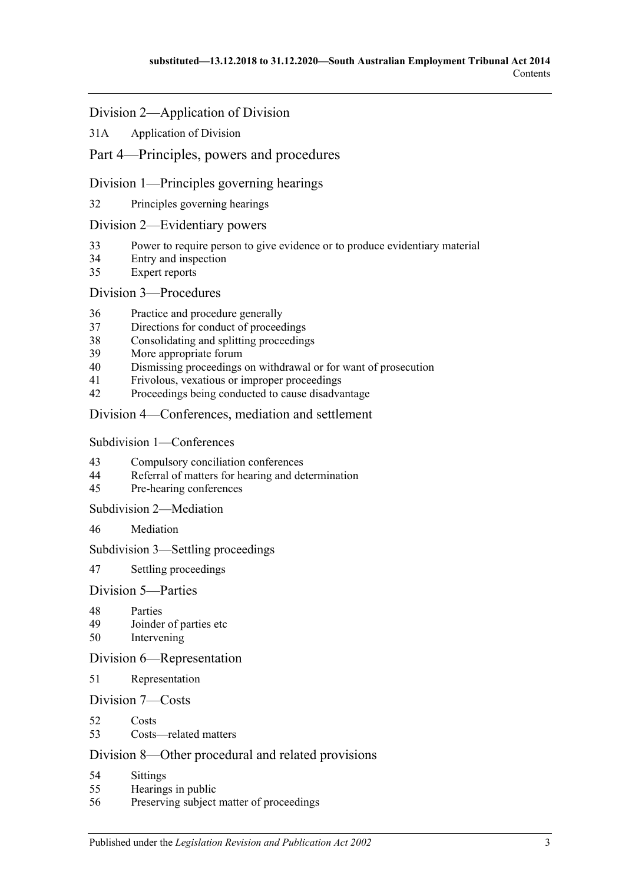#### [Division 2—Application of Division](#page-27-0)

31A [Application of Division](#page-27-1)

Part [4—Principles, powers and procedures](#page-27-2)

#### Division [1—Principles governing hearings](#page-27-3)

32 [Principles governing hearings](#page-27-4)

#### Division [2—Evidentiary powers](#page-28-0)

- 33 [Power to require person to give evidence or to produce evidentiary material](#page-28-1)
- 34 [Entry and inspection](#page-29-0)
- 35 [Expert reports](#page-29-1)

#### Division [3—Procedures](#page-29-2)

- 36 [Practice and procedure generally](#page-29-3)
- 37 [Directions for conduct of proceedings](#page-30-0)
- 38 [Consolidating and splitting proceedings](#page-30-1)
- 39 [More appropriate forum](#page-31-0)
- 40 [Dismissing proceedings on withdrawal or for want of prosecution](#page-31-1)
- 41 [Frivolous, vexatious or improper proceedings](#page-31-2)
- 42 [Proceedings being conducted to cause disadvantage](#page-31-3)

#### Division [4—Conferences, mediation and settlement](#page-32-0)

#### Subdivision [1—Conferences](#page-32-1)

- 43 [Compulsory conciliation conferences](#page-32-2)
- 44 [Referral of matters for hearing and determination](#page-34-0)
- 45 [Pre-hearing conferences](#page-34-1)

#### Subdivision [2—Mediation](#page-34-2)

46 [Mediation](#page-34-3)

#### Subdivision [3—Settling proceedings](#page-35-0)

47 [Settling proceedings](#page-35-1)

#### Division [5—Parties](#page-36-0)

- 48 [Parties](#page-36-1)
- 49 [Joinder of parties etc](#page-36-2)
- 50 [Intervening](#page-37-0)

#### Division [6—Representation](#page-37-1)

51 [Representation](#page-37-2)

#### Division [7—Costs](#page-37-3)

- 52 [Costs](#page-37-4)
- 53 [Costs—related matters](#page-37-5)

#### Division [8—Other procedural and related provisions](#page-38-0)

- 54 [Sittings](#page-38-1)<br>55 Hearing
- [Hearings in public](#page-38-2)
- 56 [Preserving subject matter of proceedings](#page-39-0)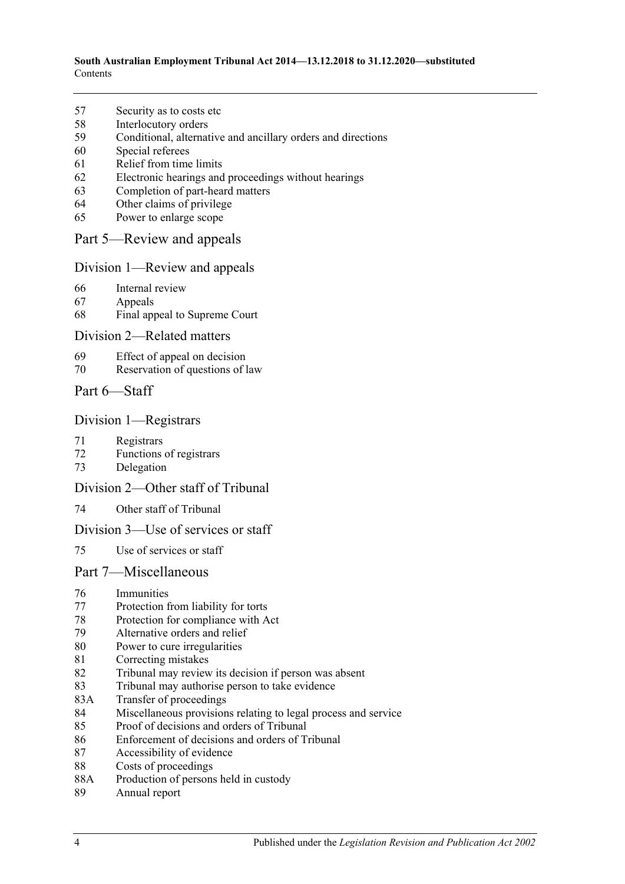#### **South Australian Employment Tribunal Act 2014—13.12.2018 to 31.12.2020—substituted** Contents

- [Security as to costs etc](#page-39-1)
- [Interlocutory orders](#page-40-0)
- [Conditional, alternative and ancillary orders and directions](#page-40-1)
- [Special referees](#page-40-2)
- [Relief from time limits](#page-40-3)
- [Electronic hearings and proceedings without hearings](#page-40-4)
- [Completion of part-heard matters](#page-41-0)
- [Other claims of privilege](#page-41-1)
- [Power to enlarge scope](#page-41-2)
- Part [5—Review and appeals](#page-41-3)

#### Division [1—Review and appeals](#page-41-4)

- [Internal review](#page-41-5)
- [Appeals](#page-42-0)
- [Final appeal to Supreme Court](#page-42-1)

#### Division [2—Related matters](#page-43-0)

- [Effect of appeal on decision](#page-43-1)
- [Reservation of questions of law](#page-43-2)
- Part [6—Staff](#page-43-3)

#### Division [1—Registrars](#page-43-4)

- [Registrars](#page-43-5)
- [Functions of registrars](#page-44-0)
- [Delegation](#page-44-1)

## Division [2—Other staff of Tribunal](#page-45-0)

[Other staff of Tribunal](#page-45-1)

#### Division [3—Use of services or staff](#page-45-2)

[Use of services or staff](#page-45-3)

#### Part [7—Miscellaneous](#page-45-4)

- [Immunities](#page-45-5)
- [Protection from liability for torts](#page-46-0)
- [Protection for compliance with Act](#page-46-1)
- [Alternative orders and relief](#page-46-2)
- [Power to cure irregularities](#page-46-3)
- [Correcting mistakes](#page-46-4)
- [Tribunal may review its decision if person was absent](#page-47-0)
- [Tribunal may authorise person to take evidence](#page-47-1)
- 83A [Transfer of proceedings](#page-48-0)
- [Miscellaneous provisions relating to legal process and service](#page-49-0)
- [Proof of decisions and orders of Tribunal](#page-49-1)
- [Enforcement of decisions and orders of Tribunal](#page-49-2)
- [Accessibility of evidence](#page-50-0)
- [Costs of proceedings](#page-50-1)
- 88A [Production of persons held in custody](#page-51-0)
- [Annual report](#page-51-1)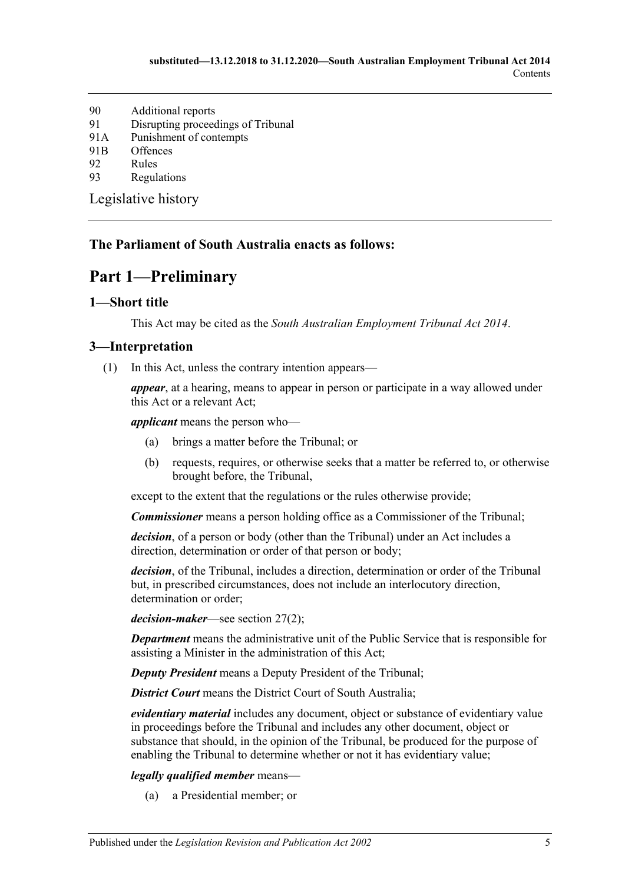- 90 [Additional reports](#page-51-2)
- 91 [Disrupting proceedings of Tribunal](#page-51-3)
- 91A [Punishment of contempts](#page-52-0)
- 91B [Offences](#page-52-1)
- 92 [Rules](#page-52-2)
- 93 [Regulations](#page-53-0)

[Legislative history](#page-55-0)

## <span id="page-4-0"></span>**The Parliament of South Australia enacts as follows:**

# **Part 1—Preliminary**

## <span id="page-4-1"></span>**1—Short title**

This Act may be cited as the *South Australian Employment Tribunal Act 2014*.

## <span id="page-4-2"></span>**3—Interpretation**

(1) In this Act, unless the contrary intention appears—

*appear*, at a hearing, means to appear in person or participate in a way allowed under this Act or a relevant Act;

*applicant* means the person who—

- (a) brings a matter before the Tribunal; or
- (b) requests, requires, or otherwise seeks that a matter be referred to, or otherwise brought before, the Tribunal,

except to the extent that the regulations or the rules otherwise provide;

*Commissioner* means a person holding office as a Commissioner of the Tribunal;

*decision*, of a person or body (other than the Tribunal) under an Act includes a direction, determination or order of that person or body;

*decision*, of the Tribunal, includes a direction, determination or order of the Tribunal but, in prescribed circumstances, does not include an interlocutory direction, determination or order;

*decision-maker*—see [section](#page-24-5) 27(2);

*Department* means the administrative unit of the Public Service that is responsible for assisting a Minister in the administration of this Act;

*Deputy President* means a Deputy President of the Tribunal;

*District Court* means the District Court of South Australia;

*evidentiary material* includes any document, object or substance of evidentiary value in proceedings before the Tribunal and includes any other document, object or substance that should, in the opinion of the Tribunal, be produced for the purpose of enabling the Tribunal to determine whether or not it has evidentiary value;

#### *legally qualified member* means—

(a) a Presidential member; or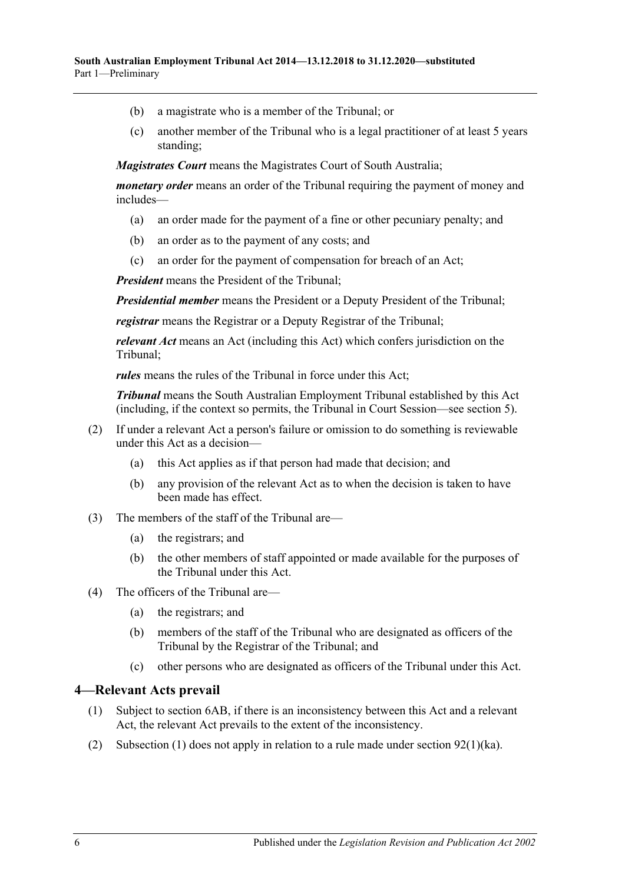- (b) a magistrate who is a member of the Tribunal; or
- (c) another member of the Tribunal who is a legal practitioner of at least 5 years standing;

*Magistrates Court* means the Magistrates Court of South Australia;

*monetary order* means an order of the Tribunal requiring the payment of money and includes—

- (a) an order made for the payment of a fine or other pecuniary penalty; and
- (b) an order as to the payment of any costs; and
- (c) an order for the payment of compensation for breach of an Act;

*President* means the President of the Tribunal;

*Presidential member* means the President or a Deputy President of the Tribunal;

*registrar* means the Registrar or a Deputy Registrar of the Tribunal;

*relevant Act* means an Act (including this Act) which confers jurisdiction on the Tribunal;

*rules* means the rules of the Tribunal in force under this Act;

*Tribunal* means the South Australian Employment Tribunal established by this Act (including, if the context so permits, the Tribunal in Court Session—see [section](#page-6-2) 5).

- (2) If under a relevant Act a person's failure or omission to do something is reviewable under this Act as a decision—
	- (a) this Act applies as if that person had made that decision; and
	- (b) any provision of the relevant Act as to when the decision is taken to have been made has effect.
- (3) The members of the staff of the Tribunal are—
	- (a) the registrars; and
	- (b) the other members of staff appointed or made available for the purposes of the Tribunal under this Act.
- (4) The officers of the Tribunal are—
	- (a) the registrars; and
	- (b) members of the staff of the Tribunal who are designated as officers of the Tribunal by the Registrar of the Tribunal; and
	- (c) other persons who are designated as officers of the Tribunal under this Act.

#### <span id="page-5-1"></span><span id="page-5-0"></span>**4—Relevant Acts prevail**

- (1) Subject to [section](#page-7-0) 6AB, if there is an inconsistency between this Act and a relevant Act, the relevant Act prevails to the extent of the inconsistency.
- (2) [Subsection](#page-5-1) (1) does not apply in relation to a rule made under section  $92(1)(ka)$ .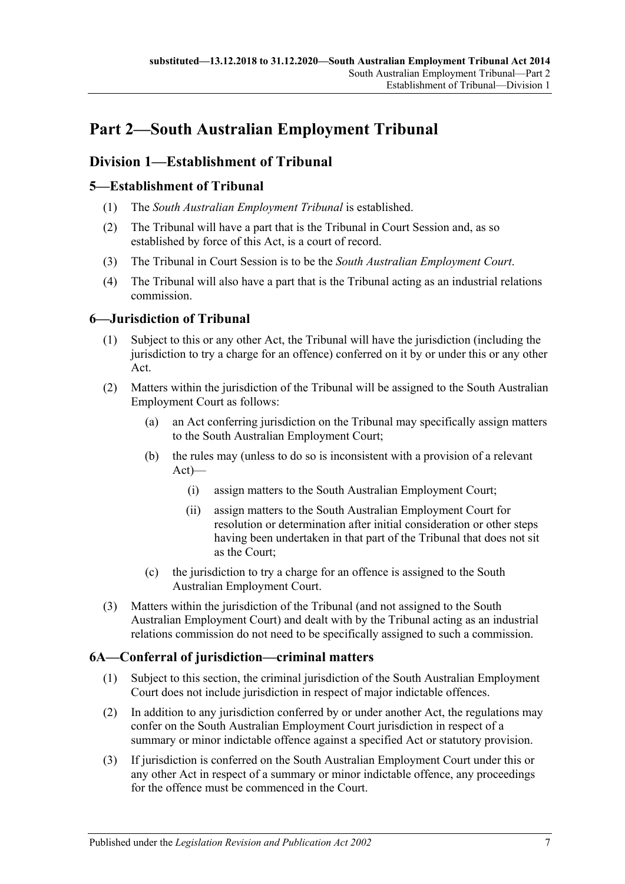# <span id="page-6-0"></span>**Part 2—South Australian Employment Tribunal**

# <span id="page-6-1"></span>**Division 1—Establishment of Tribunal**

# <span id="page-6-2"></span>**5—Establishment of Tribunal**

- (1) The *South Australian Employment Tribunal* is established.
- (2) The Tribunal will have a part that is the Tribunal in Court Session and, as so established by force of this Act, is a court of record.
- (3) The Tribunal in Court Session is to be the *South Australian Employment Court*.
- (4) The Tribunal will also have a part that is the Tribunal acting as an industrial relations commission.

# <span id="page-6-3"></span>**6—Jurisdiction of Tribunal**

- (1) Subject to this or any other Act, the Tribunal will have the jurisdiction (including the jurisdiction to try a charge for an offence) conferred on it by or under this or any other Act.
- (2) Matters within the jurisdiction of the Tribunal will be assigned to the South Australian Employment Court as follows:
	- (a) an Act conferring jurisdiction on the Tribunal may specifically assign matters to the South Australian Employment Court;
	- (b) the rules may (unless to do so is inconsistent with a provision of a relevant Act)—
		- (i) assign matters to the South Australian Employment Court;
		- (ii) assign matters to the South Australian Employment Court for resolution or determination after initial consideration or other steps having been undertaken in that part of the Tribunal that does not sit as the Court;
	- (c) the jurisdiction to try a charge for an offence is assigned to the South Australian Employment Court.
- (3) Matters within the jurisdiction of the Tribunal (and not assigned to the South Australian Employment Court) and dealt with by the Tribunal acting as an industrial relations commission do not need to be specifically assigned to such a commission.

# <span id="page-6-4"></span>**6A—Conferral of jurisdiction—criminal matters**

- (1) Subject to this section, the criminal jurisdiction of the South Australian Employment Court does not include jurisdiction in respect of major indictable offences.
- (2) In addition to any jurisdiction conferred by or under another Act, the regulations may confer on the South Australian Employment Court jurisdiction in respect of a summary or minor indictable offence against a specified Act or statutory provision.
- (3) If jurisdiction is conferred on the South Australian Employment Court under this or any other Act in respect of a summary or minor indictable offence, any proceedings for the offence must be commenced in the Court.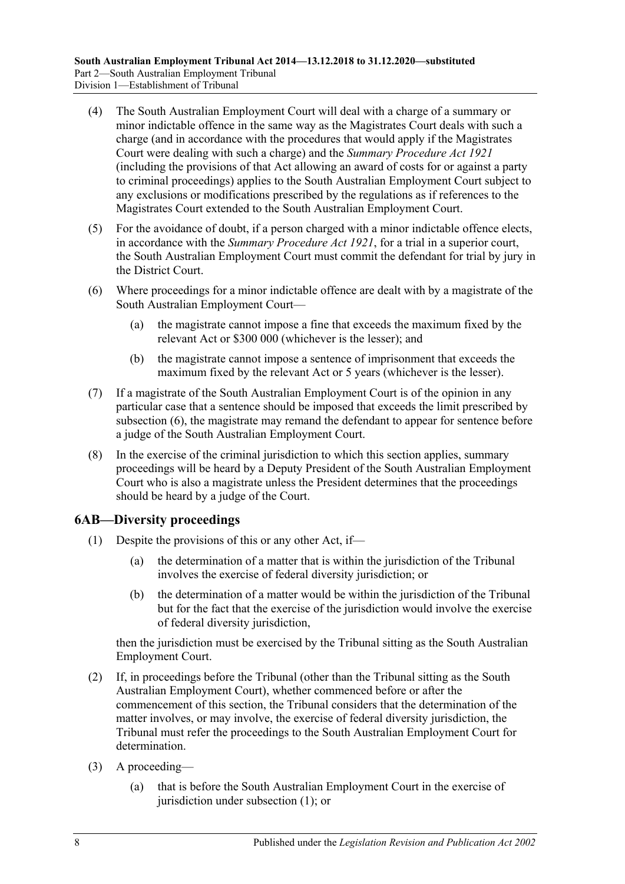- (4) The South Australian Employment Court will deal with a charge of a summary or minor indictable offence in the same way as the Magistrates Court deals with such a charge (and in accordance with the procedures that would apply if the Magistrates Court were dealing with such a charge) and the *[Summary Procedure Act](http://www.legislation.sa.gov.au/index.aspx?action=legref&type=act&legtitle=Summary%20Procedure%20Act%201921) 1921* (including the provisions of that Act allowing an award of costs for or against a party to criminal proceedings) applies to the South Australian Employment Court subject to any exclusions or modifications prescribed by the regulations as if references to the Magistrates Court extended to the South Australian Employment Court.
- (5) For the avoidance of doubt, if a person charged with a minor indictable offence elects, in accordance with the *[Summary Procedure Act](http://www.legislation.sa.gov.au/index.aspx?action=legref&type=act&legtitle=Summary%20Procedure%20Act%201921) 1921*, for a trial in a superior court, the South Australian Employment Court must commit the defendant for trial by jury in the District Court.
- <span id="page-7-1"></span>(6) Where proceedings for a minor indictable offence are dealt with by a magistrate of the South Australian Employment Court—
	- (a) the magistrate cannot impose a fine that exceeds the maximum fixed by the relevant Act or \$300 000 (whichever is the lesser); and
	- (b) the magistrate cannot impose a sentence of imprisonment that exceeds the maximum fixed by the relevant Act or 5 years (whichever is the lesser).
- (7) If a magistrate of the South Australian Employment Court is of the opinion in any particular case that a sentence should be imposed that exceeds the limit prescribed by [subsection](#page-7-1) (6), the magistrate may remand the defendant to appear for sentence before a judge of the South Australian Employment Court.
- (8) In the exercise of the criminal jurisdiction to which this section applies, summary proceedings will be heard by a Deputy President of the South Australian Employment Court who is also a magistrate unless the President determines that the proceedings should be heard by a judge of the Court.

## <span id="page-7-2"></span><span id="page-7-0"></span>**6AB—Diversity proceedings**

- (1) Despite the provisions of this or any other Act, if—
	- (a) the determination of a matter that is within the jurisdiction of the Tribunal involves the exercise of federal diversity jurisdiction; or
	- (b) the determination of a matter would be within the jurisdiction of the Tribunal but for the fact that the exercise of the jurisdiction would involve the exercise of federal diversity jurisdiction,

then the jurisdiction must be exercised by the Tribunal sitting as the South Australian Employment Court.

- <span id="page-7-3"></span>(2) If, in proceedings before the Tribunal (other than the Tribunal sitting as the South Australian Employment Court), whether commenced before or after the commencement of this section, the Tribunal considers that the determination of the matter involves, or may involve, the exercise of federal diversity jurisdiction, the Tribunal must refer the proceedings to the South Australian Employment Court for determination.
- (3) A proceeding—
	- (a) that is before the South Australian Employment Court in the exercise of jurisdiction under [subsection](#page-7-2) (1); or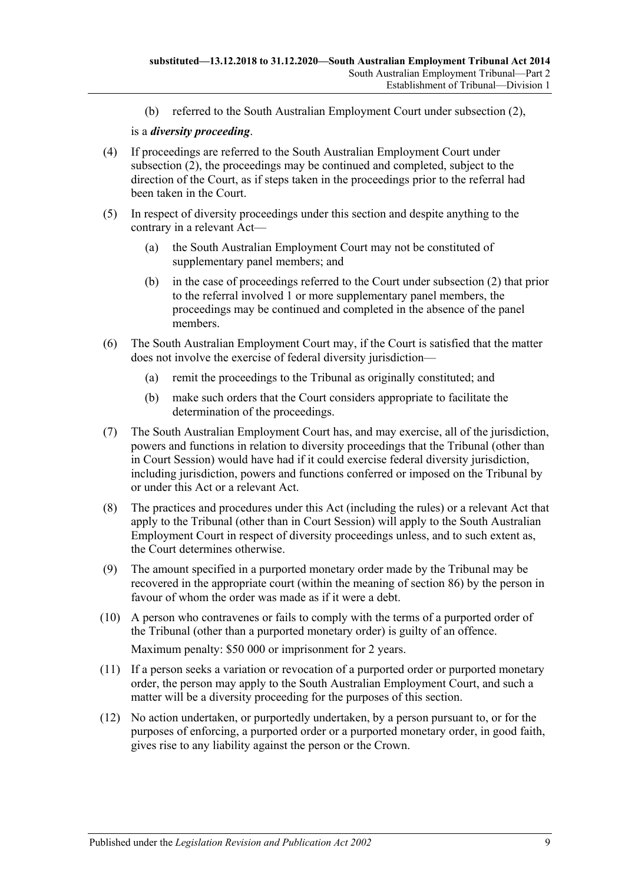(b) referred to the South Australian Employment Court under [subsection](#page-7-3) (2),

#### is a *diversity proceeding*.

- (4) If proceedings are referred to the South Australian Employment Court under [subsection](#page-7-3) (2), the proceedings may be continued and completed, subject to the direction of the Court, as if steps taken in the proceedings prior to the referral had been taken in the Court.
- (5) In respect of diversity proceedings under this section and despite anything to the contrary in a relevant Act—
	- (a) the South Australian Employment Court may not be constituted of supplementary panel members; and
	- (b) in the case of proceedings referred to the Court under [subsection](#page-7-3) (2) that prior to the referral involved 1 or more supplementary panel members, the proceedings may be continued and completed in the absence of the panel members.
- (6) The South Australian Employment Court may, if the Court is satisfied that the matter does not involve the exercise of federal diversity jurisdiction—
	- (a) remit the proceedings to the Tribunal as originally constituted; and
	- (b) make such orders that the Court considers appropriate to facilitate the determination of the proceedings.
- (7) The South Australian Employment Court has, and may exercise, all of the jurisdiction, powers and functions in relation to diversity proceedings that the Tribunal (other than in Court Session) would have had if it could exercise federal diversity jurisdiction, including jurisdiction, powers and functions conferred or imposed on the Tribunal by or under this Act or a relevant Act.
- (8) The practices and procedures under this Act (including the rules) or a relevant Act that apply to the Tribunal (other than in Court Session) will apply to the South Australian Employment Court in respect of diversity proceedings unless, and to such extent as, the Court determines otherwise.
- (9) The amount specified in a purported monetary order made by the Tribunal may be recovered in the appropriate court (within the meaning of [section](#page-49-2) 86) by the person in favour of whom the order was made as if it were a debt.
- (10) A person who contravenes or fails to comply with the terms of a purported order of the Tribunal (other than a purported monetary order) is guilty of an offence. Maximum penalty: \$50 000 or imprisonment for 2 years.
- (11) If a person seeks a variation or revocation of a purported order or purported monetary order, the person may apply to the South Australian Employment Court, and such a matter will be a diversity proceeding for the purposes of this section.
- (12) No action undertaken, or purportedly undertaken, by a person pursuant to, or for the purposes of enforcing, a purported order or a purported monetary order, in good faith, gives rise to any liability against the person or the Crown.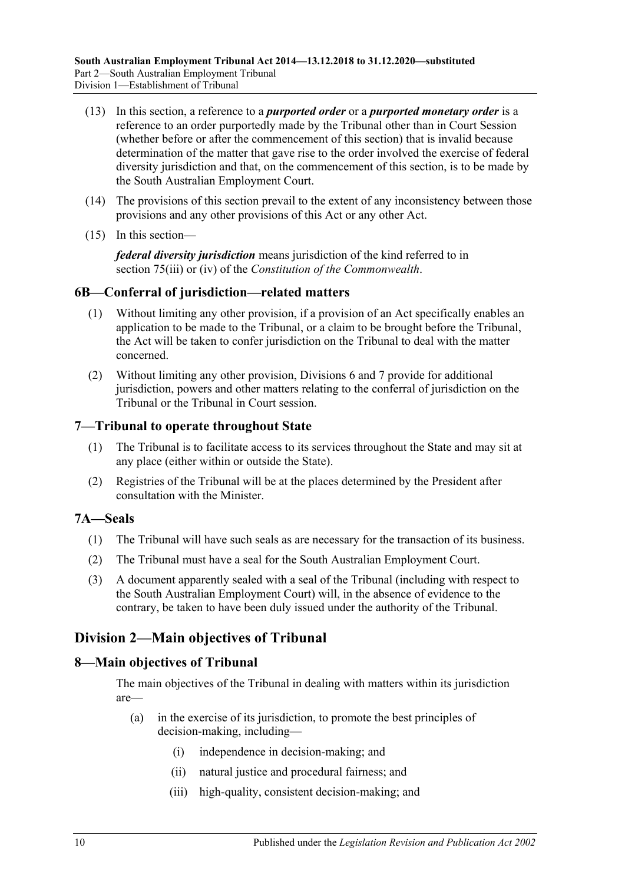- (13) In this section, a reference to a *purported order* or a *purported monetary order* is a reference to an order purportedly made by the Tribunal other than in Court Session (whether before or after the commencement of this section) that is invalid because determination of the matter that gave rise to the order involved the exercise of federal diversity jurisdiction and that, on the commencement of this section, is to be made by the South Australian Employment Court.
- (14) The provisions of this section prevail to the extent of any inconsistency between those provisions and any other provisions of this Act or any other Act.
- (15) In this section—

*federal diversity jurisdiction* means jurisdiction of the kind referred to in section 75(iii) or (iv) of the *Constitution of the Commonwealth*.

## <span id="page-9-0"></span>**6B—Conferral of jurisdiction—related matters**

- (1) Without limiting any other provision, if a provision of an Act specifically enables an application to be made to the Tribunal, or a claim to be brought before the Tribunal, the Act will be taken to confer jurisdiction on the Tribunal to deal with the matter concerned.
- (2) Without limiting any other provision, [Divisions 6](#page-21-1) and [7](#page-21-5) provide for additional jurisdiction, powers and other matters relating to the conferral of jurisdiction on the Tribunal or the Tribunal in Court session.

#### <span id="page-9-1"></span>**7—Tribunal to operate throughout State**

- (1) The Tribunal is to facilitate access to its services throughout the State and may sit at any place (either within or outside the State).
- (2) Registries of the Tribunal will be at the places determined by the President after consultation with the Minister.

## <span id="page-9-2"></span>**7A—Seals**

- (1) The Tribunal will have such seals as are necessary for the transaction of its business.
- (2) The Tribunal must have a seal for the South Australian Employment Court.
- (3) A document apparently sealed with a seal of the Tribunal (including with respect to the South Australian Employment Court) will, in the absence of evidence to the contrary, be taken to have been duly issued under the authority of the Tribunal.

# <span id="page-9-3"></span>**Division 2—Main objectives of Tribunal**

#### <span id="page-9-4"></span>**8—Main objectives of Tribunal**

The main objectives of the Tribunal in dealing with matters within its jurisdiction are—

- (a) in the exercise of its jurisdiction, to promote the best principles of decision-making, including—
	- (i) independence in decision-making; and
	- (ii) natural justice and procedural fairness; and
	- (iii) high-quality, consistent decision-making; and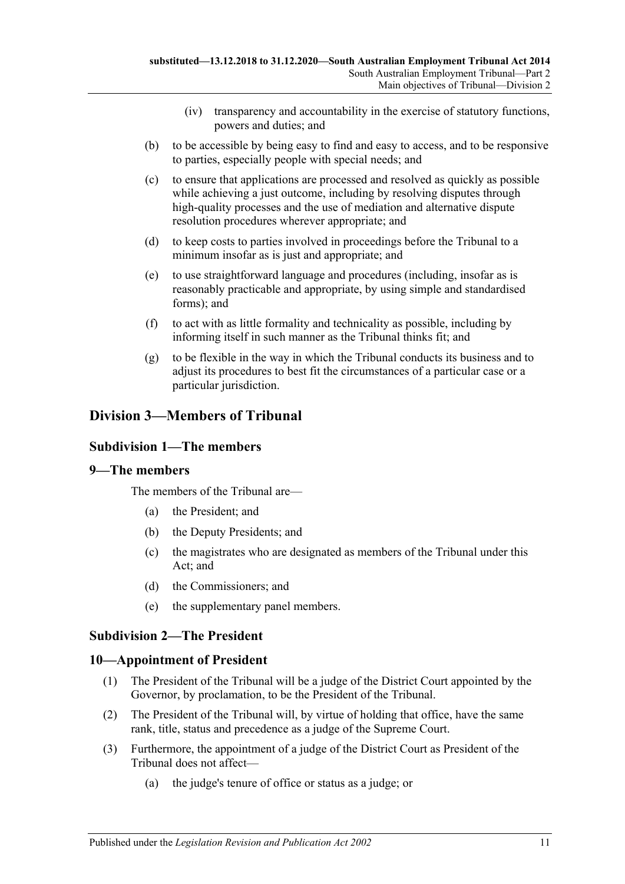- (iv) transparency and accountability in the exercise of statutory functions, powers and duties; and
- (b) to be accessible by being easy to find and easy to access, and to be responsive to parties, especially people with special needs; and
- (c) to ensure that applications are processed and resolved as quickly as possible while achieving a just outcome, including by resolving disputes through high-quality processes and the use of mediation and alternative dispute resolution procedures wherever appropriate; and
- (d) to keep costs to parties involved in proceedings before the Tribunal to a minimum insofar as is just and appropriate; and
- (e) to use straightforward language and procedures (including, insofar as is reasonably practicable and appropriate, by using simple and standardised forms); and
- (f) to act with as little formality and technicality as possible, including by informing itself in such manner as the Tribunal thinks fit; and
- (g) to be flexible in the way in which the Tribunal conducts its business and to adjust its procedures to best fit the circumstances of a particular case or a particular jurisdiction.

# <span id="page-10-1"></span><span id="page-10-0"></span>**Division 3—Members of Tribunal**

# **Subdivision 1—The members**

## <span id="page-10-2"></span>**9—The members**

The members of the Tribunal are—

- (a) the President; and
- (b) the Deputy Presidents; and
- (c) the magistrates who are designated as members of the Tribunal under this Act; and
- (d) the Commissioners; and
- (e) the supplementary panel members.

## <span id="page-10-3"></span>**Subdivision 2—The President**

## <span id="page-10-4"></span>**10—Appointment of President**

- (1) The President of the Tribunal will be a judge of the District Court appointed by the Governor, by proclamation, to be the President of the Tribunal.
- (2) The President of the Tribunal will, by virtue of holding that office, have the same rank, title, status and precedence as a judge of the Supreme Court.
- <span id="page-10-5"></span>(3) Furthermore, the appointment of a judge of the District Court as President of the Tribunal does not affect—
	- (a) the judge's tenure of office or status as a judge; or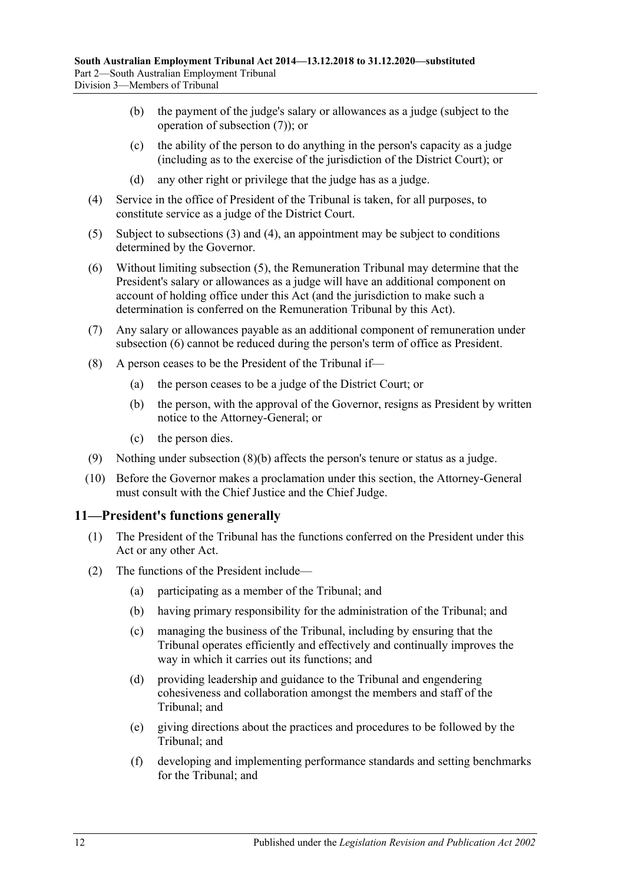- (b) the payment of the judge's salary or allowances as a judge (subject to the operation of [subsection](#page-11-1) (7)); or
- (c) the ability of the person to do anything in the person's capacity as a judge (including as to the exercise of the jurisdiction of the District Court); or
- (d) any other right or privilege that the judge has as a judge.
- <span id="page-11-2"></span>(4) Service in the office of President of the Tribunal is taken, for all purposes, to constitute service as a judge of the District Court.
- <span id="page-11-3"></span>(5) Subject to [subsections](#page-10-5) (3) and [\(4\),](#page-11-2) an appointment may be subject to conditions determined by the Governor.
- <span id="page-11-4"></span>(6) Without limiting [subsection](#page-11-3) (5), the Remuneration Tribunal may determine that the President's salary or allowances as a judge will have an additional component on account of holding office under this Act (and the jurisdiction to make such a determination is conferred on the Remuneration Tribunal by this Act).
- <span id="page-11-1"></span>(7) Any salary or allowances payable as an additional component of remuneration under [subsection](#page-11-4) (6) cannot be reduced during the person's term of office as President.
- <span id="page-11-5"></span>(8) A person ceases to be the President of the Tribunal if—
	- (a) the person ceases to be a judge of the District Court; or
	- (b) the person, with the approval of the Governor, resigns as President by written notice to the Attorney-General; or
	- (c) the person dies.
- (9) Nothing under [subsection](#page-11-5) (8)(b) affects the person's tenure or status as a judge.
- (10) Before the Governor makes a proclamation under this section, the Attorney-General must consult with the Chief Justice and the Chief Judge.

#### <span id="page-11-0"></span>**11—President's functions generally**

- (1) The President of the Tribunal has the functions conferred on the President under this Act or any other Act.
- (2) The functions of the President include—
	- (a) participating as a member of the Tribunal; and
	- (b) having primary responsibility for the administration of the Tribunal; and
	- (c) managing the business of the Tribunal, including by ensuring that the Tribunal operates efficiently and effectively and continually improves the way in which it carries out its functions; and
	- (d) providing leadership and guidance to the Tribunal and engendering cohesiveness and collaboration amongst the members and staff of the Tribunal; and
	- (e) giving directions about the practices and procedures to be followed by the Tribunal; and
	- (f) developing and implementing performance standards and setting benchmarks for the Tribunal; and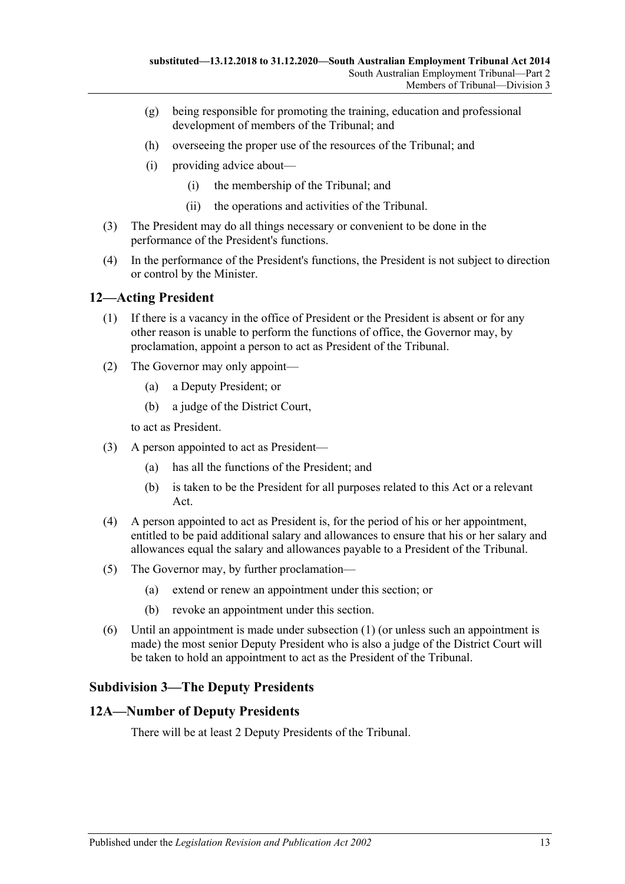- (g) being responsible for promoting the training, education and professional development of members of the Tribunal; and
- (h) overseeing the proper use of the resources of the Tribunal; and
- (i) providing advice about—
	- (i) the membership of the Tribunal; and
	- (ii) the operations and activities of the Tribunal.
- (3) The President may do all things necessary or convenient to be done in the performance of the President's functions.
- (4) In the performance of the President's functions, the President is not subject to direction or control by the Minister.

## <span id="page-12-3"></span><span id="page-12-0"></span>**12—Acting President**

- (1) If there is a vacancy in the office of President or the President is absent or for any other reason is unable to perform the functions of office, the Governor may, by proclamation, appoint a person to act as President of the Tribunal.
- (2) The Governor may only appoint—
	- (a) a Deputy President; or
	- (b) a judge of the District Court,

to act as President.

- (3) A person appointed to act as President—
	- (a) has all the functions of the President; and
	- (b) is taken to be the President for all purposes related to this Act or a relevant Act.
- (4) A person appointed to act as President is, for the period of his or her appointment, entitled to be paid additional salary and allowances to ensure that his or her salary and allowances equal the salary and allowances payable to a President of the Tribunal.
- (5) The Governor may, by further proclamation—
	- (a) extend or renew an appointment under this section; or
	- (b) revoke an appointment under this section.
- (6) Until an appointment is made under [subsection](#page-12-3) (1) (or unless such an appointment is made) the most senior Deputy President who is also a judge of the District Court will be taken to hold an appointment to act as the President of the Tribunal.

## <span id="page-12-1"></span>**Subdivision 3—The Deputy Presidents**

## <span id="page-12-2"></span>**12A—Number of Deputy Presidents**

There will be at least 2 Deputy Presidents of the Tribunal.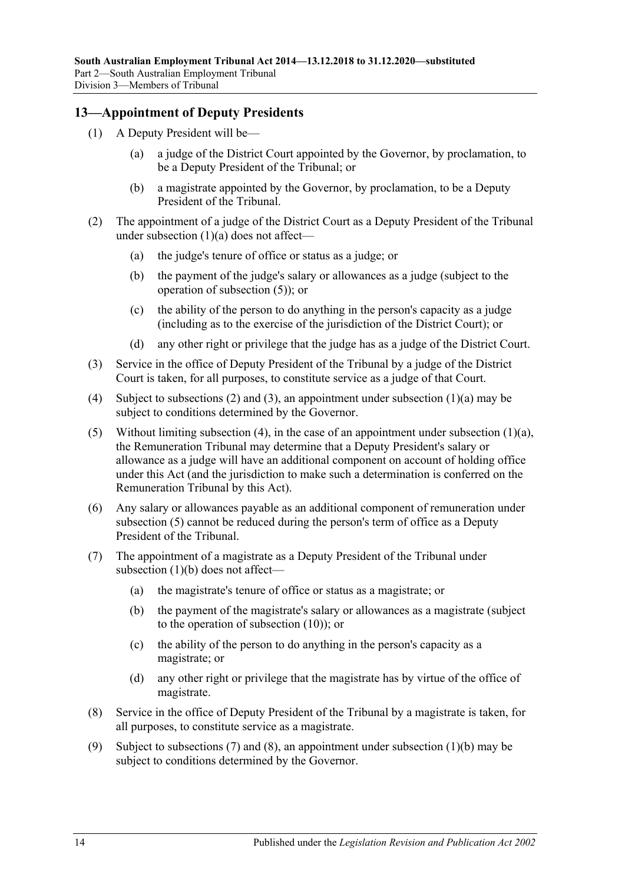## <span id="page-13-0"></span>**13—Appointment of Deputy Presidents**

- <span id="page-13-1"></span>(1) A Deputy President will be—
	- (a) a judge of the District Court appointed by the Governor, by proclamation, to be a Deputy President of the Tribunal; or
	- (b) a magistrate appointed by the Governor, by proclamation, to be a Deputy President of the Tribunal.
- <span id="page-13-6"></span><span id="page-13-3"></span>(2) The appointment of a judge of the District Court as a Deputy President of the Tribunal under [subsection](#page-13-1) (1)(a) does not affect—
	- (a) the judge's tenure of office or status as a judge; or
	- (b) the payment of the judge's salary or allowances as a judge (subject to the operation of [subsection](#page-13-2) (5)); or
	- (c) the ability of the person to do anything in the person's capacity as a judge (including as to the exercise of the jurisdiction of the District Court); or
	- (d) any other right or privilege that the judge has as a judge of the District Court.
- <span id="page-13-4"></span>(3) Service in the office of Deputy President of the Tribunal by a judge of the District Court is taken, for all purposes, to constitute service as a judge of that Court.
- <span id="page-13-5"></span>(4) Subject to [subsections \(2\)](#page-13-3) and [\(3\),](#page-13-4) an appointment under [subsection](#page-13-1) (1)(a) may be subject to conditions determined by the Governor.
- <span id="page-13-2"></span>(5) Without limiting [subsection](#page-13-1) (4), in the case of an appointment under subsection  $(1)(a)$ , the Remuneration Tribunal may determine that a Deputy President's salary or allowance as a judge will have an additional component on account of holding office under this Act (and the jurisdiction to make such a determination is conferred on the Remuneration Tribunal by this Act).
- (6) Any salary or allowances payable as an additional component of remuneration under [subsection](#page-13-2) (5) cannot be reduced during the person's term of office as a Deputy President of the Tribunal.
- <span id="page-13-7"></span>(7) The appointment of a magistrate as a Deputy President of the Tribunal under [subsection](#page-13-6) (1)(b) does not affect—
	- (a) the magistrate's tenure of office or status as a magistrate; or
	- (b) the payment of the magistrate's salary or allowances as a magistrate (subject to the operation of [subsection](#page-14-1) (10)); or
	- (c) the ability of the person to do anything in the person's capacity as a magistrate; or
	- (d) any other right or privilege that the magistrate has by virtue of the office of magistrate.
- <span id="page-13-8"></span>(8) Service in the office of Deputy President of the Tribunal by a magistrate is taken, for all purposes, to constitute service as a magistrate.
- <span id="page-13-9"></span>(9) Subject to [subsections](#page-13-7) (7) and [\(8\),](#page-13-8) an appointment under [subsection](#page-13-6) (1)(b) may be subject to conditions determined by the Governor.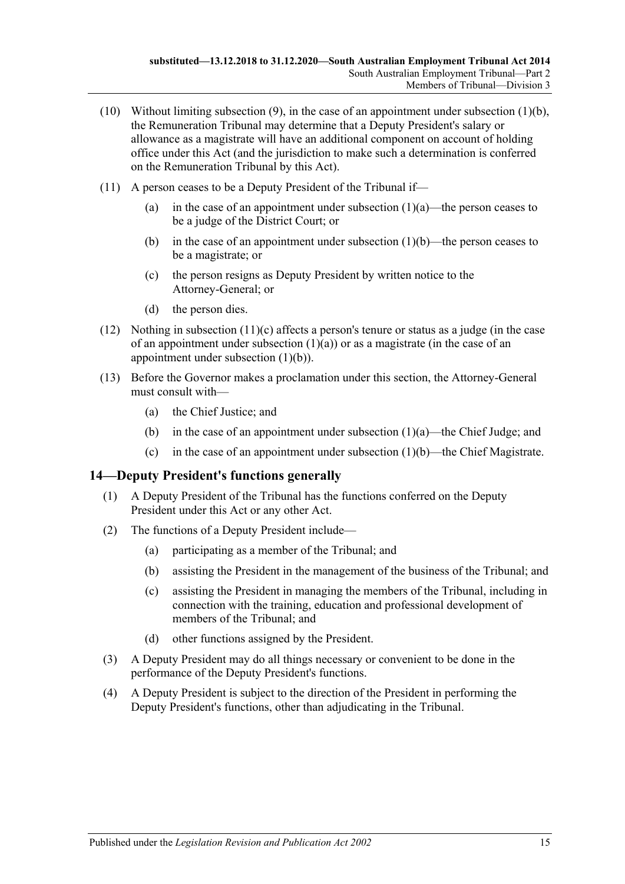- <span id="page-14-1"></span>(10) Without limiting [subsection](#page-13-9) (9), in the case of an appointment under [subsection](#page-13-6) (1)(b), the Remuneration Tribunal may determine that a Deputy President's salary or allowance as a magistrate will have an additional component on account of holding office under this Act (and the jurisdiction to make such a determination is conferred on the Remuneration Tribunal by this Act).
- (11) A person ceases to be a Deputy President of the Tribunal if
	- (a) in the case of an appointment under [subsection](#page-13-1)  $(1)(a)$ —the person ceases to be a judge of the District Court; or
	- (b) in the case of an appointment under [subsection](#page-13-6)  $(1)(b)$ —the person ceases to be a magistrate; or
	- (c) the person resigns as Deputy President by written notice to the Attorney-General; or
	- (d) the person dies.
- <span id="page-14-2"></span>(12) Nothing in [subsection](#page-14-2)  $(11)(c)$  affects a person's tenure or status as a judge (in the case of an appointment under [subsection](#page-13-1)  $(1)(a)$  or as a magistrate (in the case of an appointment under [subsection](#page-13-6) (1)(b)).
- (13) Before the Governor makes a proclamation under this section, the Attorney-General must consult with—
	- (a) the Chief Justice; and
	- (b) in the case of an appointment under [subsection](#page-13-1)  $(1)(a)$ —the Chief Judge; and
	- (c) in the case of an appointment under [subsection](#page-13-6)  $(1)(b)$ —the Chief Magistrate.

## <span id="page-14-0"></span>**14—Deputy President's functions generally**

- (1) A Deputy President of the Tribunal has the functions conferred on the Deputy President under this Act or any other Act.
- (2) The functions of a Deputy President include—
	- (a) participating as a member of the Tribunal; and
	- (b) assisting the President in the management of the business of the Tribunal; and
	- (c) assisting the President in managing the members of the Tribunal, including in connection with the training, education and professional development of members of the Tribunal; and
	- (d) other functions assigned by the President.
- (3) A Deputy President may do all things necessary or convenient to be done in the performance of the Deputy President's functions.
- (4) A Deputy President is subject to the direction of the President in performing the Deputy President's functions, other than adjudicating in the Tribunal.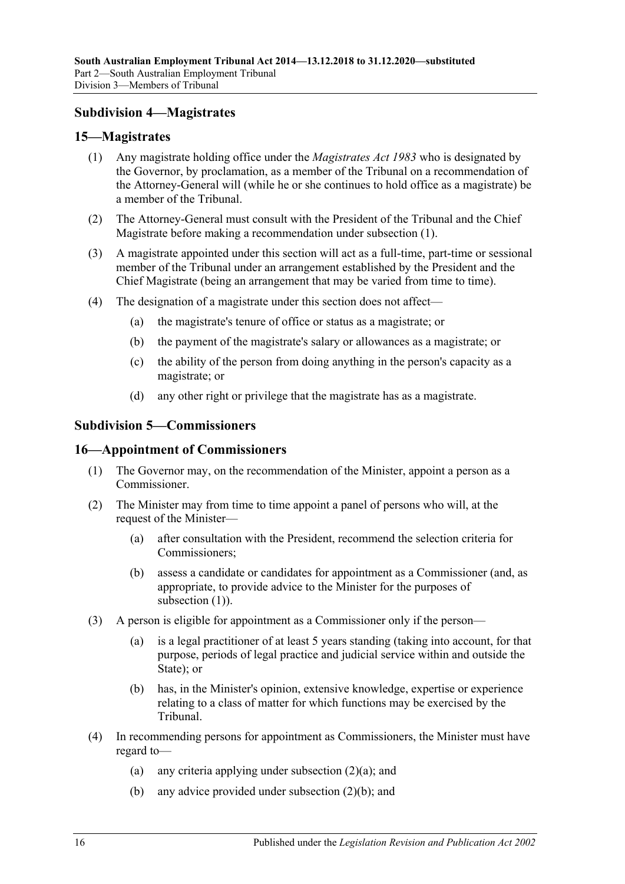## <span id="page-15-0"></span>**Subdivision 4—Magistrates**

#### <span id="page-15-4"></span><span id="page-15-1"></span>**15—Magistrates**

- (1) Any magistrate holding office under the *[Magistrates Act](http://www.legislation.sa.gov.au/index.aspx?action=legref&type=act&legtitle=Magistrates%20Act%201983) 1983* who is designated by the Governor, by proclamation, as a member of the Tribunal on a recommendation of the Attorney-General will (while he or she continues to hold office as a magistrate) be a member of the Tribunal.
- (2) The Attorney-General must consult with the President of the Tribunal and the Chief Magistrate before making a recommendation under [subsection](#page-15-4) (1).
- (3) A magistrate appointed under this section will act as a full-time, part-time or sessional member of the Tribunal under an arrangement established by the President and the Chief Magistrate (being an arrangement that may be varied from time to time).
- (4) The designation of a magistrate under this section does not affect—
	- (a) the magistrate's tenure of office or status as a magistrate; or
	- (b) the payment of the magistrate's salary or allowances as a magistrate; or
	- (c) the ability of the person from doing anything in the person's capacity as a magistrate; or
	- (d) any other right or privilege that the magistrate has as a magistrate.

## <span id="page-15-2"></span>**Subdivision 5—Commissioners**

#### <span id="page-15-5"></span><span id="page-15-3"></span>**16—Appointment of Commissioners**

- (1) The Governor may, on the recommendation of the Minister, appoint a person as a Commissioner.
- <span id="page-15-8"></span><span id="page-15-6"></span>(2) The Minister may from time to time appoint a panel of persons who will, at the request of the Minister—
	- (a) after consultation with the President, recommend the selection criteria for Commissioners;
	- (b) assess a candidate or candidates for appointment as a Commissioner (and, as appropriate, to provide advice to the Minister for the purposes of [subsection](#page-15-5) (1)).
- <span id="page-15-7"></span>(3) A person is eligible for appointment as a Commissioner only if the person—
	- (a) is a legal practitioner of at least 5 years standing (taking into account, for that purpose, periods of legal practice and judicial service within and outside the State); or
	- (b) has, in the Minister's opinion, extensive knowledge, expertise or experience relating to a class of matter for which functions may be exercised by the Tribunal.
- (4) In recommending persons for appointment as Commissioners, the Minister must have regard to
	- (a) any criteria applying under [subsection](#page-15-6)  $(2)(a)$ ; and
	- (b) any advice provided under [subsection](#page-15-7) (2)(b); and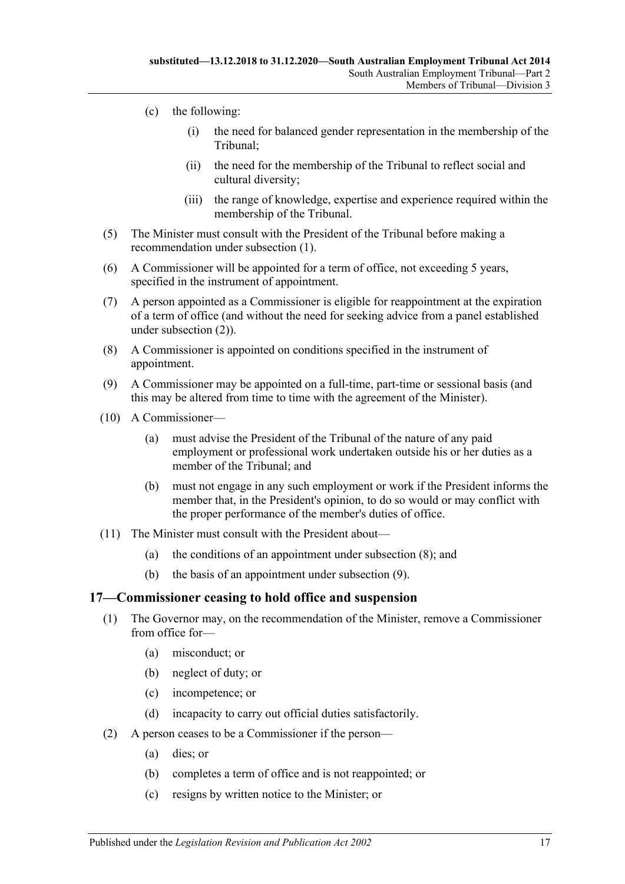- (c) the following:
	- (i) the need for balanced gender representation in the membership of the Tribunal;
	- (ii) the need for the membership of the Tribunal to reflect social and cultural diversity;
	- (iii) the range of knowledge, expertise and experience required within the membership of the Tribunal.
- (5) The Minister must consult with the President of the Tribunal before making a recommendation under [subsection](#page-15-5) (1).
- (6) A Commissioner will be appointed for a term of office, not exceeding 5 years, specified in the instrument of appointment.
- (7) A person appointed as a Commissioner is eligible for reappointment at the expiration of a term of office (and without the need for seeking advice from a panel established under [subsection](#page-15-8) (2)).
- <span id="page-16-1"></span>(8) A Commissioner is appointed on conditions specified in the instrument of appointment.
- <span id="page-16-2"></span>(9) A Commissioner may be appointed on a full-time, part-time or sessional basis (and this may be altered from time to time with the agreement of the Minister).
- (10) A Commissioner—
	- (a) must advise the President of the Tribunal of the nature of any paid employment or professional work undertaken outside his or her duties as a member of the Tribunal; and
	- (b) must not engage in any such employment or work if the President informs the member that, in the President's opinion, to do so would or may conflict with the proper performance of the member's duties of office.
- (11) The Minister must consult with the President about—
	- (a) the conditions of an appointment under [subsection](#page-16-1) (8); and
	- (b) the basis of an appointment under [subsection](#page-16-2) (9).

#### <span id="page-16-3"></span><span id="page-16-0"></span>**17—Commissioner ceasing to hold office and suspension**

- (1) The Governor may, on the recommendation of the Minister, remove a Commissioner from office for—
	- (a) misconduct; or
	- (b) neglect of duty; or
	- (c) incompetence; or
	- (d) incapacity to carry out official duties satisfactorily.
- (2) A person ceases to be a Commissioner if the person—
	- (a) dies; or
	- (b) completes a term of office and is not reappointed; or
	- (c) resigns by written notice to the Minister; or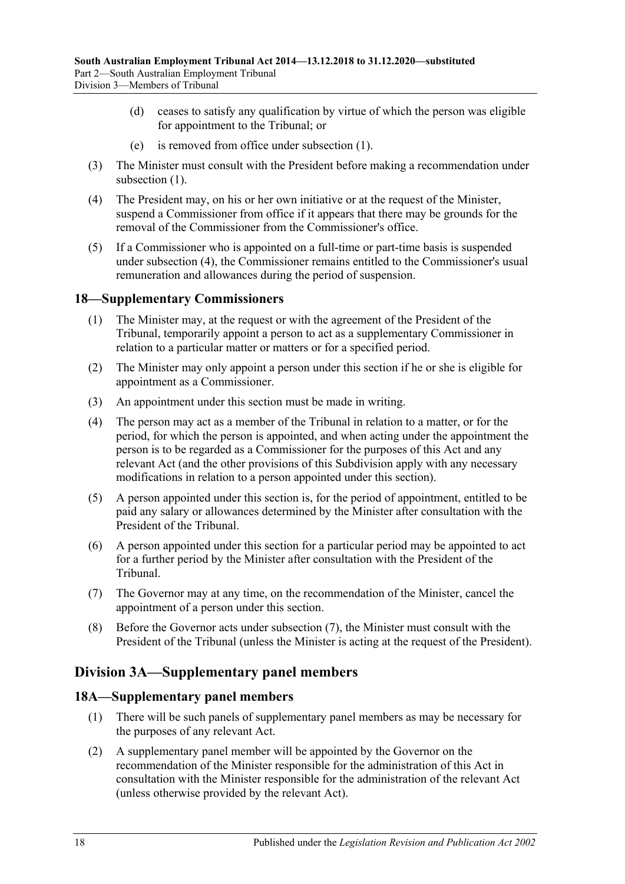- (d) ceases to satisfy any qualification by virtue of which the person was eligible for appointment to the Tribunal; or
- (e) is removed from office under [subsection](#page-16-3) (1).
- (3) The Minister must consult with the President before making a recommendation under [subsection](#page-16-3)  $(1)$ .
- <span id="page-17-3"></span>(4) The President may, on his or her own initiative or at the request of the Minister, suspend a Commissioner from office if it appears that there may be grounds for the removal of the Commissioner from the Commissioner's office.
- (5) If a Commissioner who is appointed on a full-time or part-time basis is suspended under [subsection](#page-17-3) (4), the Commissioner remains entitled to the Commissioner's usual remuneration and allowances during the period of suspension.

# <span id="page-17-0"></span>**18—Supplementary Commissioners**

- (1) The Minister may, at the request or with the agreement of the President of the Tribunal, temporarily appoint a person to act as a supplementary Commissioner in relation to a particular matter or matters or for a specified period.
- (2) The Minister may only appoint a person under this section if he or she is eligible for appointment as a Commissioner.
- (3) An appointment under this section must be made in writing.
- (4) The person may act as a member of the Tribunal in relation to a matter, or for the period, for which the person is appointed, and when acting under the appointment the person is to be regarded as a Commissioner for the purposes of this Act and any relevant Act (and the other provisions of this Subdivision apply with any necessary modifications in relation to a person appointed under this section).
- (5) A person appointed under this section is, for the period of appointment, entitled to be paid any salary or allowances determined by the Minister after consultation with the President of the Tribunal.
- (6) A person appointed under this section for a particular period may be appointed to act for a further period by the Minister after consultation with the President of the Tribunal.
- <span id="page-17-4"></span>(7) The Governor may at any time, on the recommendation of the Minister, cancel the appointment of a person under this section.
- (8) Before the Governor acts under [subsection](#page-17-4) (7), the Minister must consult with the President of the Tribunal (unless the Minister is acting at the request of the President).

# <span id="page-17-1"></span>**Division 3A—Supplementary panel members**

## <span id="page-17-2"></span>**18A—Supplementary panel members**

- (1) There will be such panels of supplementary panel members as may be necessary for the purposes of any relevant Act.
- (2) A supplementary panel member will be appointed by the Governor on the recommendation of the Minister responsible for the administration of this Act in consultation with the Minister responsible for the administration of the relevant Act (unless otherwise provided by the relevant Act).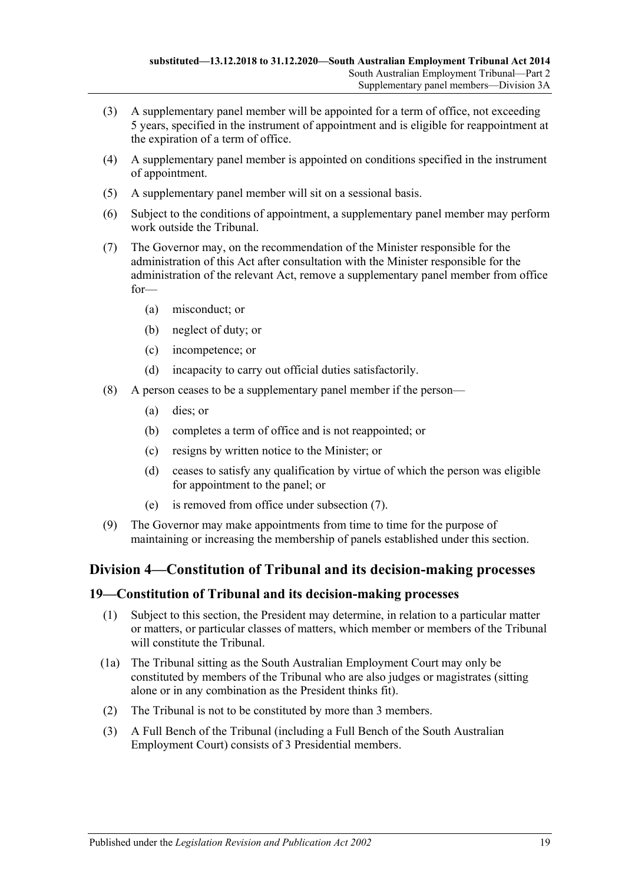- (3) A supplementary panel member will be appointed for a term of office, not exceeding 5 years, specified in the instrument of appointment and is eligible for reappointment at the expiration of a term of office.
- (4) A supplementary panel member is appointed on conditions specified in the instrument of appointment.
- (5) A supplementary panel member will sit on a sessional basis.
- (6) Subject to the conditions of appointment, a supplementary panel member may perform work outside the Tribunal.
- <span id="page-18-2"></span>(7) The Governor may, on the recommendation of the Minister responsible for the administration of this Act after consultation with the Minister responsible for the administration of the relevant Act, remove a supplementary panel member from office for—
	- (a) misconduct; or
	- (b) neglect of duty; or
	- (c) incompetence; or
	- (d) incapacity to carry out official duties satisfactorily.
- (8) A person ceases to be a supplementary panel member if the person—
	- (a) dies; or
	- (b) completes a term of office and is not reappointed; or
	- (c) resigns by written notice to the Minister; or
	- (d) ceases to satisfy any qualification by virtue of which the person was eligible for appointment to the panel; or
	- (e) is removed from office under [subsection](#page-18-2) (7).
- (9) The Governor may make appointments from time to time for the purpose of maintaining or increasing the membership of panels established under this section.

# <span id="page-18-0"></span>**Division 4—Constitution of Tribunal and its decision-making processes**

## <span id="page-18-1"></span>**19—Constitution of Tribunal and its decision-making processes**

- (1) Subject to this section, the President may determine, in relation to a particular matter or matters, or particular classes of matters, which member or members of the Tribunal will constitute the Tribunal.
- (1a) The Tribunal sitting as the South Australian Employment Court may only be constituted by members of the Tribunal who are also judges or magistrates (sitting alone or in any combination as the President thinks fit).
- (2) The Tribunal is not to be constituted by more than 3 members.
- (3) A Full Bench of the Tribunal (including a Full Bench of the South Australian Employment Court) consists of 3 Presidential members.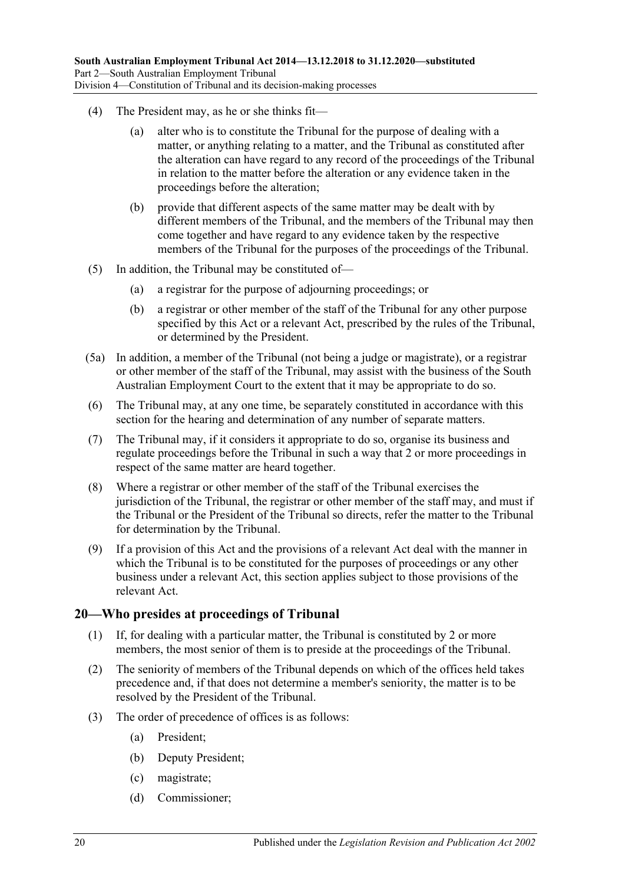- (4) The President may, as he or she thinks fit—
	- (a) alter who is to constitute the Tribunal for the purpose of dealing with a matter, or anything relating to a matter, and the Tribunal as constituted after the alteration can have regard to any record of the proceedings of the Tribunal in relation to the matter before the alteration or any evidence taken in the proceedings before the alteration;
	- (b) provide that different aspects of the same matter may be dealt with by different members of the Tribunal, and the members of the Tribunal may then come together and have regard to any evidence taken by the respective members of the Tribunal for the purposes of the proceedings of the Tribunal.
- (5) In addition, the Tribunal may be constituted of—
	- (a) a registrar for the purpose of adjourning proceedings; or
	- (b) a registrar or other member of the staff of the Tribunal for any other purpose specified by this Act or a relevant Act, prescribed by the rules of the Tribunal, or determined by the President.
- (5a) In addition, a member of the Tribunal (not being a judge or magistrate), or a registrar or other member of the staff of the Tribunal, may assist with the business of the South Australian Employment Court to the extent that it may be appropriate to do so.
- (6) The Tribunal may, at any one time, be separately constituted in accordance with this section for the hearing and determination of any number of separate matters.
- (7) The Tribunal may, if it considers it appropriate to do so, organise its business and regulate proceedings before the Tribunal in such a way that 2 or more proceedings in respect of the same matter are heard together.
- (8) Where a registrar or other member of the staff of the Tribunal exercises the jurisdiction of the Tribunal, the registrar or other member of the staff may, and must if the Tribunal or the President of the Tribunal so directs, refer the matter to the Tribunal for determination by the Tribunal.
- (9) If a provision of this Act and the provisions of a relevant Act deal with the manner in which the Tribunal is to be constituted for the purposes of proceedings or any other business under a relevant Act, this section applies subject to those provisions of the relevant Act.

#### <span id="page-19-0"></span>**20—Who presides at proceedings of Tribunal**

- (1) If, for dealing with a particular matter, the Tribunal is constituted by 2 or more members, the most senior of them is to preside at the proceedings of the Tribunal.
- (2) The seniority of members of the Tribunal depends on which of the offices held takes precedence and, if that does not determine a member's seniority, the matter is to be resolved by the President of the Tribunal.
- (3) The order of precedence of offices is as follows:
	- (a) President;
	- (b) Deputy President;
	- (c) magistrate;
	- (d) Commissioner;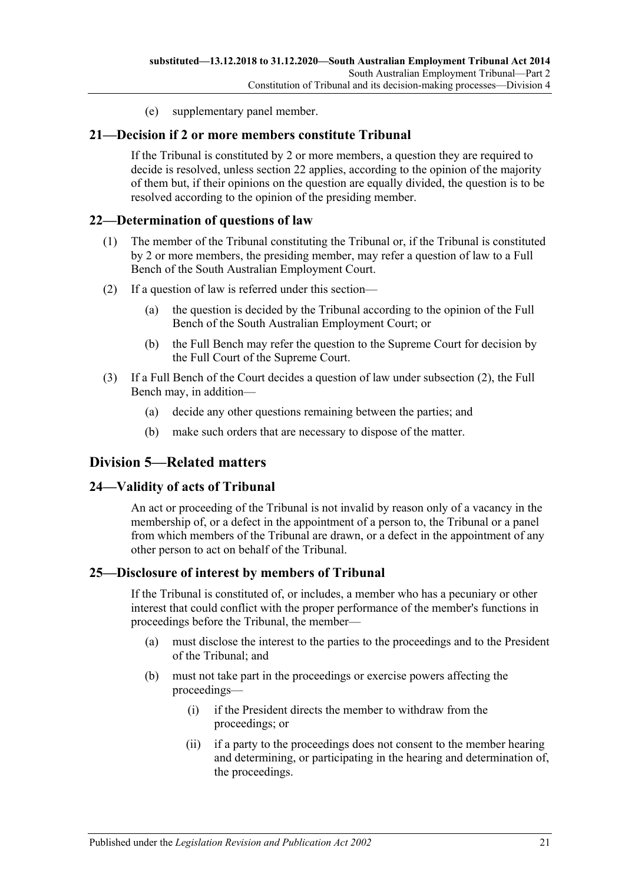(e) supplementary panel member.

#### <span id="page-20-0"></span>**21—Decision if 2 or more members constitute Tribunal**

If the Tribunal is constituted by 2 or more members, a question they are required to decide is resolved, unless [section](#page-20-1) 22 applies, according to the opinion of the majority of them but, if their opinions on the question are equally divided, the question is to be resolved according to the opinion of the presiding member.

#### <span id="page-20-1"></span>**22—Determination of questions of law**

- (1) The member of the Tribunal constituting the Tribunal or, if the Tribunal is constituted by 2 or more members, the presiding member, may refer a question of law to a Full Bench of the South Australian Employment Court.
- <span id="page-20-5"></span>(2) If a question of law is referred under this section—
	- (a) the question is decided by the Tribunal according to the opinion of the Full Bench of the South Australian Employment Court; or
	- (b) the Full Bench may refer the question to the Supreme Court for decision by the Full Court of the Supreme Court.
- (3) If a Full Bench of the Court decides a question of law under [subsection](#page-20-5) (2), the Full Bench may, in addition—
	- (a) decide any other questions remaining between the parties; and
	- (b) make such orders that are necessary to dispose of the matter.

# <span id="page-20-2"></span>**Division 5—Related matters**

## <span id="page-20-3"></span>**24—Validity of acts of Tribunal**

An act or proceeding of the Tribunal is not invalid by reason only of a vacancy in the membership of, or a defect in the appointment of a person to, the Tribunal or a panel from which members of the Tribunal are drawn, or a defect in the appointment of any other person to act on behalf of the Tribunal.

## <span id="page-20-4"></span>**25—Disclosure of interest by members of Tribunal**

If the Tribunal is constituted of, or includes, a member who has a pecuniary or other interest that could conflict with the proper performance of the member's functions in proceedings before the Tribunal, the member—

- (a) must disclose the interest to the parties to the proceedings and to the President of the Tribunal; and
- (b) must not take part in the proceedings or exercise powers affecting the proceedings—
	- (i) if the President directs the member to withdraw from the proceedings; or
	- (ii) if a party to the proceedings does not consent to the member hearing and determining, or participating in the hearing and determination of, the proceedings.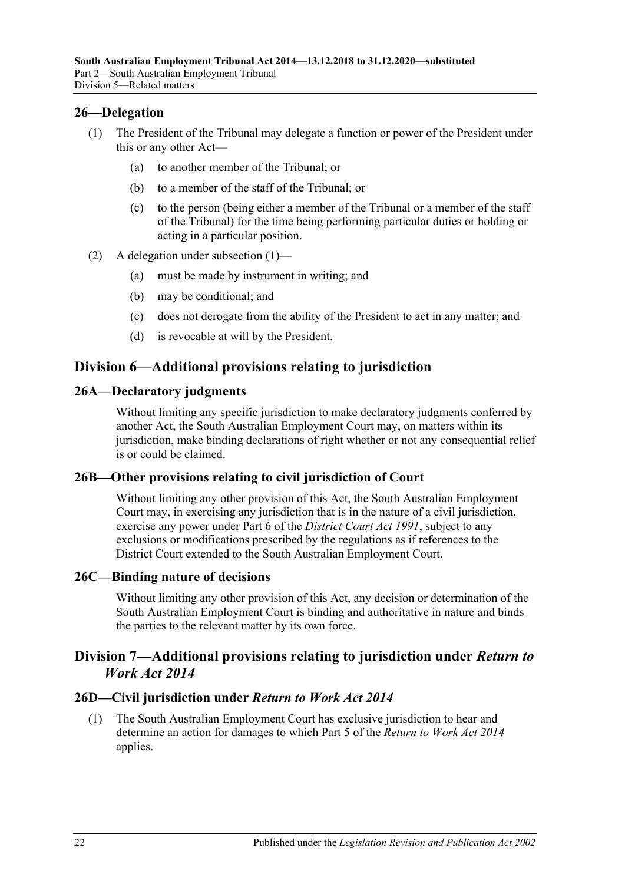## <span id="page-21-7"></span><span id="page-21-0"></span>**26—Delegation**

- (1) The President of the Tribunal may delegate a function or power of the President under this or any other Act—
	- (a) to another member of the Tribunal; or
	- (b) to a member of the staff of the Tribunal; or
	- (c) to the person (being either a member of the Tribunal or a member of the staff of the Tribunal) for the time being performing particular duties or holding or acting in a particular position.
- (2) A delegation under [subsection](#page-21-7) (1)—
	- (a) must be made by instrument in writing; and
	- (b) may be conditional; and
	- (c) does not derogate from the ability of the President to act in any matter; and
	- (d) is revocable at will by the President.

# <span id="page-21-1"></span>**Division 6—Additional provisions relating to jurisdiction**

#### <span id="page-21-2"></span>**26A—Declaratory judgments**

Without limiting any specific jurisdiction to make declaratory judgments conferred by another Act, the South Australian Employment Court may, on matters within its jurisdiction, make binding declarations of right whether or not any consequential relief is or could be claimed.

#### <span id="page-21-3"></span>**26B—Other provisions relating to civil jurisdiction of Court**

Without limiting any other provision of this Act, the South Australian Employment Court may, in exercising any jurisdiction that is in the nature of a civil jurisdiction, exercise any power under Part 6 of the *[District Court Act](http://www.legislation.sa.gov.au/index.aspx?action=legref&type=act&legtitle=District%20Court%20Act%201991) 1991*, subject to any exclusions or modifications prescribed by the regulations as if references to the District Court extended to the South Australian Employment Court.

#### <span id="page-21-4"></span>**26C—Binding nature of decisions**

Without limiting any other provision of this Act, any decision or determination of the South Australian Employment Court is binding and authoritative in nature and binds the parties to the relevant matter by its own force.

# <span id="page-21-5"></span>**Division 7—Additional provisions relating to jurisdiction under** *Return to Work Act 2014*

# <span id="page-21-8"></span><span id="page-21-6"></span>**26D—Civil jurisdiction under** *Return to Work Act 2014*

(1) The South Australian Employment Court has exclusive jurisdiction to hear and determine an action for damages to which Part 5 of the *[Return to Work Act](http://www.legislation.sa.gov.au/index.aspx?action=legref&type=act&legtitle=Return%20to%20Work%20Act%202014) 2014* applies.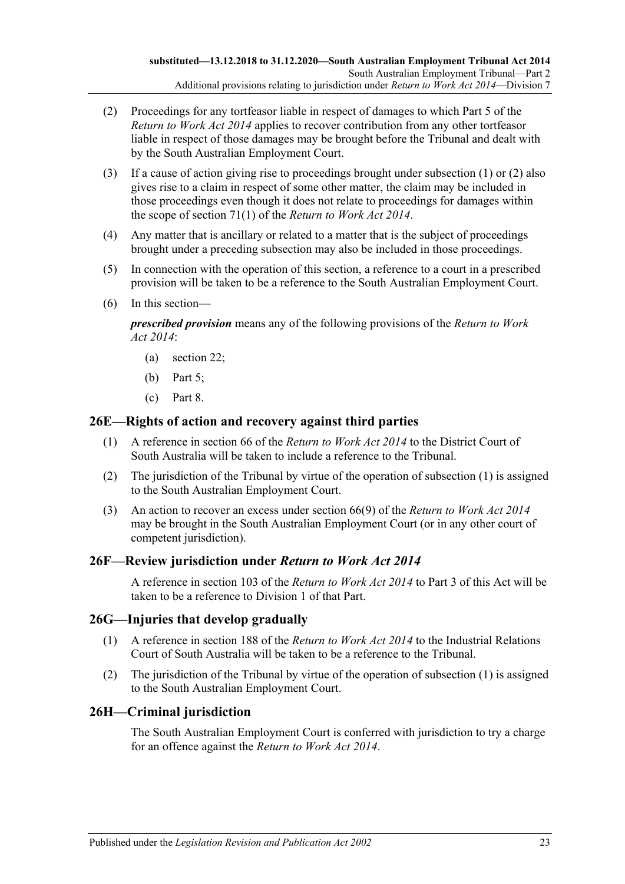- <span id="page-22-4"></span>(2) Proceedings for any tortfeasor liable in respect of damages to which Part 5 of the *[Return to Work Act](http://www.legislation.sa.gov.au/index.aspx?action=legref&type=act&legtitle=Return%20to%20Work%20Act%202014) 2014* applies to recover contribution from any other tortfeasor liable in respect of those damages may be brought before the Tribunal and dealt with by the South Australian Employment Court.
- (3) If a cause of action giving rise to proceedings brought under [subsection](#page-21-8) (1) or [\(2\)](#page-22-4) also gives rise to a claim in respect of some other matter, the claim may be included in those proceedings even though it does not relate to proceedings for damages within the scope of section 71(1) of the *[Return to Work Act](http://www.legislation.sa.gov.au/index.aspx?action=legref&type=act&legtitle=Return%20to%20Work%20Act%202014) 2014*.
- (4) Any matter that is ancillary or related to a matter that is the subject of proceedings brought under a preceding subsection may also be included in those proceedings.
- (5) In connection with the operation of this section, a reference to a court in a prescribed provision will be taken to be a reference to the South Australian Employment Court.
- (6) In this section—

*prescribed provision* means any of the following provisions of the *[Return to Work](http://www.legislation.sa.gov.au/index.aspx?action=legref&type=act&legtitle=Return%20to%20Work%20Act%202014)  Act [2014](http://www.legislation.sa.gov.au/index.aspx?action=legref&type=act&legtitle=Return%20to%20Work%20Act%202014)*:

- (a) section 22;
- (b) Part 5;
- $(c)$  Part 8.

#### <span id="page-22-5"></span><span id="page-22-0"></span>**26E—Rights of action and recovery against third parties**

- (1) A reference in section 66 of the *[Return to Work Act](http://www.legislation.sa.gov.au/index.aspx?action=legref&type=act&legtitle=Return%20to%20Work%20Act%202014) 2014* to the District Court of South Australia will be taken to include a reference to the Tribunal.
- (2) The jurisdiction of the Tribunal by virtue of the operation of [subsection](#page-22-5) (1) is assigned to the South Australian Employment Court.
- (3) An action to recover an excess under section 66(9) of the *[Return to Work Act 2014](http://www.legislation.sa.gov.au/index.aspx?action=legref&type=act&legtitle=Return%20to%20Work%20Act%202014)* may be brought in the South Australian Employment Court (or in any other court of competent jurisdiction).

## <span id="page-22-1"></span>**26F—Review jurisdiction under** *Return to Work Act 2014*

A reference in section 103 of the *[Return to Work Act](http://www.legislation.sa.gov.au/index.aspx?action=legref&type=act&legtitle=Return%20to%20Work%20Act%202014) 2014* to [Part](#page-24-0) 3 of this Act will be taken to be a reference to [Division 1](#page-24-1) of that Part.

## <span id="page-22-6"></span><span id="page-22-2"></span>**26G—Injuries that develop gradually**

- (1) A reference in section 188 of the *[Return to Work Act](http://www.legislation.sa.gov.au/index.aspx?action=legref&type=act&legtitle=Return%20to%20Work%20Act%202014) 2014* to the Industrial Relations Court of South Australia will be taken to be a reference to the Tribunal.
- (2) The jurisdiction of the Tribunal by virtue of the operation of [subsection](#page-22-6) (1) is assigned to the South Australian Employment Court.

## <span id="page-22-3"></span>**26H—Criminal jurisdiction**

The South Australian Employment Court is conferred with jurisdiction to try a charge for an offence against the *[Return to Work Act](http://www.legislation.sa.gov.au/index.aspx?action=legref&type=act&legtitle=Return%20to%20Work%20Act%202014) 2014*.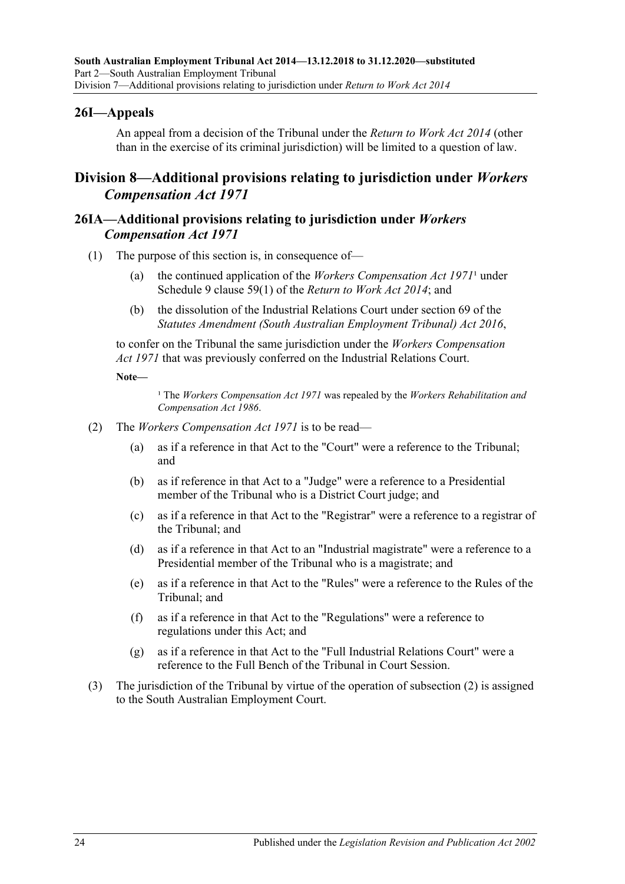# <span id="page-23-0"></span>**26I—Appeals**

An appeal from a decision of the Tribunal under the *[Return to Work Act](http://www.legislation.sa.gov.au/index.aspx?action=legref&type=act&legtitle=Return%20to%20Work%20Act%202014) 2014* (other than in the exercise of its criminal jurisdiction) will be limited to a question of law.

# <span id="page-23-1"></span>**Division 8—Additional provisions relating to jurisdiction under** *Workers Compensation Act 1971*

## <span id="page-23-2"></span>**26IA—Additional provisions relating to jurisdiction under** *Workers Compensation Act 1971*

- (1) The purpose of this section is, in consequence of—
	- (a) the continued application of the *[Workers Compensation Act](http://www.legislation.sa.gov.au/index.aspx?action=legref&type=act&legtitle=Workers%20Compensation%20Act%201971)* 1971<sup>1</sup> under Schedule 9 clause 59(1) of the *[Return to Work Act](http://www.legislation.sa.gov.au/index.aspx?action=legref&type=act&legtitle=Return%20to%20Work%20Act%202014) 2014*; and
	- (b) the dissolution of the Industrial Relations Court under section 69 of the *[Statutes Amendment \(South Australian Employment Tribunal\) Act](http://www.legislation.sa.gov.au/index.aspx?action=legref&type=act&legtitle=Statutes%20Amendment%20(South%20Australian%20Employment%20Tribunal)%20Act%202016) 2016*,

to confer on the Tribunal the same jurisdiction under the *[Workers Compensation](http://www.legislation.sa.gov.au/index.aspx?action=legref&type=act&legtitle=Workers%20Compensation%20Act%201971)  Act [1971](http://www.legislation.sa.gov.au/index.aspx?action=legref&type=act&legtitle=Workers%20Compensation%20Act%201971)* that was previously conferred on the Industrial Relations Court.

#### **Note—**

<sup>1</sup> The *[Workers Compensation Act](http://www.legislation.sa.gov.au/index.aspx?action=legref&type=act&legtitle=Workers%20Compensation%20Act%201971) 1971* was repealed by the *Workers Rehabilitation and [Compensation Act](http://www.legislation.sa.gov.au/index.aspx?action=legref&type=act&legtitle=Workers%20Rehabilitation%20and%20Compensation%20Act%201986) 1986*.

- <span id="page-23-3"></span>(2) The *[Workers Compensation Act](http://www.legislation.sa.gov.au/index.aspx?action=legref&type=act&legtitle=Workers%20Compensation%20Act%201971) 1971* is to be read—
	- (a) as if a reference in that Act to the "Court" were a reference to the Tribunal; and
	- (b) as if reference in that Act to a "Judge" were a reference to a Presidential member of the Tribunal who is a District Court judge; and
	- (c) as if a reference in that Act to the "Registrar" were a reference to a registrar of the Tribunal; and
	- (d) as if a reference in that Act to an "Industrial magistrate" were a reference to a Presidential member of the Tribunal who is a magistrate; and
	- (e) as if a reference in that Act to the "Rules" were a reference to the Rules of the Tribunal; and
	- (f) as if a reference in that Act to the "Regulations" were a reference to regulations under this Act; and
	- (g) as if a reference in that Act to the "Full Industrial Relations Court" were a reference to the Full Bench of the Tribunal in Court Session.
- (3) The jurisdiction of the Tribunal by virtue of the operation of [subsection](#page-23-3) (2) is assigned to the South Australian Employment Court.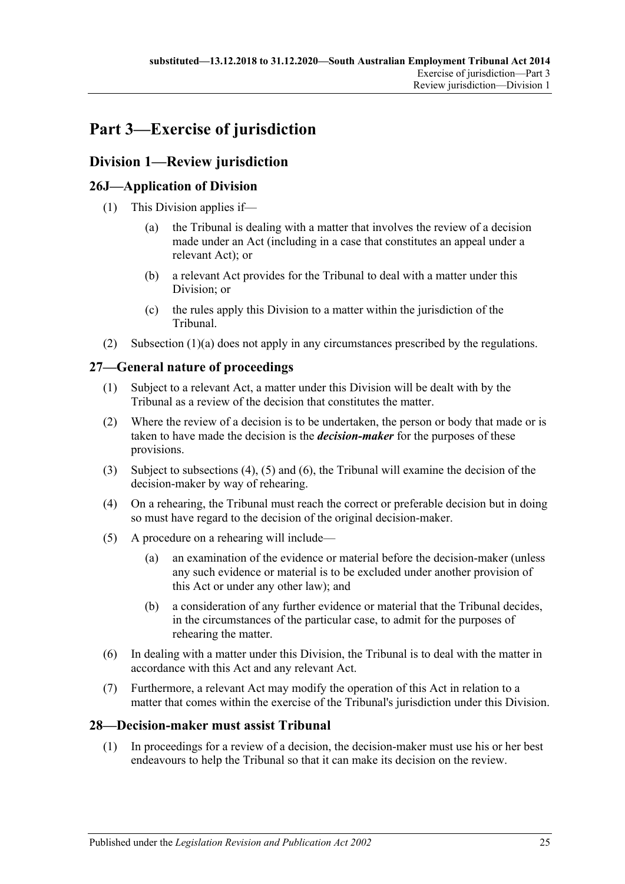# <span id="page-24-0"></span>**Part 3—Exercise of jurisdiction**

# <span id="page-24-1"></span>**Division 1—Review jurisdiction**

# <span id="page-24-2"></span>**26J—Application of Division**

- <span id="page-24-6"></span>(1) This Division applies if—
	- (a) the Tribunal is dealing with a matter that involves the review of a decision made under an Act (including in a case that constitutes an appeal under a relevant Act); or
	- (b) a relevant Act provides for the Tribunal to deal with a matter under this Division; or
	- (c) the rules apply this Division to a matter within the jurisdiction of the Tribunal.
- (2) [Subsection](#page-24-6) (1)(a) does not apply in any circumstances prescribed by the regulations.

# <span id="page-24-3"></span>**27—General nature of proceedings**

- (1) Subject to a relevant Act, a matter under this Division will be dealt with by the Tribunal as a review of the decision that constitutes the matter.
- <span id="page-24-5"></span>(2) Where the review of a decision is to be undertaken, the person or body that made or is taken to have made the decision is the *decision-maker* for the purposes of these provisions.
- (3) Subject to [subsections \(4\),](#page-24-7) [\(5\)](#page-24-8) and [\(6\),](#page-24-9) the Tribunal will examine the decision of the decision-maker by way of rehearing.
- <span id="page-24-7"></span>(4) On a rehearing, the Tribunal must reach the correct or preferable decision but in doing so must have regard to the decision of the original decision-maker.
- <span id="page-24-8"></span>(5) A procedure on a rehearing will include—
	- (a) an examination of the evidence or material before the decision-maker (unless any such evidence or material is to be excluded under another provision of this Act or under any other law); and
	- (b) a consideration of any further evidence or material that the Tribunal decides, in the circumstances of the particular case, to admit for the purposes of rehearing the matter.
- <span id="page-24-9"></span>(6) In dealing with a matter under this Division, the Tribunal is to deal with the matter in accordance with this Act and any relevant Act.
- (7) Furthermore, a relevant Act may modify the operation of this Act in relation to a matter that comes within the exercise of the Tribunal's jurisdiction under this Division.

# <span id="page-24-10"></span><span id="page-24-4"></span>**28—Decision-maker must assist Tribunal**

(1) In proceedings for a review of a decision, the decision-maker must use his or her best endeavours to help the Tribunal so that it can make its decision on the review.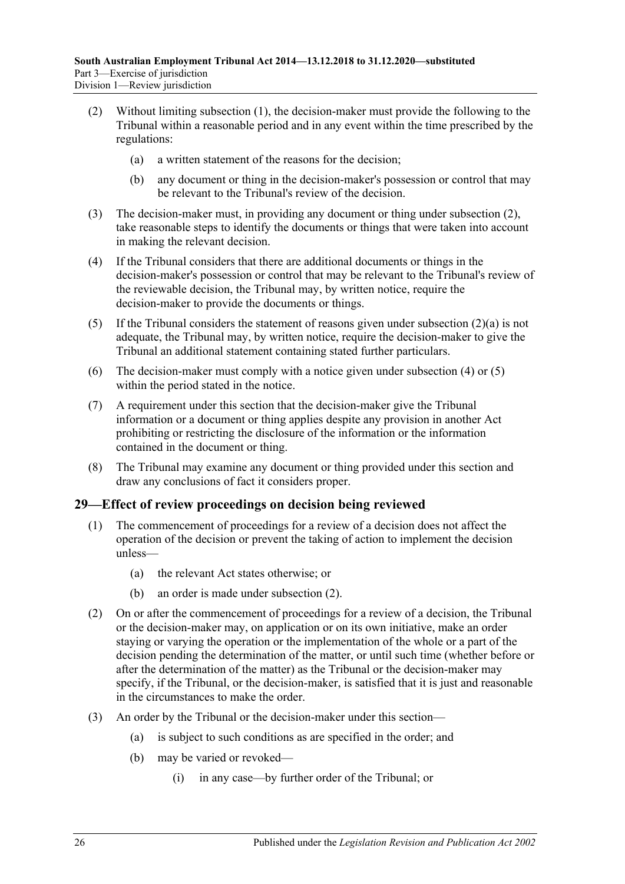- <span id="page-25-2"></span><span id="page-25-1"></span>(2) Without limiting [subsection](#page-24-10) (1), the decision-maker must provide the following to the Tribunal within a reasonable period and in any event within the time prescribed by the regulations:
	- (a) a written statement of the reasons for the decision;
	- (b) any document or thing in the decision-maker's possession or control that may be relevant to the Tribunal's review of the decision.
- (3) The decision-maker must, in providing any document or thing under [subsection](#page-25-1) (2), take reasonable steps to identify the documents or things that were taken into account in making the relevant decision.
- <span id="page-25-3"></span>(4) If the Tribunal considers that there are additional documents or things in the decision-maker's possession or control that may be relevant to the Tribunal's review of the reviewable decision, the Tribunal may, by written notice, require the decision-maker to provide the documents or things.
- <span id="page-25-4"></span>(5) If the Tribunal considers the statement of reasons given under [subsection](#page-25-2) (2)(a) is not adequate, the Tribunal may, by written notice, require the decision-maker to give the Tribunal an additional statement containing stated further particulars.
- (6) The decision-maker must comply with a notice given under [subsection](#page-25-3) (4) or [\(5\)](#page-25-4) within the period stated in the notice.
- (7) A requirement under this section that the decision-maker give the Tribunal information or a document or thing applies despite any provision in another Act prohibiting or restricting the disclosure of the information or the information contained in the document or thing.
- (8) The Tribunal may examine any document or thing provided under this section and draw any conclusions of fact it considers proper.

## <span id="page-25-0"></span>**29—Effect of review proceedings on decision being reviewed**

- (1) The commencement of proceedings for a review of a decision does not affect the operation of the decision or prevent the taking of action to implement the decision unless—
	- (a) the relevant Act states otherwise; or
	- (b) an order is made under [subsection](#page-25-5) (2).
- <span id="page-25-5"></span>(2) On or after the commencement of proceedings for a review of a decision, the Tribunal or the decision-maker may, on application or on its own initiative, make an order staying or varying the operation or the implementation of the whole or a part of the decision pending the determination of the matter, or until such time (whether before or after the determination of the matter) as the Tribunal or the decision-maker may specify, if the Tribunal, or the decision-maker, is satisfied that it is just and reasonable in the circumstances to make the order.
- (3) An order by the Tribunal or the decision-maker under this section—
	- (a) is subject to such conditions as are specified in the order; and
	- (b) may be varied or revoked—
		- (i) in any case—by further order of the Tribunal; or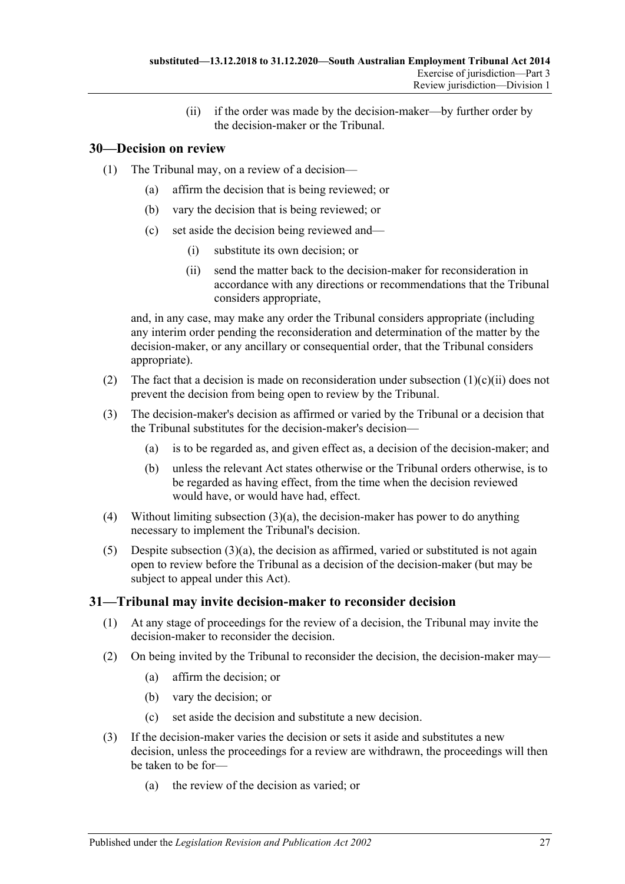(ii) if the order was made by the decision-maker—by further order by the decision-maker or the Tribunal.

# <span id="page-26-0"></span>**30—Decision on review**

- (1) The Tribunal may, on a review of a decision—
	- (a) affirm the decision that is being reviewed; or
	- (b) vary the decision that is being reviewed; or
	- (c) set aside the decision being reviewed and—
		- (i) substitute its own decision; or
		- (ii) send the matter back to the decision-maker for reconsideration in accordance with any directions or recommendations that the Tribunal considers appropriate,

<span id="page-26-2"></span>and, in any case, may make any order the Tribunal considers appropriate (including any interim order pending the reconsideration and determination of the matter by the decision-maker, or any ancillary or consequential order, that the Tribunal considers appropriate).

- (2) The fact that a decision is made on reconsideration under [subsection](#page-26-2)  $(1)(c)(ii)$  does not prevent the decision from being open to review by the Tribunal.
- <span id="page-26-3"></span>(3) The decision-maker's decision as affirmed or varied by the Tribunal or a decision that the Tribunal substitutes for the decision-maker's decision—
	- (a) is to be regarded as, and given effect as, a decision of the decision-maker; and
	- (b) unless the relevant Act states otherwise or the Tribunal orders otherwise, is to be regarded as having effect, from the time when the decision reviewed would have, or would have had, effect.
- (4) Without limiting [subsection](#page-26-3)  $(3)(a)$ , the decision-maker has power to do anything necessary to implement the Tribunal's decision.
- (5) Despite [subsection](#page-26-3)  $(3)(a)$ , the decision as affirmed, varied or substituted is not again open to review before the Tribunal as a decision of the decision-maker (but may be subject to appeal under this Act).

## <span id="page-26-1"></span>**31—Tribunal may invite decision-maker to reconsider decision**

- (1) At any stage of proceedings for the review of a decision, the Tribunal may invite the decision-maker to reconsider the decision.
- (2) On being invited by the Tribunal to reconsider the decision, the decision-maker may—
	- (a) affirm the decision; or
	- (b) vary the decision; or
	- (c) set aside the decision and substitute a new decision.
- (3) If the decision-maker varies the decision or sets it aside and substitutes a new decision, unless the proceedings for a review are withdrawn, the proceedings will then be taken to be for—
	- (a) the review of the decision as varied; or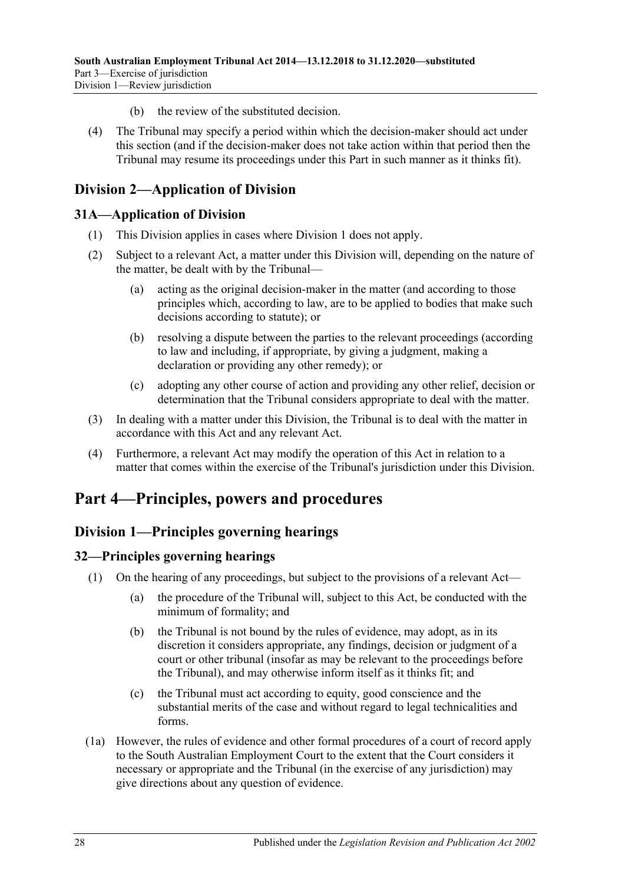- (b) the review of the substituted decision.
- (4) The Tribunal may specify a period within which the decision-maker should act under this section (and if the decision-maker does not take action within that period then the Tribunal may resume its proceedings under this Part in such manner as it thinks fit).

# <span id="page-27-0"></span>**Division 2—Application of Division**

# <span id="page-27-1"></span>**31A—Application of Division**

- (1) This Division applies in cases where [Division 1](#page-24-1) does not apply.
- (2) Subject to a relevant Act, a matter under this Division will, depending on the nature of the matter, be dealt with by the Tribunal—
	- (a) acting as the original decision-maker in the matter (and according to those principles which, according to law, are to be applied to bodies that make such decisions according to statute); or
	- (b) resolving a dispute between the parties to the relevant proceedings (according to law and including, if appropriate, by giving a judgment, making a declaration or providing any other remedy); or
	- (c) adopting any other course of action and providing any other relief, decision or determination that the Tribunal considers appropriate to deal with the matter.
- (3) In dealing with a matter under this Division, the Tribunal is to deal with the matter in accordance with this Act and any relevant Act.
- (4) Furthermore, a relevant Act may modify the operation of this Act in relation to a matter that comes within the exercise of the Tribunal's jurisdiction under this Division.

# <span id="page-27-2"></span>**Part 4—Principles, powers and procedures**

# <span id="page-27-3"></span>**Division 1—Principles governing hearings**

# <span id="page-27-4"></span>**32—Principles governing hearings**

- (1) On the hearing of any proceedings, but subject to the provisions of a relevant Act—
	- (a) the procedure of the Tribunal will, subject to this Act, be conducted with the minimum of formality; and
	- (b) the Tribunal is not bound by the rules of evidence, may adopt, as in its discretion it considers appropriate, any findings, decision or judgment of a court or other tribunal (insofar as may be relevant to the proceedings before the Tribunal), and may otherwise inform itself as it thinks fit; and
	- (c) the Tribunal must act according to equity, good conscience and the substantial merits of the case and without regard to legal technicalities and forms.
- (1a) However, the rules of evidence and other formal procedures of a court of record apply to the South Australian Employment Court to the extent that the Court considers it necessary or appropriate and the Tribunal (in the exercise of any jurisdiction) may give directions about any question of evidence.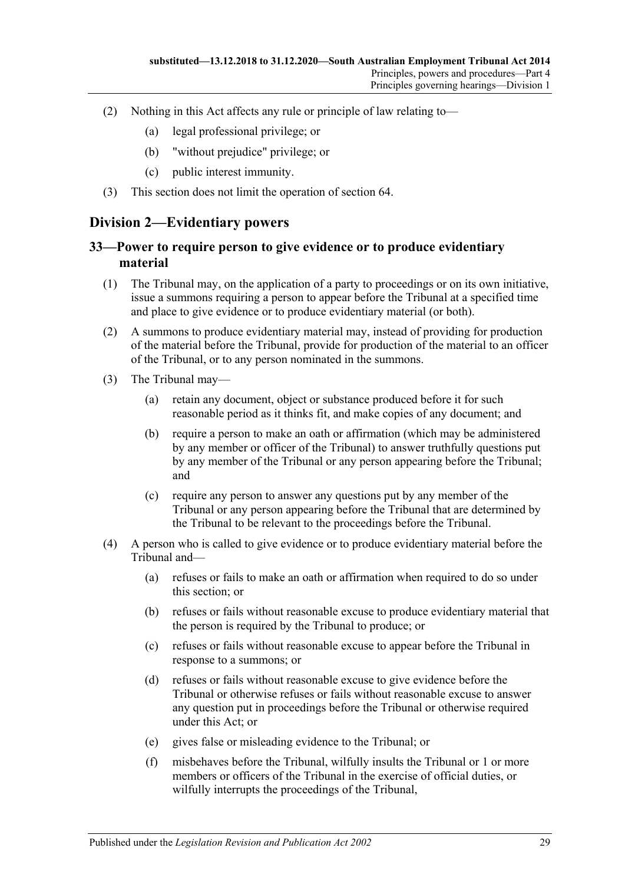- (2) Nothing in this Act affects any rule or principle of law relating to—
	- (a) legal professional privilege; or
	- (b) "without prejudice" privilege; or
	- (c) public interest immunity.
- (3) This section does not limit the operation of [section](#page-41-1) 64.

# <span id="page-28-0"></span>**Division 2—Evidentiary powers**

## <span id="page-28-1"></span>**33—Power to require person to give evidence or to produce evidentiary material**

- (1) The Tribunal may, on the application of a party to proceedings or on its own initiative, issue a summons requiring a person to appear before the Tribunal at a specified time and place to give evidence or to produce evidentiary material (or both).
- (2) A summons to produce evidentiary material may, instead of providing for production of the material before the Tribunal, provide for production of the material to an officer of the Tribunal, or to any person nominated in the summons.
- (3) The Tribunal may—
	- (a) retain any document, object or substance produced before it for such reasonable period as it thinks fit, and make copies of any document; and
	- (b) require a person to make an oath or affirmation (which may be administered by any member or officer of the Tribunal) to answer truthfully questions put by any member of the Tribunal or any person appearing before the Tribunal; and
	- (c) require any person to answer any questions put by any member of the Tribunal or any person appearing before the Tribunal that are determined by the Tribunal to be relevant to the proceedings before the Tribunal.
- (4) A person who is called to give evidence or to produce evidentiary material before the Tribunal and—
	- (a) refuses or fails to make an oath or affirmation when required to do so under this section; or
	- (b) refuses or fails without reasonable excuse to produce evidentiary material that the person is required by the Tribunal to produce; or
	- (c) refuses or fails without reasonable excuse to appear before the Tribunal in response to a summons; or
	- (d) refuses or fails without reasonable excuse to give evidence before the Tribunal or otherwise refuses or fails without reasonable excuse to answer any question put in proceedings before the Tribunal or otherwise required under this Act; or
	- (e) gives false or misleading evidence to the Tribunal; or
	- (f) misbehaves before the Tribunal, wilfully insults the Tribunal or 1 or more members or officers of the Tribunal in the exercise of official duties, or wilfully interrupts the proceedings of the Tribunal,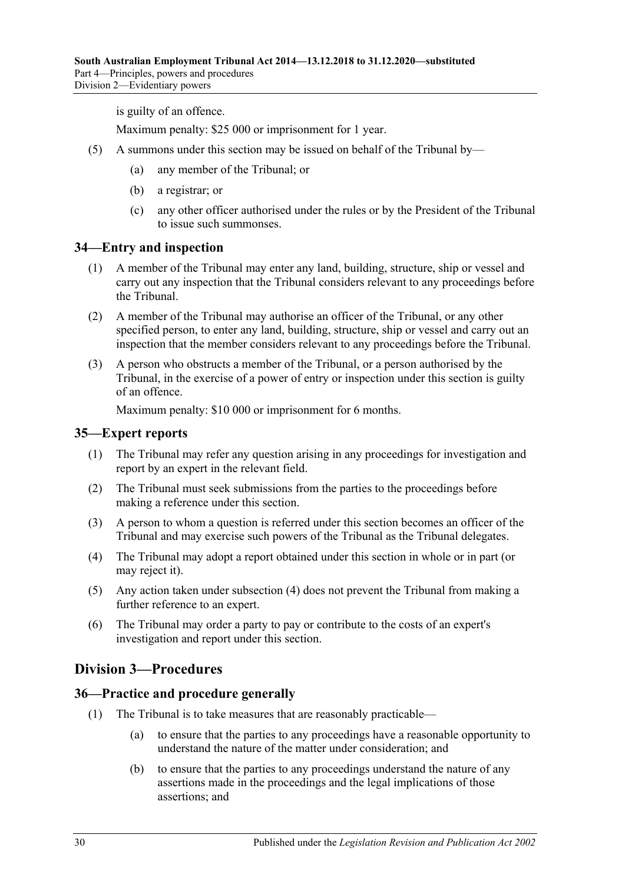is guilty of an offence.

Maximum penalty: \$25 000 or imprisonment for 1 year.

- (5) A summons under this section may be issued on behalf of the Tribunal by—
	- (a) any member of the Tribunal; or
	- (b) a registrar; or
	- (c) any other officer authorised under the rules or by the President of the Tribunal to issue such summonses.

#### <span id="page-29-0"></span>**34—Entry and inspection**

- (1) A member of the Tribunal may enter any land, building, structure, ship or vessel and carry out any inspection that the Tribunal considers relevant to any proceedings before the Tribunal.
- (2) A member of the Tribunal may authorise an officer of the Tribunal, or any other specified person, to enter any land, building, structure, ship or vessel and carry out an inspection that the member considers relevant to any proceedings before the Tribunal.
- (3) A person who obstructs a member of the Tribunal, or a person authorised by the Tribunal, in the exercise of a power of entry or inspection under this section is guilty of an offence.

Maximum penalty: \$10 000 or imprisonment for 6 months.

#### <span id="page-29-1"></span>**35—Expert reports**

- (1) The Tribunal may refer any question arising in any proceedings for investigation and report by an expert in the relevant field.
- (2) The Tribunal must seek submissions from the parties to the proceedings before making a reference under this section.
- (3) A person to whom a question is referred under this section becomes an officer of the Tribunal and may exercise such powers of the Tribunal as the Tribunal delegates.
- <span id="page-29-4"></span>(4) The Tribunal may adopt a report obtained under this section in whole or in part (or may reject it).
- (5) Any action taken under [subsection](#page-29-4) (4) does not prevent the Tribunal from making a further reference to an expert.
- (6) The Tribunal may order a party to pay or contribute to the costs of an expert's investigation and report under this section.

# <span id="page-29-2"></span>**Division 3—Procedures**

#### <span id="page-29-3"></span>**36—Practice and procedure generally**

- (1) The Tribunal is to take measures that are reasonably practicable—
	- (a) to ensure that the parties to any proceedings have a reasonable opportunity to understand the nature of the matter under consideration; and
	- (b) to ensure that the parties to any proceedings understand the nature of any assertions made in the proceedings and the legal implications of those assertions; and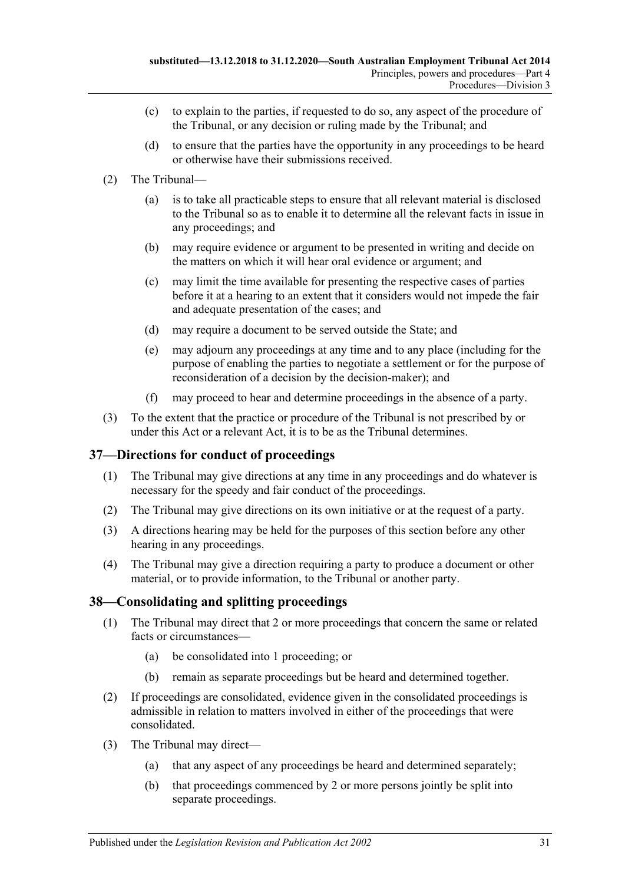- (c) to explain to the parties, if requested to do so, any aspect of the procedure of the Tribunal, or any decision or ruling made by the Tribunal; and
- (d) to ensure that the parties have the opportunity in any proceedings to be heard or otherwise have their submissions received.
- (2) The Tribunal—
	- (a) is to take all practicable steps to ensure that all relevant material is disclosed to the Tribunal so as to enable it to determine all the relevant facts in issue in any proceedings; and
	- (b) may require evidence or argument to be presented in writing and decide on the matters on which it will hear oral evidence or argument; and
	- (c) may limit the time available for presenting the respective cases of parties before it at a hearing to an extent that it considers would not impede the fair and adequate presentation of the cases; and
	- (d) may require a document to be served outside the State; and
	- (e) may adjourn any proceedings at any time and to any place (including for the purpose of enabling the parties to negotiate a settlement or for the purpose of reconsideration of a decision by the decision-maker); and
	- (f) may proceed to hear and determine proceedings in the absence of a party.
- (3) To the extent that the practice or procedure of the Tribunal is not prescribed by or under this Act or a relevant Act, it is to be as the Tribunal determines.

## <span id="page-30-0"></span>**37—Directions for conduct of proceedings**

- (1) The Tribunal may give directions at any time in any proceedings and do whatever is necessary for the speedy and fair conduct of the proceedings.
- (2) The Tribunal may give directions on its own initiative or at the request of a party.
- (3) A directions hearing may be held for the purposes of this section before any other hearing in any proceedings.
- (4) The Tribunal may give a direction requiring a party to produce a document or other material, or to provide information, to the Tribunal or another party.

## <span id="page-30-1"></span>**38—Consolidating and splitting proceedings**

- (1) The Tribunal may direct that 2 or more proceedings that concern the same or related facts or circumstances—
	- (a) be consolidated into 1 proceeding; or
	- (b) remain as separate proceedings but be heard and determined together.
- (2) If proceedings are consolidated, evidence given in the consolidated proceedings is admissible in relation to matters involved in either of the proceedings that were consolidated.
- (3) The Tribunal may direct—
	- (a) that any aspect of any proceedings be heard and determined separately;
	- (b) that proceedings commenced by 2 or more persons jointly be split into separate proceedings.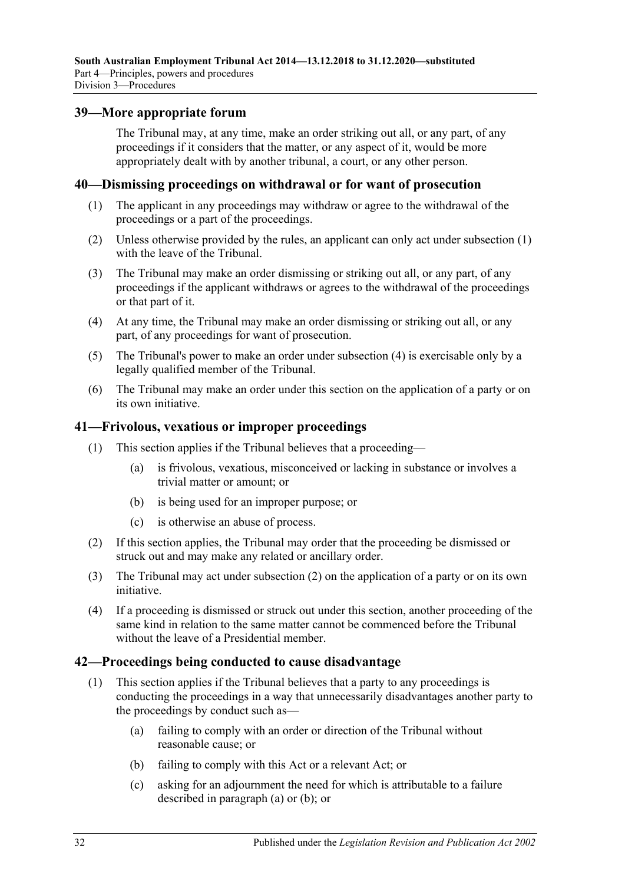#### <span id="page-31-0"></span>**39—More appropriate forum**

The Tribunal may, at any time, make an order striking out all, or any part, of any proceedings if it considers that the matter, or any aspect of it, would be more appropriately dealt with by another tribunal, a court, or any other person.

#### <span id="page-31-4"></span><span id="page-31-1"></span>**40—Dismissing proceedings on withdrawal or for want of prosecution**

- (1) The applicant in any proceedings may withdraw or agree to the withdrawal of the proceedings or a part of the proceedings.
- (2) Unless otherwise provided by the rules, an applicant can only act under [subsection](#page-31-4) (1) with the leave of the Tribunal.
- (3) The Tribunal may make an order dismissing or striking out all, or any part, of any proceedings if the applicant withdraws or agrees to the withdrawal of the proceedings or that part of it.
- <span id="page-31-5"></span>(4) At any time, the Tribunal may make an order dismissing or striking out all, or any part, of any proceedings for want of prosecution.
- (5) The Tribunal's power to make an order under [subsection](#page-31-5) (4) is exercisable only by a legally qualified member of the Tribunal.
- (6) The Tribunal may make an order under this section on the application of a party or on its own initiative.

#### <span id="page-31-2"></span>**41—Frivolous, vexatious or improper proceedings**

- (1) This section applies if the Tribunal believes that a proceeding—
	- (a) is frivolous, vexatious, misconceived or lacking in substance or involves a trivial matter or amount; or
	- (b) is being used for an improper purpose; or
	- (c) is otherwise an abuse of process.
- <span id="page-31-6"></span>(2) If this section applies, the Tribunal may order that the proceeding be dismissed or struck out and may make any related or ancillary order.
- (3) The Tribunal may act under [subsection](#page-31-6) (2) on the application of a party or on its own initiative.
- (4) If a proceeding is dismissed or struck out under this section, another proceeding of the same kind in relation to the same matter cannot be commenced before the Tribunal without the leave of a Presidential member.

#### <span id="page-31-3"></span>**42—Proceedings being conducted to cause disadvantage**

- <span id="page-31-8"></span><span id="page-31-7"></span>(1) This section applies if the Tribunal believes that a party to any proceedings is conducting the proceedings in a way that unnecessarily disadvantages another party to the proceedings by conduct such as—
	- (a) failing to comply with an order or direction of the Tribunal without reasonable cause; or
	- (b) failing to comply with this Act or a relevant Act; or
	- (c) asking for an adjournment the need for which is attributable to a failure described in [paragraph](#page-31-7) (a) or [\(b\);](#page-31-8) or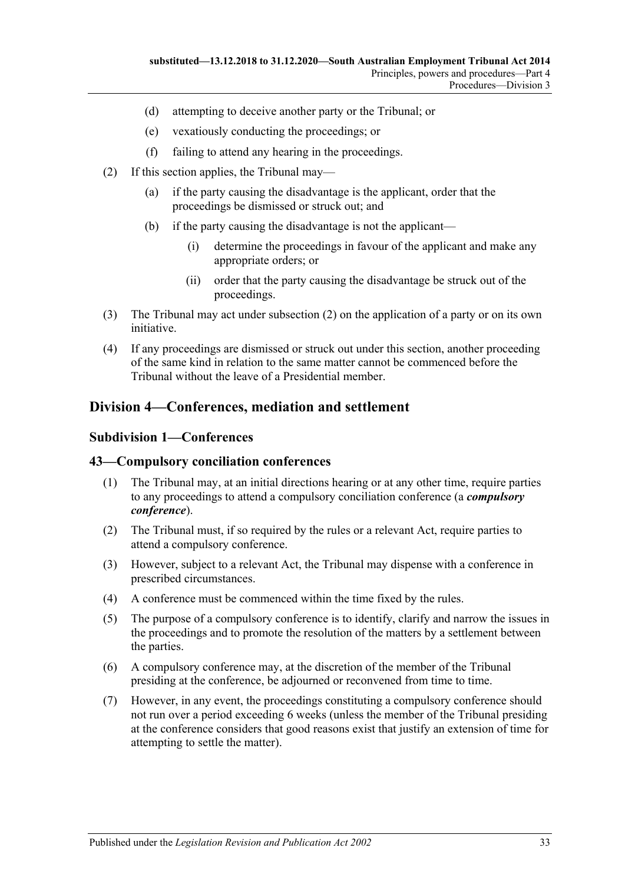- (d) attempting to deceive another party or the Tribunal; or
- (e) vexatiously conducting the proceedings; or
- (f) failing to attend any hearing in the proceedings.
- <span id="page-32-3"></span>(2) If this section applies, the Tribunal may—
	- (a) if the party causing the disadvantage is the applicant, order that the proceedings be dismissed or struck out; and
	- (b) if the party causing the disadvantage is not the applicant—
		- (i) determine the proceedings in favour of the applicant and make any appropriate orders; or
		- (ii) order that the party causing the disadvantage be struck out of the proceedings.
- (3) The Tribunal may act under [subsection](#page-32-3) (2) on the application of a party or on its own initiative.
- (4) If any proceedings are dismissed or struck out under this section, another proceeding of the same kind in relation to the same matter cannot be commenced before the Tribunal without the leave of a Presidential member.

# <span id="page-32-1"></span><span id="page-32-0"></span>**Division 4—Conferences, mediation and settlement**

#### **Subdivision 1—Conferences**

#### <span id="page-32-2"></span>**43—Compulsory conciliation conferences**

- (1) The Tribunal may, at an initial directions hearing or at any other time, require parties to any proceedings to attend a compulsory conciliation conference (a *compulsory conference*).
- (2) The Tribunal must, if so required by the rules or a relevant Act, require parties to attend a compulsory conference.
- (3) However, subject to a relevant Act, the Tribunal may dispense with a conference in prescribed circumstances.
- (4) A conference must be commenced within the time fixed by the rules.
- (5) The purpose of a compulsory conference is to identify, clarify and narrow the issues in the proceedings and to promote the resolution of the matters by a settlement between the parties.
- (6) A compulsory conference may, at the discretion of the member of the Tribunal presiding at the conference, be adjourned or reconvened from time to time.
- (7) However, in any event, the proceedings constituting a compulsory conference should not run over a period exceeding 6 weeks (unless the member of the Tribunal presiding at the conference considers that good reasons exist that justify an extension of time for attempting to settle the matter).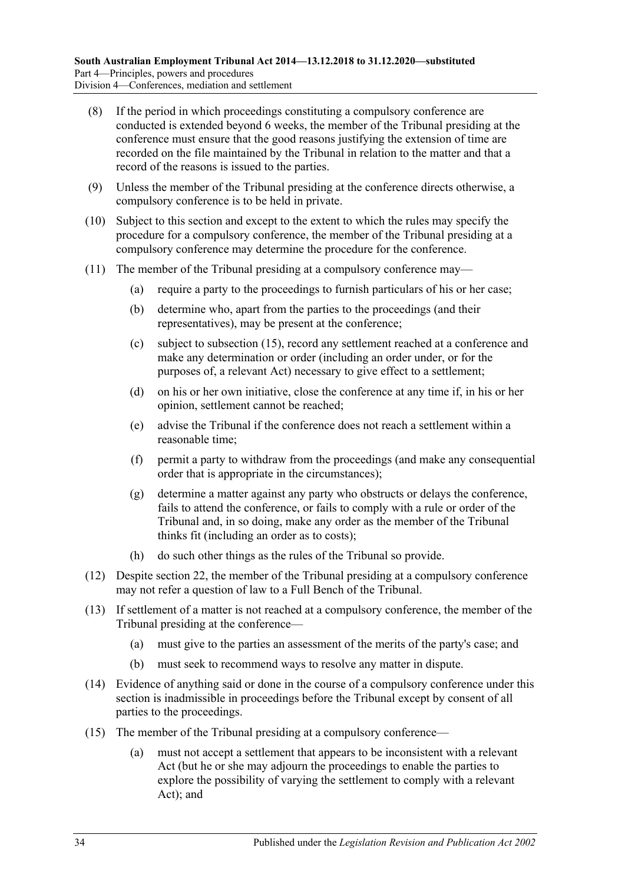- (8) If the period in which proceedings constituting a compulsory conference are conducted is extended beyond 6 weeks, the member of the Tribunal presiding at the conference must ensure that the good reasons justifying the extension of time are recorded on the file maintained by the Tribunal in relation to the matter and that a record of the reasons is issued to the parties.
- (9) Unless the member of the Tribunal presiding at the conference directs otherwise, a compulsory conference is to be held in private.
- (10) Subject to this section and except to the extent to which the rules may specify the procedure for a compulsory conference, the member of the Tribunal presiding at a compulsory conference may determine the procedure for the conference.
- (11) The member of the Tribunal presiding at a compulsory conference may—
	- (a) require a party to the proceedings to furnish particulars of his or her case;
	- (b) determine who, apart from the parties to the proceedings (and their representatives), may be present at the conference;
	- (c) subject to [subsection](#page-33-0) (15), record any settlement reached at a conference and make any determination or order (including an order under, or for the purposes of, a relevant Act) necessary to give effect to a settlement;
	- (d) on his or her own initiative, close the conference at any time if, in his or her opinion, settlement cannot be reached;
	- (e) advise the Tribunal if the conference does not reach a settlement within a reasonable time;
	- (f) permit a party to withdraw from the proceedings (and make any consequential order that is appropriate in the circumstances);
	- (g) determine a matter against any party who obstructs or delays the conference, fails to attend the conference, or fails to comply with a rule or order of the Tribunal and, in so doing, make any order as the member of the Tribunal thinks fit (including an order as to costs);
	- (h) do such other things as the rules of the Tribunal so provide.
- (12) Despite [section](#page-20-1) 22, the member of the Tribunal presiding at a compulsory conference may not refer a question of law to a Full Bench of the Tribunal.
- (13) If settlement of a matter is not reached at a compulsory conference, the member of the Tribunal presiding at the conference—
	- (a) must give to the parties an assessment of the merits of the party's case; and
	- (b) must seek to recommend ways to resolve any matter in dispute.
- (14) Evidence of anything said or done in the course of a compulsory conference under this section is inadmissible in proceedings before the Tribunal except by consent of all parties to the proceedings.
- <span id="page-33-0"></span>(15) The member of the Tribunal presiding at a compulsory conference—
	- (a) must not accept a settlement that appears to be inconsistent with a relevant Act (but he or she may adjourn the proceedings to enable the parties to explore the possibility of varying the settlement to comply with a relevant Act); and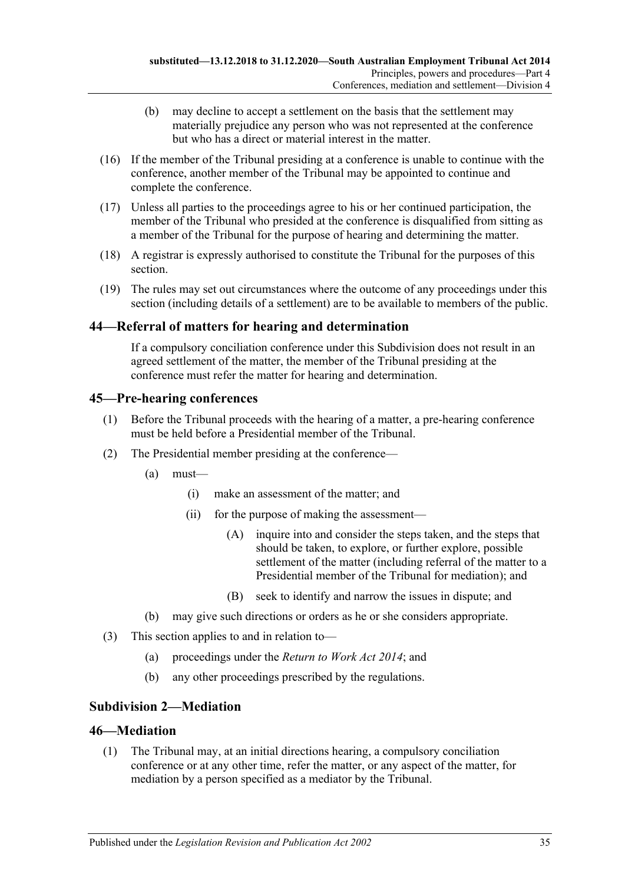- (b) may decline to accept a settlement on the basis that the settlement may materially prejudice any person who was not represented at the conference but who has a direct or material interest in the matter.
- (16) If the member of the Tribunal presiding at a conference is unable to continue with the conference, another member of the Tribunal may be appointed to continue and complete the conference.
- (17) Unless all parties to the proceedings agree to his or her continued participation, the member of the Tribunal who presided at the conference is disqualified from sitting as a member of the Tribunal for the purpose of hearing and determining the matter.
- (18) A registrar is expressly authorised to constitute the Tribunal for the purposes of this section.
- (19) The rules may set out circumstances where the outcome of any proceedings under this section (including details of a settlement) are to be available to members of the public.

## <span id="page-34-0"></span>**44—Referral of matters for hearing and determination**

If a compulsory conciliation conference under this Subdivision does not result in an agreed settlement of the matter, the member of the Tribunal presiding at the conference must refer the matter for hearing and determination.

# <span id="page-34-1"></span>**45—Pre-hearing conferences**

- (1) Before the Tribunal proceeds with the hearing of a matter, a pre-hearing conference must be held before a Presidential member of the Tribunal.
- (2) The Presidential member presiding at the conference—
	- (a) must—
		- (i) make an assessment of the matter; and
		- (ii) for the purpose of making the assessment—
			- (A) inquire into and consider the steps taken, and the steps that should be taken, to explore, or further explore, possible settlement of the matter (including referral of the matter to a Presidential member of the Tribunal for mediation); and
			- (B) seek to identify and narrow the issues in dispute; and
	- (b) may give such directions or orders as he or she considers appropriate.
- (3) This section applies to and in relation to—
	- (a) proceedings under the *[Return to Work Act](http://www.legislation.sa.gov.au/index.aspx?action=legref&type=act&legtitle=Return%20to%20Work%20Act%202014) 2014*; and
	- (b) any other proceedings prescribed by the regulations.

# <span id="page-34-2"></span>**Subdivision 2—Mediation**

## <span id="page-34-3"></span>**46—Mediation**

(1) The Tribunal may, at an initial directions hearing, a compulsory conciliation conference or at any other time, refer the matter, or any aspect of the matter, for mediation by a person specified as a mediator by the Tribunal.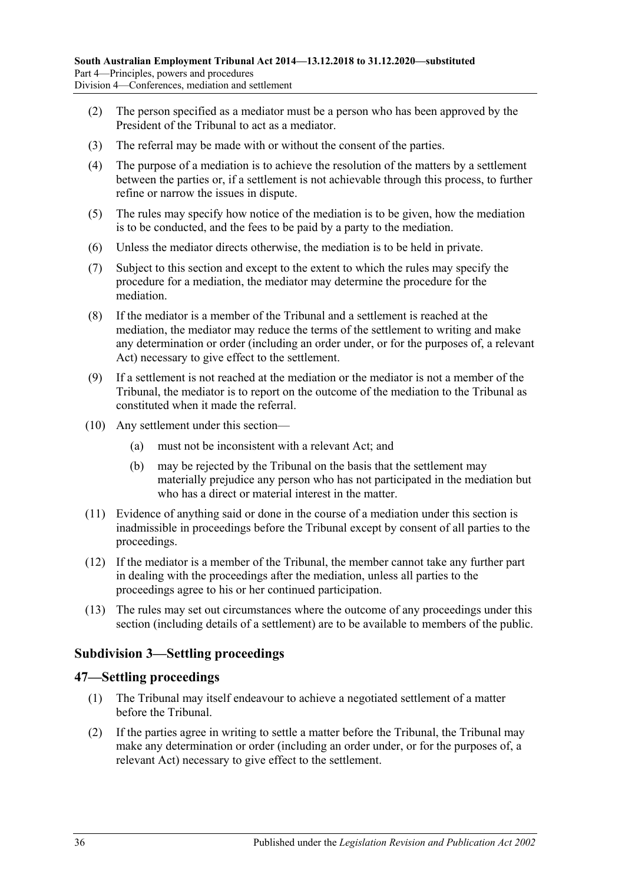- (2) The person specified as a mediator must be a person who has been approved by the President of the Tribunal to act as a mediator.
- (3) The referral may be made with or without the consent of the parties.
- (4) The purpose of a mediation is to achieve the resolution of the matters by a settlement between the parties or, if a settlement is not achievable through this process, to further refine or narrow the issues in dispute.
- (5) The rules may specify how notice of the mediation is to be given, how the mediation is to be conducted, and the fees to be paid by a party to the mediation.
- (6) Unless the mediator directs otherwise, the mediation is to be held in private.
- (7) Subject to this section and except to the extent to which the rules may specify the procedure for a mediation, the mediator may determine the procedure for the mediation.
- (8) If the mediator is a member of the Tribunal and a settlement is reached at the mediation, the mediator may reduce the terms of the settlement to writing and make any determination or order (including an order under, or for the purposes of, a relevant Act) necessary to give effect to the settlement.
- (9) If a settlement is not reached at the mediation or the mediator is not a member of the Tribunal, the mediator is to report on the outcome of the mediation to the Tribunal as constituted when it made the referral.
- (10) Any settlement under this section—
	- (a) must not be inconsistent with a relevant Act; and
	- (b) may be rejected by the Tribunal on the basis that the settlement may materially prejudice any person who has not participated in the mediation but who has a direct or material interest in the matter.
- (11) Evidence of anything said or done in the course of a mediation under this section is inadmissible in proceedings before the Tribunal except by consent of all parties to the proceedings.
- (12) If the mediator is a member of the Tribunal, the member cannot take any further part in dealing with the proceedings after the mediation, unless all parties to the proceedings agree to his or her continued participation.
- (13) The rules may set out circumstances where the outcome of any proceedings under this section (including details of a settlement) are to be available to members of the public.

# <span id="page-35-0"></span>**Subdivision 3—Settling proceedings**

#### <span id="page-35-1"></span>**47—Settling proceedings**

- (1) The Tribunal may itself endeavour to achieve a negotiated settlement of a matter before the Tribunal.
- <span id="page-35-2"></span>(2) If the parties agree in writing to settle a matter before the Tribunal, the Tribunal may make any determination or order (including an order under, or for the purposes of, a relevant Act) necessary to give effect to the settlement.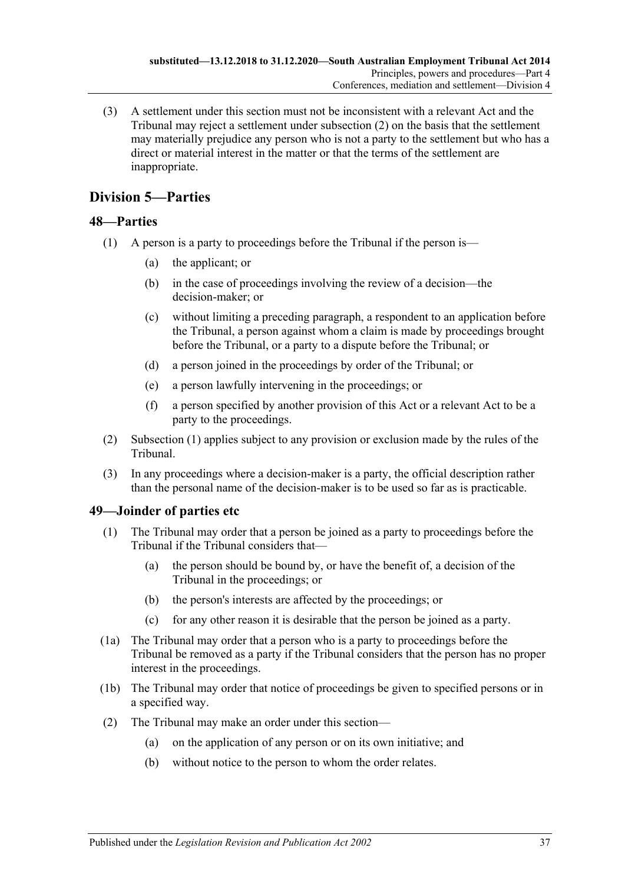(3) A settlement under this section must not be inconsistent with a relevant Act and the Tribunal may reject a settlement under [subsection](#page-35-2) (2) on the basis that the settlement may materially prejudice any person who is not a party to the settlement but who has a direct or material interest in the matter or that the terms of the settlement are inappropriate.

# <span id="page-36-0"></span>**Division 5—Parties**

# <span id="page-36-3"></span><span id="page-36-1"></span>**48—Parties**

- (1) A person is a party to proceedings before the Tribunal if the person is—
	- (a) the applicant; or
	- (b) in the case of proceedings involving the review of a decision—the decision-maker; or
	- (c) without limiting a preceding paragraph, a respondent to an application before the Tribunal, a person against whom a claim is made by proceedings brought before the Tribunal, or a party to a dispute before the Tribunal; or
	- (d) a person joined in the proceedings by order of the Tribunal; or
	- (e) a person lawfully intervening in the proceedings; or
	- (f) a person specified by another provision of this Act or a relevant Act to be a party to the proceedings.
- (2) [Subsection](#page-36-3) (1) applies subject to any provision or exclusion made by the rules of the Tribunal.
- (3) In any proceedings where a decision-maker is a party, the official description rather than the personal name of the decision-maker is to be used so far as is practicable.

## <span id="page-36-2"></span>**49—Joinder of parties etc**

- (1) The Tribunal may order that a person be joined as a party to proceedings before the Tribunal if the Tribunal considers that—
	- (a) the person should be bound by, or have the benefit of, a decision of the Tribunal in the proceedings; or
	- (b) the person's interests are affected by the proceedings; or
	- (c) for any other reason it is desirable that the person be joined as a party.
- (1a) The Tribunal may order that a person who is a party to proceedings before the Tribunal be removed as a party if the Tribunal considers that the person has no proper interest in the proceedings.
- (1b) The Tribunal may order that notice of proceedings be given to specified persons or in a specified way.
- (2) The Tribunal may make an order under this section—
	- (a) on the application of any person or on its own initiative; and
	- (b) without notice to the person to whom the order relates.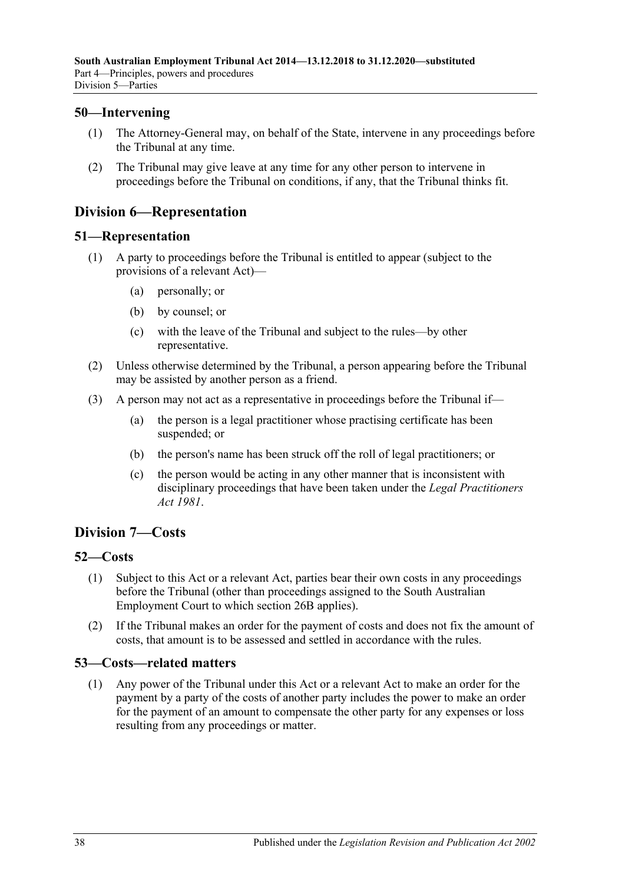## <span id="page-37-0"></span>**50—Intervening**

- (1) The Attorney-General may, on behalf of the State, intervene in any proceedings before the Tribunal at any time.
- (2) The Tribunal may give leave at any time for any other person to intervene in proceedings before the Tribunal on conditions, if any, that the Tribunal thinks fit.

# <span id="page-37-1"></span>**Division 6—Representation**

#### <span id="page-37-2"></span>**51—Representation**

- (1) A party to proceedings before the Tribunal is entitled to appear (subject to the provisions of a relevant Act)—
	- (a) personally; or
	- (b) by counsel; or
	- (c) with the leave of the Tribunal and subject to the rules—by other representative.
- (2) Unless otherwise determined by the Tribunal, a person appearing before the Tribunal may be assisted by another person as a friend.
- (3) A person may not act as a representative in proceedings before the Tribunal if—
	- (a) the person is a legal practitioner whose practising certificate has been suspended; or
	- (b) the person's name has been struck off the roll of legal practitioners; or
	- (c) the person would be acting in any other manner that is inconsistent with disciplinary proceedings that have been taken under the *[Legal Practitioners](http://www.legislation.sa.gov.au/index.aspx?action=legref&type=act&legtitle=Legal%20Practitioners%20Act%201981)  Act [1981](http://www.legislation.sa.gov.au/index.aspx?action=legref&type=act&legtitle=Legal%20Practitioners%20Act%201981)*.

# <span id="page-37-3"></span>**Division 7—Costs**

## <span id="page-37-4"></span>**52—Costs**

- (1) Subject to this Act or a relevant Act, parties bear their own costs in any proceedings before the Tribunal (other than proceedings assigned to the South Australian Employment Court to which [section](#page-21-3) 26B applies).
- (2) If the Tribunal makes an order for the payment of costs and does not fix the amount of costs, that amount is to be assessed and settled in accordance with the rules.

## <span id="page-37-5"></span>**53—Costs—related matters**

(1) Any power of the Tribunal under this Act or a relevant Act to make an order for the payment by a party of the costs of another party includes the power to make an order for the payment of an amount to compensate the other party for any expenses or loss resulting from any proceedings or matter.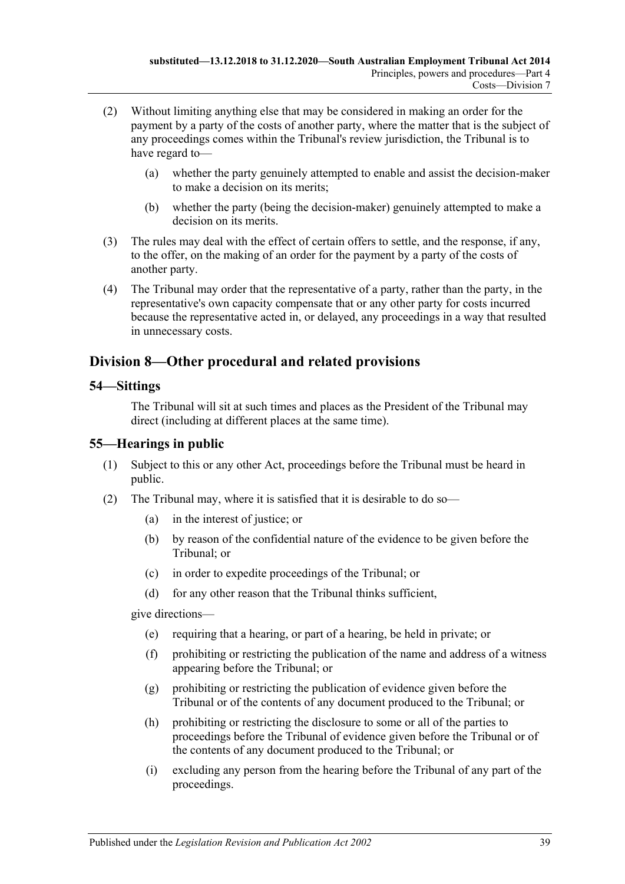- (2) Without limiting anything else that may be considered in making an order for the payment by a party of the costs of another party, where the matter that is the subject of any proceedings comes within the Tribunal's review jurisdiction, the Tribunal is to have regard to—
	- (a) whether the party genuinely attempted to enable and assist the decision-maker to make a decision on its merits;
	- (b) whether the party (being the decision-maker) genuinely attempted to make a decision on its merits.
- (3) The rules may deal with the effect of certain offers to settle, and the response, if any, to the offer, on the making of an order for the payment by a party of the costs of another party.
- (4) The Tribunal may order that the representative of a party, rather than the party, in the representative's own capacity compensate that or any other party for costs incurred because the representative acted in, or delayed, any proceedings in a way that resulted in unnecessary costs.

# <span id="page-38-0"></span>**Division 8—Other procedural and related provisions**

#### <span id="page-38-1"></span>**54—Sittings**

The Tribunal will sit at such times and places as the President of the Tribunal may direct (including at different places at the same time).

## <span id="page-38-2"></span>**55—Hearings in public**

- (1) Subject to this or any other Act, proceedings before the Tribunal must be heard in public.
- <span id="page-38-3"></span>(2) The Tribunal may, where it is satisfied that it is desirable to do so—
	- (a) in the interest of justice; or
	- (b) by reason of the confidential nature of the evidence to be given before the Tribunal; or
	- (c) in order to expedite proceedings of the Tribunal; or
	- (d) for any other reason that the Tribunal thinks sufficient,

give directions—

- (e) requiring that a hearing, or part of a hearing, be held in private; or
- (f) prohibiting or restricting the publication of the name and address of a witness appearing before the Tribunal; or
- (g) prohibiting or restricting the publication of evidence given before the Tribunal or of the contents of any document produced to the Tribunal; or
- (h) prohibiting or restricting the disclosure to some or all of the parties to proceedings before the Tribunal of evidence given before the Tribunal or of the contents of any document produced to the Tribunal; or
- (i) excluding any person from the hearing before the Tribunal of any part of the proceedings.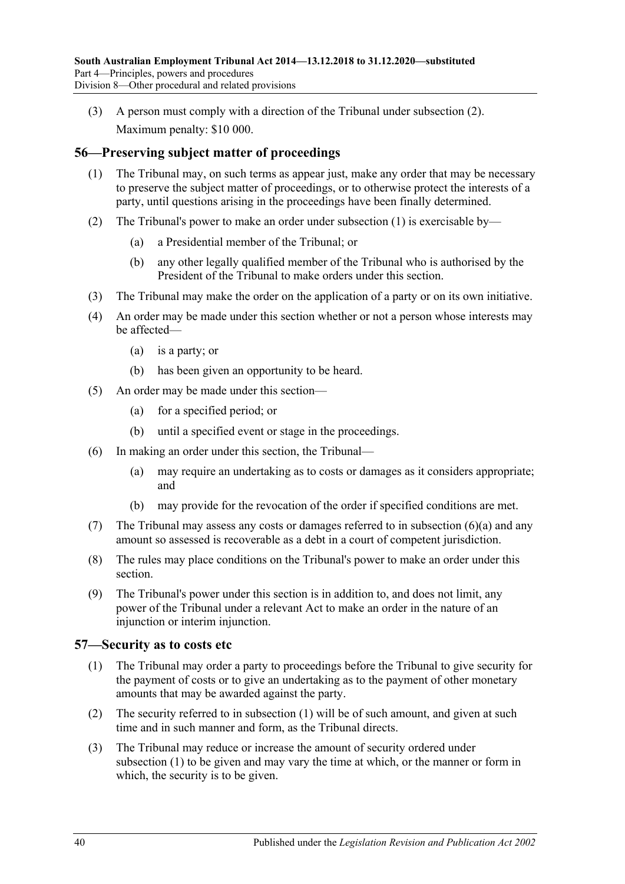(3) A person must comply with a direction of the Tribunal under [subsection](#page-38-3) (2). Maximum penalty: \$10 000.

# <span id="page-39-2"></span><span id="page-39-0"></span>**56—Preserving subject matter of proceedings**

- (1) The Tribunal may, on such terms as appear just, make any order that may be necessary to preserve the subject matter of proceedings, or to otherwise protect the interests of a party, until questions arising in the proceedings have been finally determined.
- (2) The Tribunal's power to make an order under [subsection](#page-39-2) (1) is exercisable by—
	- (a) a Presidential member of the Tribunal; or
	- (b) any other legally qualified member of the Tribunal who is authorised by the President of the Tribunal to make orders under this section.
- (3) The Tribunal may make the order on the application of a party or on its own initiative.
- (4) An order may be made under this section whether or not a person whose interests may be affected—
	- (a) is a party; or
	- (b) has been given an opportunity to be heard.
- (5) An order may be made under this section—
	- (a) for a specified period; or
	- (b) until a specified event or stage in the proceedings.
- <span id="page-39-3"></span>(6) In making an order under this section, the Tribunal—
	- (a) may require an undertaking as to costs or damages as it considers appropriate; and
	- (b) may provide for the revocation of the order if specified conditions are met.
- (7) The Tribunal may assess any costs or damages referred to in [subsection](#page-39-3) (6)(a) and any amount so assessed is recoverable as a debt in a court of competent jurisdiction.
- (8) The rules may place conditions on the Tribunal's power to make an order under this section.
- (9) The Tribunal's power under this section is in addition to, and does not limit, any power of the Tribunal under a relevant Act to make an order in the nature of an injunction or interim injunction.

## <span id="page-39-4"></span><span id="page-39-1"></span>**57—Security as to costs etc**

- (1) The Tribunal may order a party to proceedings before the Tribunal to give security for the payment of costs or to give an undertaking as to the payment of other monetary amounts that may be awarded against the party.
- (2) The security referred to in [subsection](#page-39-4) (1) will be of such amount, and given at such time and in such manner and form, as the Tribunal directs.
- (3) The Tribunal may reduce or increase the amount of security ordered under [subsection](#page-39-4) (1) to be given and may vary the time at which, or the manner or form in which, the security is to be given.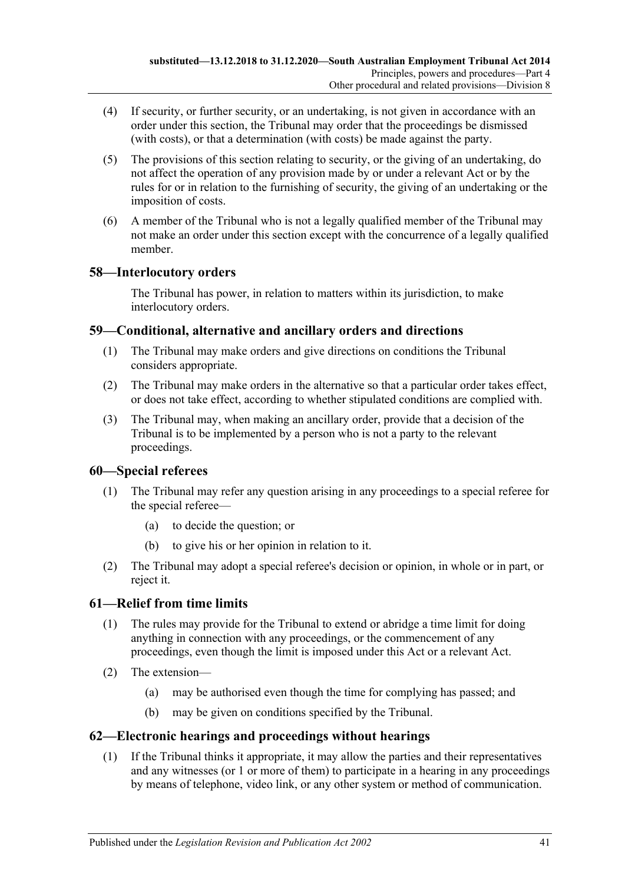- (4) If security, or further security, or an undertaking, is not given in accordance with an order under this section, the Tribunal may order that the proceedings be dismissed (with costs), or that a determination (with costs) be made against the party.
- (5) The provisions of this section relating to security, or the giving of an undertaking, do not affect the operation of any provision made by or under a relevant Act or by the rules for or in relation to the furnishing of security, the giving of an undertaking or the imposition of costs.
- (6) A member of the Tribunal who is not a legally qualified member of the Tribunal may not make an order under this section except with the concurrence of a legally qualified member.

# <span id="page-40-0"></span>**58—Interlocutory orders**

The Tribunal has power, in relation to matters within its jurisdiction, to make interlocutory orders.

# <span id="page-40-1"></span>**59—Conditional, alternative and ancillary orders and directions**

- (1) The Tribunal may make orders and give directions on conditions the Tribunal considers appropriate.
- (2) The Tribunal may make orders in the alternative so that a particular order takes effect, or does not take effect, according to whether stipulated conditions are complied with.
- (3) The Tribunal may, when making an ancillary order, provide that a decision of the Tribunal is to be implemented by a person who is not a party to the relevant proceedings.

## <span id="page-40-2"></span>**60—Special referees**

- (1) The Tribunal may refer any question arising in any proceedings to a special referee for the special referee—
	- (a) to decide the question; or
	- (b) to give his or her opinion in relation to it.
- (2) The Tribunal may adopt a special referee's decision or opinion, in whole or in part, or reject it.

# <span id="page-40-3"></span>**61—Relief from time limits**

- (1) The rules may provide for the Tribunal to extend or abridge a time limit for doing anything in connection with any proceedings, or the commencement of any proceedings, even though the limit is imposed under this Act or a relevant Act.
- (2) The extension—
	- (a) may be authorised even though the time for complying has passed; and
	- (b) may be given on conditions specified by the Tribunal.

## <span id="page-40-4"></span>**62—Electronic hearings and proceedings without hearings**

(1) If the Tribunal thinks it appropriate, it may allow the parties and their representatives and any witnesses (or 1 or more of them) to participate in a hearing in any proceedings by means of telephone, video link, or any other system or method of communication.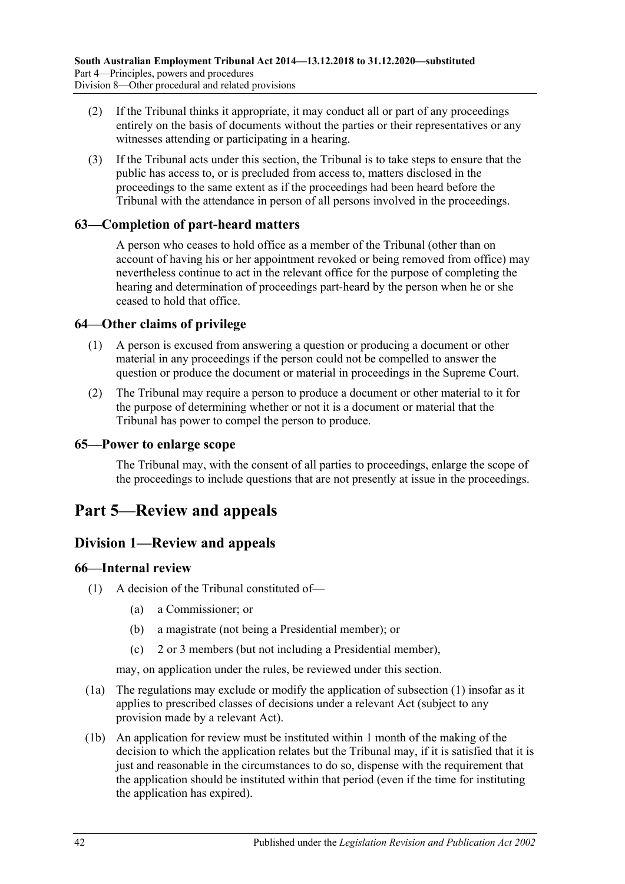- (2) If the Tribunal thinks it appropriate, it may conduct all or part of any proceedings entirely on the basis of documents without the parties or their representatives or any witnesses attending or participating in a hearing.
- (3) If the Tribunal acts under this section, the Tribunal is to take steps to ensure that the public has access to, or is precluded from access to, matters disclosed in the proceedings to the same extent as if the proceedings had been heard before the Tribunal with the attendance in person of all persons involved in the proceedings.

## <span id="page-41-0"></span>**63—Completion of part-heard matters**

A person who ceases to hold office as a member of the Tribunal (other than on account of having his or her appointment revoked or being removed from office) may nevertheless continue to act in the relevant office for the purpose of completing the hearing and determination of proceedings part-heard by the person when he or she ceased to hold that office.

#### <span id="page-41-1"></span>**64—Other claims of privilege**

- (1) A person is excused from answering a question or producing a document or other material in any proceedings if the person could not be compelled to answer the question or produce the document or material in proceedings in the Supreme Court.
- (2) The Tribunal may require a person to produce a document or other material to it for the purpose of determining whether or not it is a document or material that the Tribunal has power to compel the person to produce.

#### <span id="page-41-2"></span>**65—Power to enlarge scope**

The Tribunal may, with the consent of all parties to proceedings, enlarge the scope of the proceedings to include questions that are not presently at issue in the proceedings.

# <span id="page-41-3"></span>**Part 5—Review and appeals**

# <span id="page-41-4"></span>**Division 1—Review and appeals**

#### <span id="page-41-6"></span><span id="page-41-5"></span>**66—Internal review**

- (1) A decision of the Tribunal constituted of—
	- (a) a Commissioner; or
	- (b) a magistrate (not being a Presidential member); or
	- (c) 2 or 3 members (but not including a Presidential member),

may, on application under the rules, be reviewed under this section.

- (1a) The regulations may exclude or modify the application of [subsection](#page-41-6) (1) insofar as it applies to prescribed classes of decisions under a relevant Act (subject to any provision made by a relevant Act).
- (1b) An application for review must be instituted within 1 month of the making of the decision to which the application relates but the Tribunal may, if it is satisfied that it is just and reasonable in the circumstances to do so, dispense with the requirement that the application should be instituted within that period (even if the time for instituting the application has expired).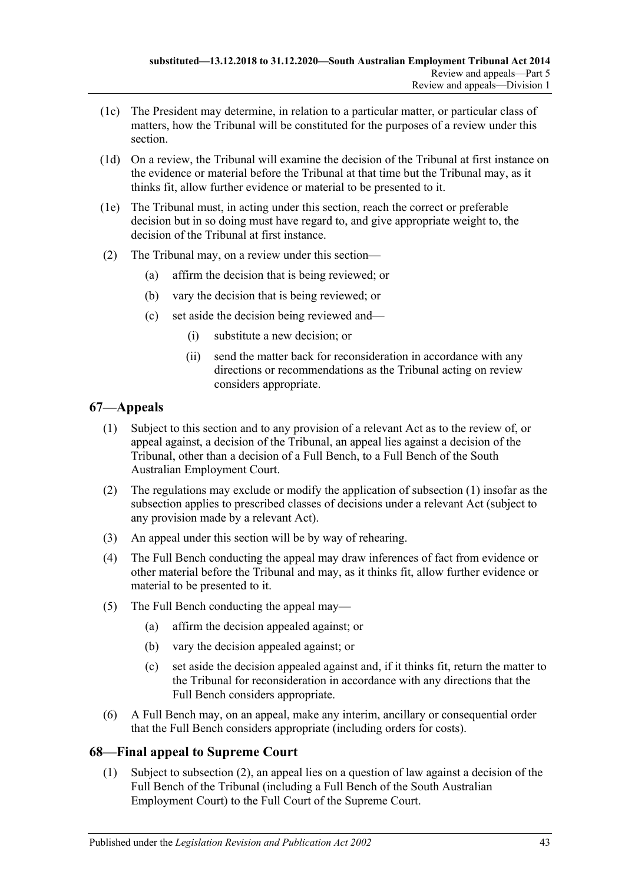- (1c) The President may determine, in relation to a particular matter, or particular class of matters, how the Tribunal will be constituted for the purposes of a review under this section.
- (1d) On a review, the Tribunal will examine the decision of the Tribunal at first instance on the evidence or material before the Tribunal at that time but the Tribunal may, as it thinks fit, allow further evidence or material to be presented to it.
- (1e) The Tribunal must, in acting under this section, reach the correct or preferable decision but in so doing must have regard to, and give appropriate weight to, the decision of the Tribunal at first instance.
- (2) The Tribunal may, on a review under this section—
	- (a) affirm the decision that is being reviewed; or
	- (b) vary the decision that is being reviewed; or
	- (c) set aside the decision being reviewed and—
		- (i) substitute a new decision; or
		- (ii) send the matter back for reconsideration in accordance with any directions or recommendations as the Tribunal acting on review considers appropriate.

# <span id="page-42-2"></span><span id="page-42-0"></span>**67—Appeals**

- (1) Subject to this section and to any provision of a relevant Act as to the review of, or appeal against, a decision of the Tribunal, an appeal lies against a decision of the Tribunal, other than a decision of a Full Bench, to a Full Bench of the South Australian Employment Court.
- (2) The regulations may exclude or modify the application of [subsection](#page-42-2) (1) insofar as the subsection applies to prescribed classes of decisions under a relevant Act (subject to any provision made by a relevant Act).
- (3) An appeal under this section will be by way of rehearing.
- (4) The Full Bench conducting the appeal may draw inferences of fact from evidence or other material before the Tribunal and may, as it thinks fit, allow further evidence or material to be presented to it.
- (5) The Full Bench conducting the appeal may—
	- (a) affirm the decision appealed against; or
	- (b) vary the decision appealed against; or
	- (c) set aside the decision appealed against and, if it thinks fit, return the matter to the Tribunal for reconsideration in accordance with any directions that the Full Bench considers appropriate.
- (6) A Full Bench may, on an appeal, make any interim, ancillary or consequential order that the Full Bench considers appropriate (including orders for costs).

# <span id="page-42-1"></span>**68—Final appeal to Supreme Court**

(1) Subject to [subsection](#page-43-6) (2), an appeal lies on a question of law against a decision of the Full Bench of the Tribunal (including a Full Bench of the South Australian Employment Court) to the Full Court of the Supreme Court.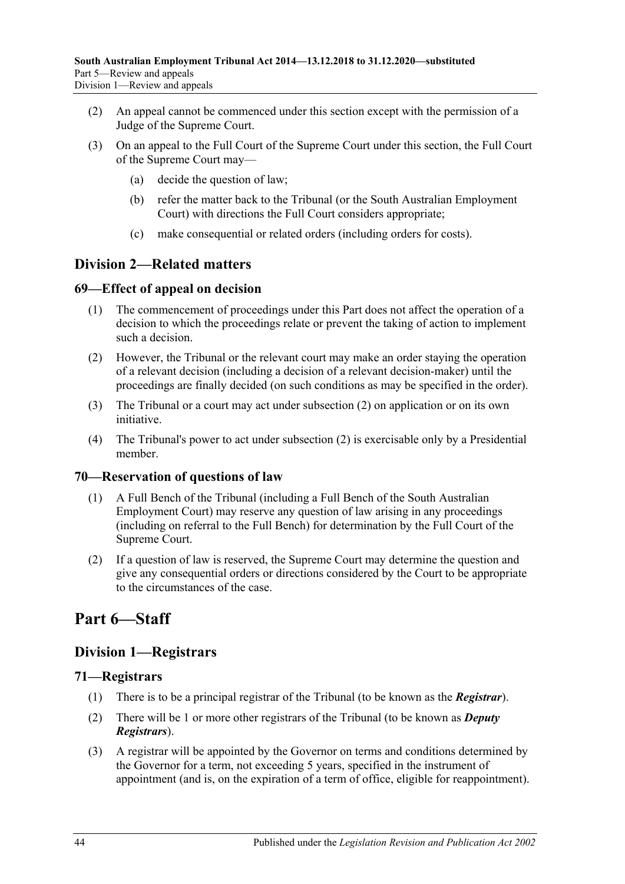- <span id="page-43-6"></span>(2) An appeal cannot be commenced under this section except with the permission of a Judge of the Supreme Court.
- (3) On an appeal to the Full Court of the Supreme Court under this section, the Full Court of the Supreme Court may—
	- (a) decide the question of law;
	- (b) refer the matter back to the Tribunal (or the South Australian Employment Court) with directions the Full Court considers appropriate;
	- (c) make consequential or related orders (including orders for costs).

# <span id="page-43-0"></span>**Division 2—Related matters**

# <span id="page-43-1"></span>**69—Effect of appeal on decision**

- (1) The commencement of proceedings under this Part does not affect the operation of a decision to which the proceedings relate or prevent the taking of action to implement such a decision.
- <span id="page-43-7"></span>(2) However, the Tribunal or the relevant court may make an order staying the operation of a relevant decision (including a decision of a relevant decision-maker) until the proceedings are finally decided (on such conditions as may be specified in the order).
- (3) The Tribunal or a court may act under [subsection](#page-43-7) (2) on application or on its own initiative.
- (4) The Tribunal's power to act under [subsection](#page-43-7) (2) is exercisable only by a Presidential member.

# <span id="page-43-2"></span>**70—Reservation of questions of law**

- (1) A Full Bench of the Tribunal (including a Full Bench of the South Australian Employment Court) may reserve any question of law arising in any proceedings (including on referral to the Full Bench) for determination by the Full Court of the Supreme Court.
- (2) If a question of law is reserved, the Supreme Court may determine the question and give any consequential orders or directions considered by the Court to be appropriate to the circumstances of the case.

# <span id="page-43-3"></span>**Part 6—Staff**

# <span id="page-43-4"></span>**Division 1—Registrars**

# <span id="page-43-5"></span>**71—Registrars**

- (1) There is to be a principal registrar of the Tribunal (to be known as the *Registrar*).
- (2) There will be 1 or more other registrars of the Tribunal (to be known as *Deputy Registrars*).
- (3) A registrar will be appointed by the Governor on terms and conditions determined by the Governor for a term, not exceeding 5 years, specified in the instrument of appointment (and is, on the expiration of a term of office, eligible for reappointment).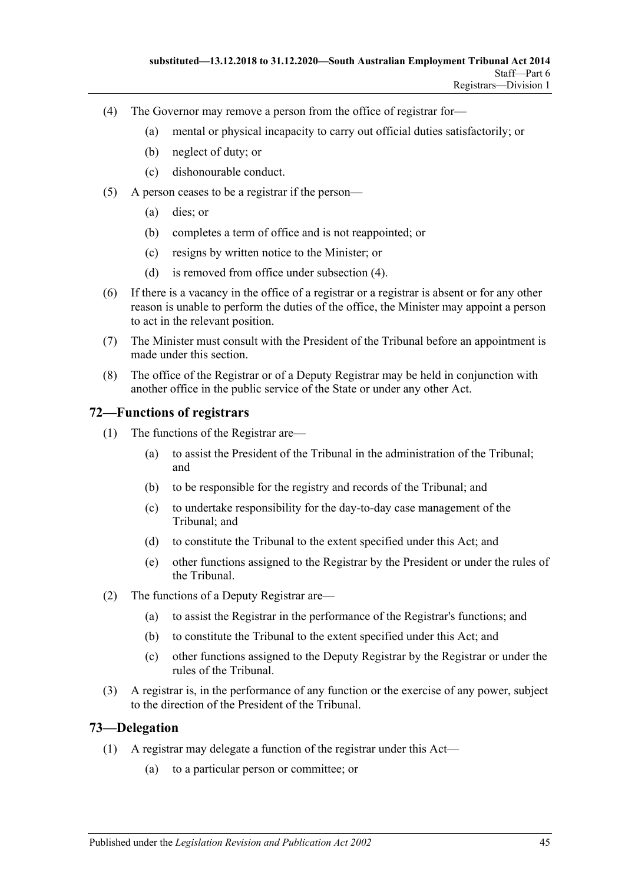- <span id="page-44-2"></span>(4) The Governor may remove a person from the office of registrar for—
	- (a) mental or physical incapacity to carry out official duties satisfactorily; or
	- (b) neglect of duty; or
	- (c) dishonourable conduct.
- (5) A person ceases to be a registrar if the person—
	- (a) dies; or
	- (b) completes a term of office and is not reappointed; or
	- (c) resigns by written notice to the Minister; or
	- (d) is removed from office under [subsection](#page-44-2) (4).
- (6) If there is a vacancy in the office of a registrar or a registrar is absent or for any other reason is unable to perform the duties of the office, the Minister may appoint a person to act in the relevant position.
- (7) The Minister must consult with the President of the Tribunal before an appointment is made under this section.
- (8) The office of the Registrar or of a Deputy Registrar may be held in conjunction with another office in the public service of the State or under any other Act.

# <span id="page-44-0"></span>**72—Functions of registrars**

- (1) The functions of the Registrar are—
	- (a) to assist the President of the Tribunal in the administration of the Tribunal; and
	- (b) to be responsible for the registry and records of the Tribunal; and
	- (c) to undertake responsibility for the day-to-day case management of the Tribunal; and
	- (d) to constitute the Tribunal to the extent specified under this Act; and
	- (e) other functions assigned to the Registrar by the President or under the rules of the Tribunal.
- (2) The functions of a Deputy Registrar are—
	- (a) to assist the Registrar in the performance of the Registrar's functions; and
	- (b) to constitute the Tribunal to the extent specified under this Act; and
	- (c) other functions assigned to the Deputy Registrar by the Registrar or under the rules of the Tribunal.
- (3) A registrar is, in the performance of any function or the exercise of any power, subject to the direction of the President of the Tribunal.

#### <span id="page-44-3"></span><span id="page-44-1"></span>**73—Delegation**

- (1) A registrar may delegate a function of the registrar under this Act—
	- (a) to a particular person or committee; or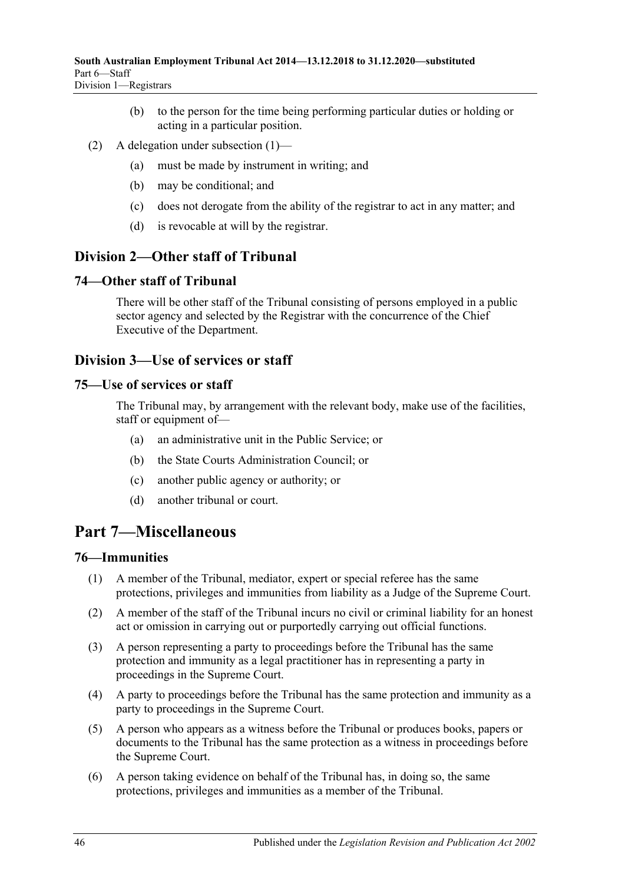- (b) to the person for the time being performing particular duties or holding or acting in a particular position.
- (2) A delegation under [subsection](#page-44-3) (1)—
	- (a) must be made by instrument in writing; and
	- (b) may be conditional; and
	- (c) does not derogate from the ability of the registrar to act in any matter; and
	- (d) is revocable at will by the registrar.

# <span id="page-45-0"></span>**Division 2—Other staff of Tribunal**

## <span id="page-45-1"></span>**74—Other staff of Tribunal**

There will be other staff of the Tribunal consisting of persons employed in a public sector agency and selected by the Registrar with the concurrence of the Chief Executive of the Department.

# <span id="page-45-2"></span>**Division 3—Use of services or staff**

#### <span id="page-45-3"></span>**75—Use of services or staff**

The Tribunal may, by arrangement with the relevant body, make use of the facilities, staff or equipment of—

- (a) an administrative unit in the Public Service; or
- (b) the State Courts Administration Council; or
- (c) another public agency or authority; or
- (d) another tribunal or court.

# <span id="page-45-4"></span>**Part 7—Miscellaneous**

## <span id="page-45-5"></span>**76—Immunities**

- (1) A member of the Tribunal, mediator, expert or special referee has the same protections, privileges and immunities from liability as a Judge of the Supreme Court.
- (2) A member of the staff of the Tribunal incurs no civil or criminal liability for an honest act or omission in carrying out or purportedly carrying out official functions.
- (3) A person representing a party to proceedings before the Tribunal has the same protection and immunity as a legal practitioner has in representing a party in proceedings in the Supreme Court.
- (4) A party to proceedings before the Tribunal has the same protection and immunity as a party to proceedings in the Supreme Court.
- (5) A person who appears as a witness before the Tribunal or produces books, papers or documents to the Tribunal has the same protection as a witness in proceedings before the Supreme Court.
- (6) A person taking evidence on behalf of the Tribunal has, in doing so, the same protections, privileges and immunities as a member of the Tribunal.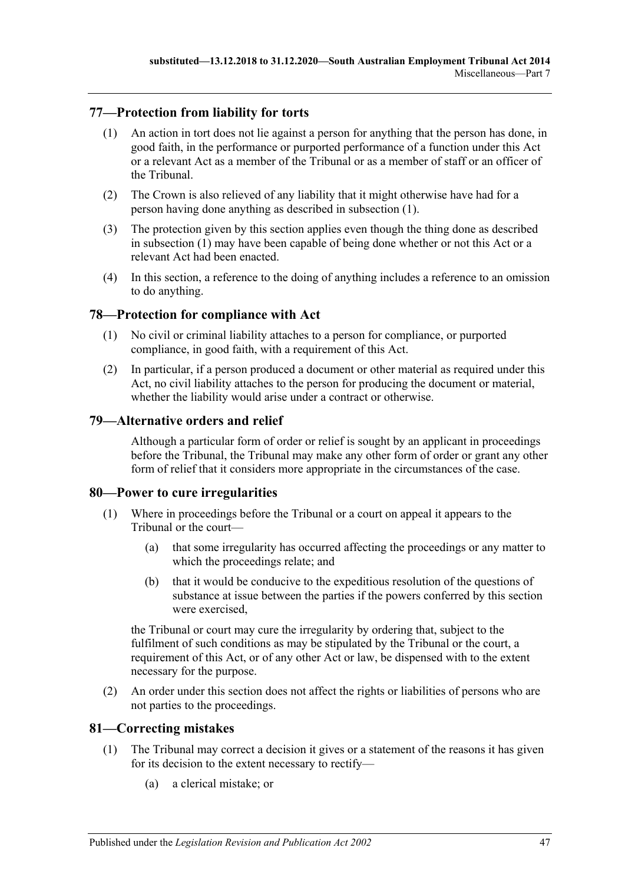## <span id="page-46-5"></span><span id="page-46-0"></span>**77—Protection from liability for torts**

- (1) An action in tort does not lie against a person for anything that the person has done, in good faith, in the performance or purported performance of a function under this Act or a relevant Act as a member of the Tribunal or as a member of staff or an officer of the Tribunal.
- (2) The Crown is also relieved of any liability that it might otherwise have had for a person having done anything as described in [subsection](#page-46-5) (1).
- (3) The protection given by this section applies even though the thing done as described in [subsection](#page-46-5) (1) may have been capable of being done whether or not this Act or a relevant Act had been enacted.
- (4) In this section, a reference to the doing of anything includes a reference to an omission to do anything.

## <span id="page-46-1"></span>**78—Protection for compliance with Act**

- (1) No civil or criminal liability attaches to a person for compliance, or purported compliance, in good faith, with a requirement of this Act.
- (2) In particular, if a person produced a document or other material as required under this Act, no civil liability attaches to the person for producing the document or material, whether the liability would arise under a contract or otherwise.

#### <span id="page-46-2"></span>**79—Alternative orders and relief**

Although a particular form of order or relief is sought by an applicant in proceedings before the Tribunal, the Tribunal may make any other form of order or grant any other form of relief that it considers more appropriate in the circumstances of the case.

## <span id="page-46-3"></span>**80—Power to cure irregularities**

- (1) Where in proceedings before the Tribunal or a court on appeal it appears to the Tribunal or the court—
	- (a) that some irregularity has occurred affecting the proceedings or any matter to which the proceedings relate; and
	- (b) that it would be conducive to the expeditious resolution of the questions of substance at issue between the parties if the powers conferred by this section were exercised,

the Tribunal or court may cure the irregularity by ordering that, subject to the fulfilment of such conditions as may be stipulated by the Tribunal or the court, a requirement of this Act, or of any other Act or law, be dispensed with to the extent necessary for the purpose.

(2) An order under this section does not affect the rights or liabilities of persons who are not parties to the proceedings.

## <span id="page-46-4"></span>**81—Correcting mistakes**

- (1) The Tribunal may correct a decision it gives or a statement of the reasons it has given for its decision to the extent necessary to rectify—
	- (a) a clerical mistake; or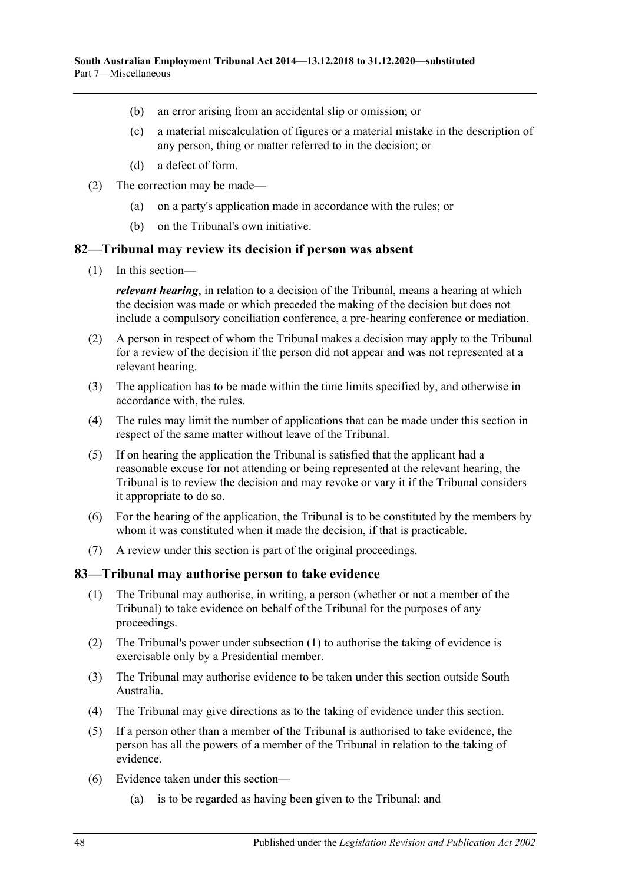- (b) an error arising from an accidental slip or omission; or
- (c) a material miscalculation of figures or a material mistake in the description of any person, thing or matter referred to in the decision; or
- (d) a defect of form.
- (2) The correction may be made—
	- (a) on a party's application made in accordance with the rules; or
	- (b) on the Tribunal's own initiative.

#### <span id="page-47-0"></span>**82—Tribunal may review its decision if person was absent**

(1) In this section—

*relevant hearing*, in relation to a decision of the Tribunal, means a hearing at which the decision was made or which preceded the making of the decision but does not include a compulsory conciliation conference, a pre-hearing conference or mediation.

- (2) A person in respect of whom the Tribunal makes a decision may apply to the Tribunal for a review of the decision if the person did not appear and was not represented at a relevant hearing.
- (3) The application has to be made within the time limits specified by, and otherwise in accordance with, the rules.
- (4) The rules may limit the number of applications that can be made under this section in respect of the same matter without leave of the Tribunal.
- (5) If on hearing the application the Tribunal is satisfied that the applicant had a reasonable excuse for not attending or being represented at the relevant hearing, the Tribunal is to review the decision and may revoke or vary it if the Tribunal considers it appropriate to do so.
- (6) For the hearing of the application, the Tribunal is to be constituted by the members by whom it was constituted when it made the decision, if that is practicable.
- (7) A review under this section is part of the original proceedings.

#### <span id="page-47-2"></span><span id="page-47-1"></span>**83—Tribunal may authorise person to take evidence**

- (1) The Tribunal may authorise, in writing, a person (whether or not a member of the Tribunal) to take evidence on behalf of the Tribunal for the purposes of any proceedings.
- (2) The Tribunal's power under [subsection](#page-47-2) (1) to authorise the taking of evidence is exercisable only by a Presidential member.
- (3) The Tribunal may authorise evidence to be taken under this section outside South Australia.
- (4) The Tribunal may give directions as to the taking of evidence under this section.
- (5) If a person other than a member of the Tribunal is authorised to take evidence, the person has all the powers of a member of the Tribunal in relation to the taking of evidence.
- (6) Evidence taken under this section—
	- (a) is to be regarded as having been given to the Tribunal; and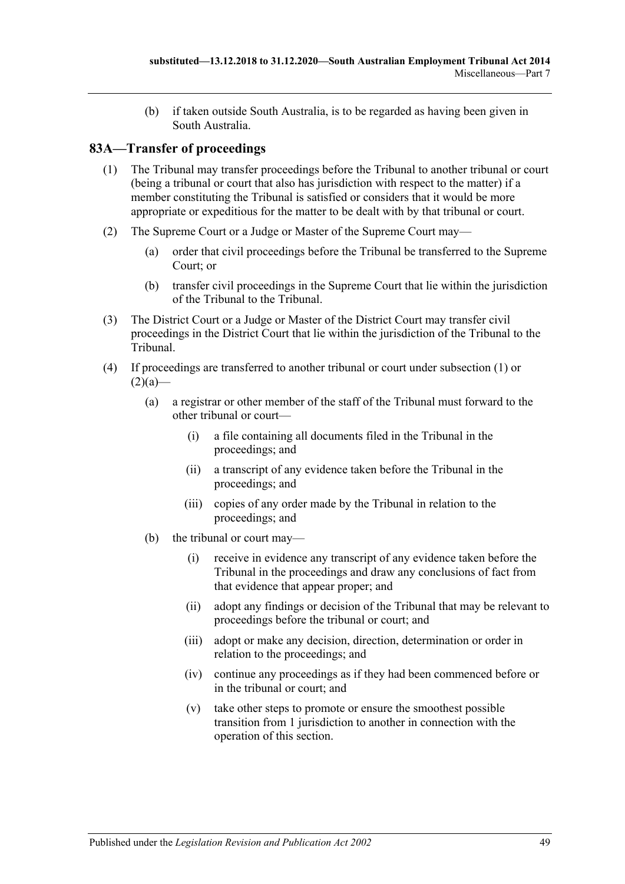(b) if taken outside South Australia, is to be regarded as having been given in South Australia.

# <span id="page-48-1"></span><span id="page-48-0"></span>**83A—Transfer of proceedings**

- (1) The Tribunal may transfer proceedings before the Tribunal to another tribunal or court (being a tribunal or court that also has jurisdiction with respect to the matter) if a member constituting the Tribunal is satisfied or considers that it would be more appropriate or expeditious for the matter to be dealt with by that tribunal or court.
- <span id="page-48-2"></span>(2) The Supreme Court or a Judge or Master of the Supreme Court may—
	- (a) order that civil proceedings before the Tribunal be transferred to the Supreme Court; or
	- (b) transfer civil proceedings in the Supreme Court that lie within the jurisdiction of the Tribunal to the Tribunal.
- <span id="page-48-4"></span><span id="page-48-3"></span>(3) The District Court or a Judge or Master of the District Court may transfer civil proceedings in the District Court that lie within the jurisdiction of the Tribunal to the Tribunal.
- (4) If proceedings are transferred to another tribunal or court under [subsection](#page-48-1) (1) or  $(2)(a)$ —
	- (a) a registrar or other member of the staff of the Tribunal must forward to the other tribunal or court—
		- (i) a file containing all documents filed in the Tribunal in the proceedings; and
		- (ii) a transcript of any evidence taken before the Tribunal in the proceedings; and
		- (iii) copies of any order made by the Tribunal in relation to the proceedings; and
	- (b) the tribunal or court may—
		- (i) receive in evidence any transcript of any evidence taken before the Tribunal in the proceedings and draw any conclusions of fact from that evidence that appear proper; and
		- (ii) adopt any findings or decision of the Tribunal that may be relevant to proceedings before the tribunal or court; and
		- (iii) adopt or make any decision, direction, determination or order in relation to the proceedings; and
		- (iv) continue any proceedings as if they had been commenced before or in the tribunal or court; and
		- (v) take other steps to promote or ensure the smoothest possible transition from 1 jurisdiction to another in connection with the operation of this section.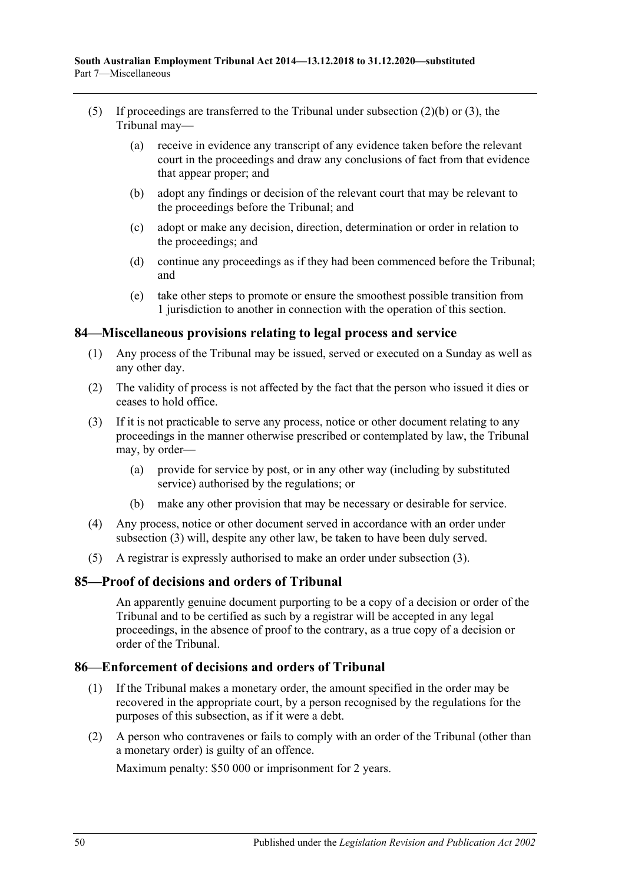- (5) If proceedings are transferred to the Tribunal under [subsection](#page-48-3) (2)(b) or [\(3\),](#page-48-4) the Tribunal may—
	- (a) receive in evidence any transcript of any evidence taken before the relevant court in the proceedings and draw any conclusions of fact from that evidence that appear proper; and
	- (b) adopt any findings or decision of the relevant court that may be relevant to the proceedings before the Tribunal; and
	- (c) adopt or make any decision, direction, determination or order in relation to the proceedings; and
	- (d) continue any proceedings as if they had been commenced before the Tribunal; and
	- (e) take other steps to promote or ensure the smoothest possible transition from 1 jurisdiction to another in connection with the operation of this section.

## <span id="page-49-0"></span>**84—Miscellaneous provisions relating to legal process and service**

- (1) Any process of the Tribunal may be issued, served or executed on a Sunday as well as any other day.
- (2) The validity of process is not affected by the fact that the person who issued it dies or ceases to hold office.
- <span id="page-49-3"></span>(3) If it is not practicable to serve any process, notice or other document relating to any proceedings in the manner otherwise prescribed or contemplated by law, the Tribunal may, by order—
	- (a) provide for service by post, or in any other way (including by substituted service) authorised by the regulations; or
	- (b) make any other provision that may be necessary or desirable for service.
- (4) Any process, notice or other document served in accordance with an order under [subsection](#page-49-3) (3) will, despite any other law, be taken to have been duly served.
- (5) A registrar is expressly authorised to make an order under [subsection](#page-49-3) (3).

## <span id="page-49-1"></span>**85—Proof of decisions and orders of Tribunal**

An apparently genuine document purporting to be a copy of a decision or order of the Tribunal and to be certified as such by a registrar will be accepted in any legal proceedings, in the absence of proof to the contrary, as a true copy of a decision or order of the Tribunal.

## <span id="page-49-2"></span>**86—Enforcement of decisions and orders of Tribunal**

- (1) If the Tribunal makes a monetary order, the amount specified in the order may be recovered in the appropriate court, by a person recognised by the regulations for the purposes of this subsection, as if it were a debt.
- (2) A person who contravenes or fails to comply with an order of the Tribunal (other than a monetary order) is guilty of an offence.

Maximum penalty: \$50 000 or imprisonment for 2 years.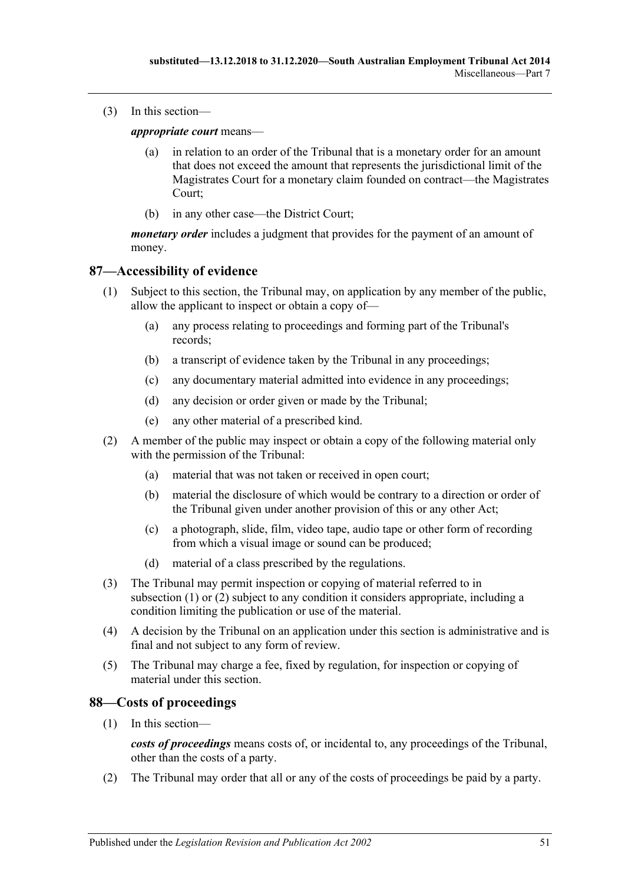(3) In this section—

*appropriate court* means—

- (a) in relation to an order of the Tribunal that is a monetary order for an amount that does not exceed the amount that represents the jurisdictional limit of the Magistrates Court for a monetary claim founded on contract—the Magistrates Court;
- (b) in any other case—the District Court;

*monetary order* includes a judgment that provides for the payment of an amount of money.

# <span id="page-50-2"></span><span id="page-50-0"></span>**87—Accessibility of evidence**

- (1) Subject to this section, the Tribunal may, on application by any member of the public, allow the applicant to inspect or obtain a copy of—
	- (a) any process relating to proceedings and forming part of the Tribunal's records;
	- (b) a transcript of evidence taken by the Tribunal in any proceedings;
	- (c) any documentary material admitted into evidence in any proceedings;
	- (d) any decision or order given or made by the Tribunal;
	- (e) any other material of a prescribed kind.
- <span id="page-50-3"></span>(2) A member of the public may inspect or obtain a copy of the following material only with the permission of the Tribunal:
	- (a) material that was not taken or received in open court;
	- (b) material the disclosure of which would be contrary to a direction or order of the Tribunal given under another provision of this or any other Act;
	- (c) a photograph, slide, film, video tape, audio tape or other form of recording from which a visual image or sound can be produced;
	- (d) material of a class prescribed by the regulations.
- (3) The Tribunal may permit inspection or copying of material referred to in [subsection](#page-50-2) (1) or [\(2\)](#page-50-3) subject to any condition it considers appropriate, including a condition limiting the publication or use of the material.
- (4) A decision by the Tribunal on an application under this section is administrative and is final and not subject to any form of review.
- (5) The Tribunal may charge a fee, fixed by regulation, for inspection or copying of material under this section.

## <span id="page-50-1"></span>**88—Costs of proceedings**

(1) In this section—

*costs of proceedings* means costs of, or incidental to, any proceedings of the Tribunal, other than the costs of a party.

(2) The Tribunal may order that all or any of the costs of proceedings be paid by a party.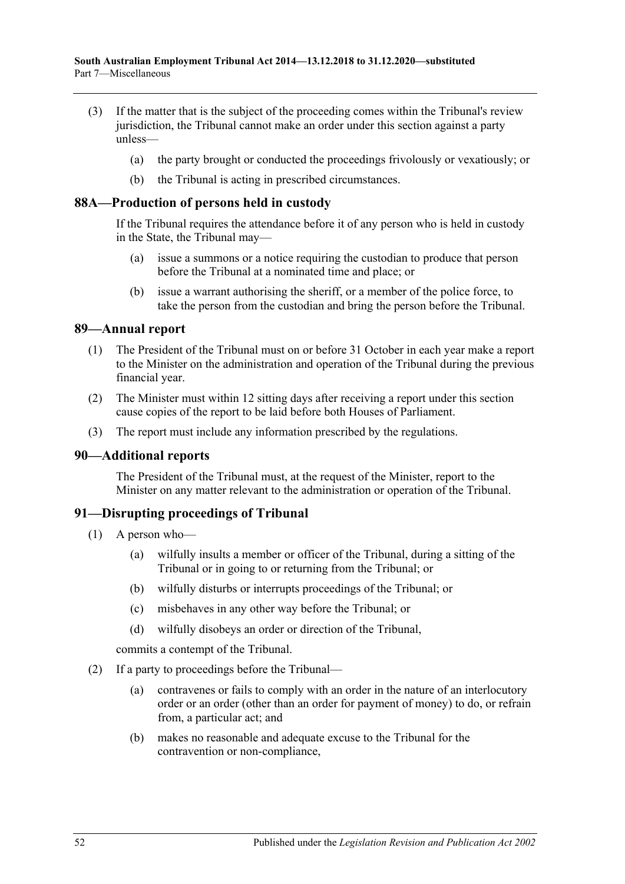- (3) If the matter that is the subject of the proceeding comes within the Tribunal's review jurisdiction, the Tribunal cannot make an order under this section against a party unless—
	- (a) the party brought or conducted the proceedings frivolously or vexatiously; or
	- (b) the Tribunal is acting in prescribed circumstances.

#### <span id="page-51-0"></span>**88A—Production of persons held in custody**

If the Tribunal requires the attendance before it of any person who is held in custody in the State, the Tribunal may—

- (a) issue a summons or a notice requiring the custodian to produce that person before the Tribunal at a nominated time and place; or
- (b) issue a warrant authorising the sheriff, or a member of the police force, to take the person from the custodian and bring the person before the Tribunal.

#### <span id="page-51-1"></span>**89—Annual report**

- (1) The President of the Tribunal must on or before 31 October in each year make a report to the Minister on the administration and operation of the Tribunal during the previous financial year.
- (2) The Minister must within 12 sitting days after receiving a report under this section cause copies of the report to be laid before both Houses of Parliament.
- (3) The report must include any information prescribed by the regulations.

## <span id="page-51-2"></span>**90—Additional reports**

The President of the Tribunal must, at the request of the Minister, report to the Minister on any matter relevant to the administration or operation of the Tribunal.

## <span id="page-51-3"></span>**91—Disrupting proceedings of Tribunal**

- (1) A person who—
	- (a) wilfully insults a member or officer of the Tribunal, during a sitting of the Tribunal or in going to or returning from the Tribunal; or
	- (b) wilfully disturbs or interrupts proceedings of the Tribunal; or
	- (c) misbehaves in any other way before the Tribunal; or
	- (d) wilfully disobeys an order or direction of the Tribunal,

commits a contempt of the Tribunal.

- <span id="page-51-4"></span>(2) If a party to proceedings before the Tribunal—
	- (a) contravenes or fails to comply with an order in the nature of an interlocutory order or an order (other than an order for payment of money) to do, or refrain from, a particular act; and
	- (b) makes no reasonable and adequate excuse to the Tribunal for the contravention or non-compliance,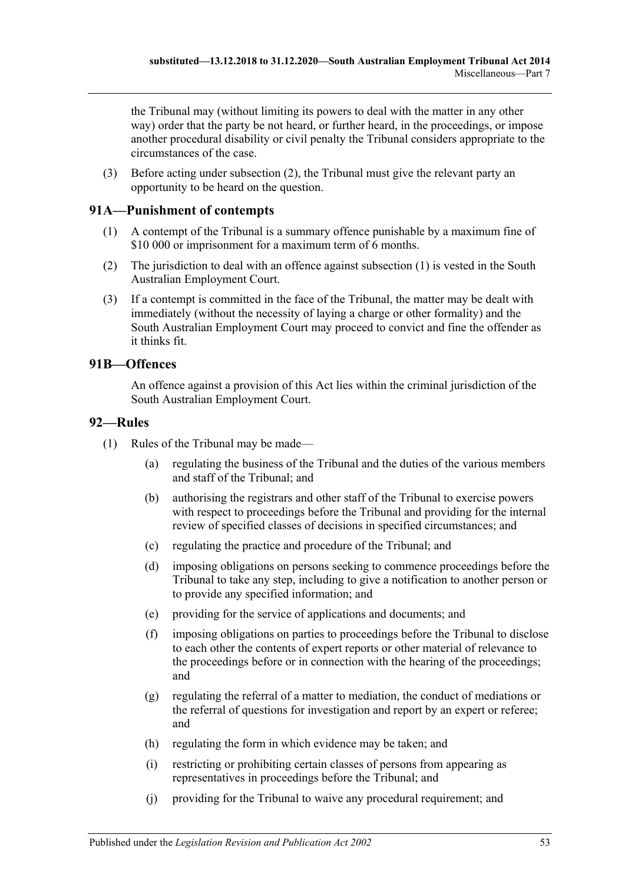the Tribunal may (without limiting its powers to deal with the matter in any other way) order that the party be not heard, or further heard, in the proceedings, or impose another procedural disability or civil penalty the Tribunal considers appropriate to the circumstances of the case.

(3) Before acting under [subsection](#page-51-4) (2), the Tribunal must give the relevant party an opportunity to be heard on the question.

# <span id="page-52-3"></span><span id="page-52-0"></span>**91A—Punishment of contempts**

- (1) A contempt of the Tribunal is a summary offence punishable by a maximum fine of \$10 000 or imprisonment for a maximum term of 6 months.
- (2) The jurisdiction to deal with an offence against [subsection](#page-52-3) (1) is vested in the South Australian Employment Court.
- (3) If a contempt is committed in the face of the Tribunal, the matter may be dealt with immediately (without the necessity of laying a charge or other formality) and the South Australian Employment Court may proceed to convict and fine the offender as it thinks fit.

# <span id="page-52-1"></span>**91B—Offences**

An offence against a provision of this Act lies within the criminal jurisdiction of the South Australian Employment Court.

#### <span id="page-52-2"></span>**92—Rules**

- (1) Rules of the Tribunal may be made—
	- (a) regulating the business of the Tribunal and the duties of the various members and staff of the Tribunal; and
	- (b) authorising the registrars and other staff of the Tribunal to exercise powers with respect to proceedings before the Tribunal and providing for the internal review of specified classes of decisions in specified circumstances; and
	- (c) regulating the practice and procedure of the Tribunal; and
	- (d) imposing obligations on persons seeking to commence proceedings before the Tribunal to take any step, including to give a notification to another person or to provide any specified information; and
	- (e) providing for the service of applications and documents; and
	- (f) imposing obligations on parties to proceedings before the Tribunal to disclose to each other the contents of expert reports or other material of relevance to the proceedings before or in connection with the hearing of the proceedings; and
	- (g) regulating the referral of a matter to mediation, the conduct of mediations or the referral of questions for investigation and report by an expert or referee; and
	- (h) regulating the form in which evidence may be taken; and
	- (i) restricting or prohibiting certain classes of persons from appearing as representatives in proceedings before the Tribunal; and
	- (j) providing for the Tribunal to waive any procedural requirement; and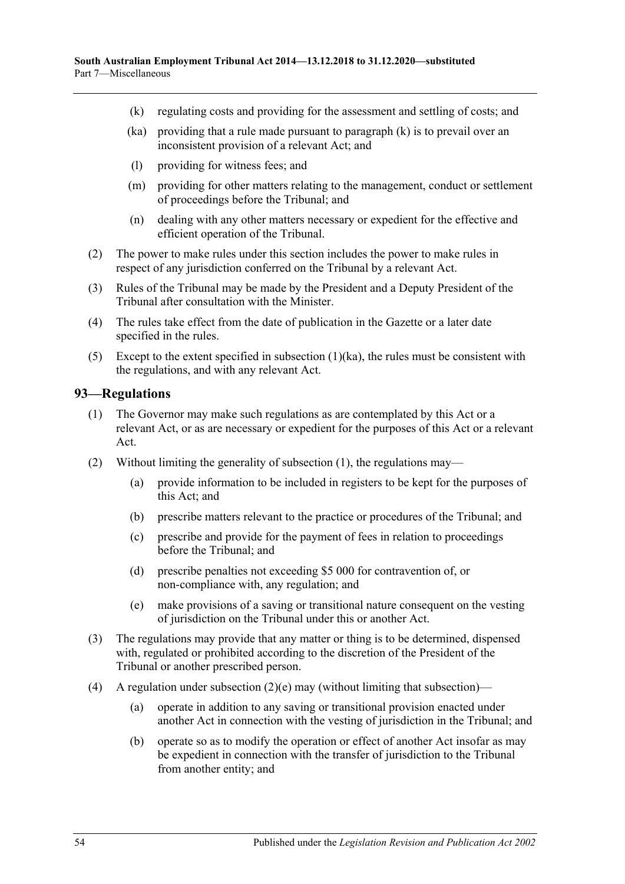- <span id="page-53-2"></span>(k) regulating costs and providing for the assessment and settling of costs; and
- <span id="page-53-1"></span>(ka) providing that a rule made pursuant to [paragraph](#page-53-2) (k) is to prevail over an inconsistent provision of a relevant Act; and
- (l) providing for witness fees; and
- (m) providing for other matters relating to the management, conduct or settlement of proceedings before the Tribunal; and
- (n) dealing with any other matters necessary or expedient for the effective and efficient operation of the Tribunal.
- (2) The power to make rules under this section includes the power to make rules in respect of any jurisdiction conferred on the Tribunal by a relevant Act.
- (3) Rules of the Tribunal may be made by the President and a Deputy President of the Tribunal after consultation with the Minister.
- (4) The rules take effect from the date of publication in the Gazette or a later date specified in the rules.
- (5) Except to the extent specified in [subsection](#page-53-1)  $(1)(ka)$ , the rules must be consistent with the regulations, and with any relevant Act.

#### <span id="page-53-3"></span><span id="page-53-0"></span>**93—Regulations**

- (1) The Governor may make such regulations as are contemplated by this Act or a relevant Act, or as are necessary or expedient for the purposes of this Act or a relevant Act.
- (2) Without limiting the generality of [subsection](#page-53-3) (1), the regulations may—
	- (a) provide information to be included in registers to be kept for the purposes of this Act; and
	- (b) prescribe matters relevant to the practice or procedures of the Tribunal; and
	- (c) prescribe and provide for the payment of fees in relation to proceedings before the Tribunal; and
	- (d) prescribe penalties not exceeding \$5 000 for contravention of, or non-compliance with, any regulation; and
	- (e) make provisions of a saving or transitional nature consequent on the vesting of jurisdiction on the Tribunal under this or another Act.
- <span id="page-53-4"></span>(3) The regulations may provide that any matter or thing is to be determined, dispensed with, regulated or prohibited according to the discretion of the President of the Tribunal or another prescribed person.
- (4) A regulation under [subsection](#page-53-4)  $(2)(e)$  may (without limiting that subsection)—
	- (a) operate in addition to any saving or transitional provision enacted under another Act in connection with the vesting of jurisdiction in the Tribunal; and
	- (b) operate so as to modify the operation or effect of another Act insofar as may be expedient in connection with the transfer of jurisdiction to the Tribunal from another entity; and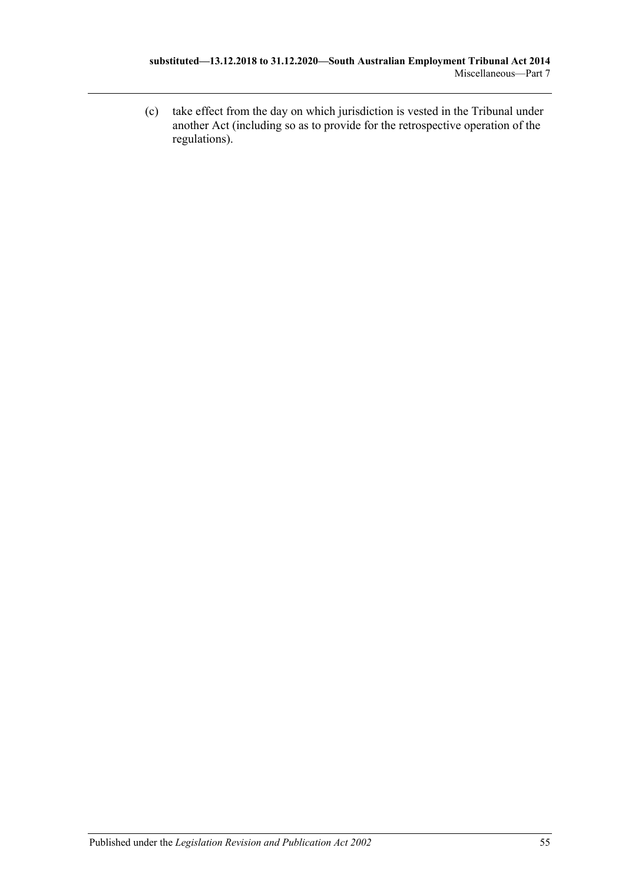(c) take effect from the day on which jurisdiction is vested in the Tribunal under another Act (including so as to provide for the retrospective operation of the regulations).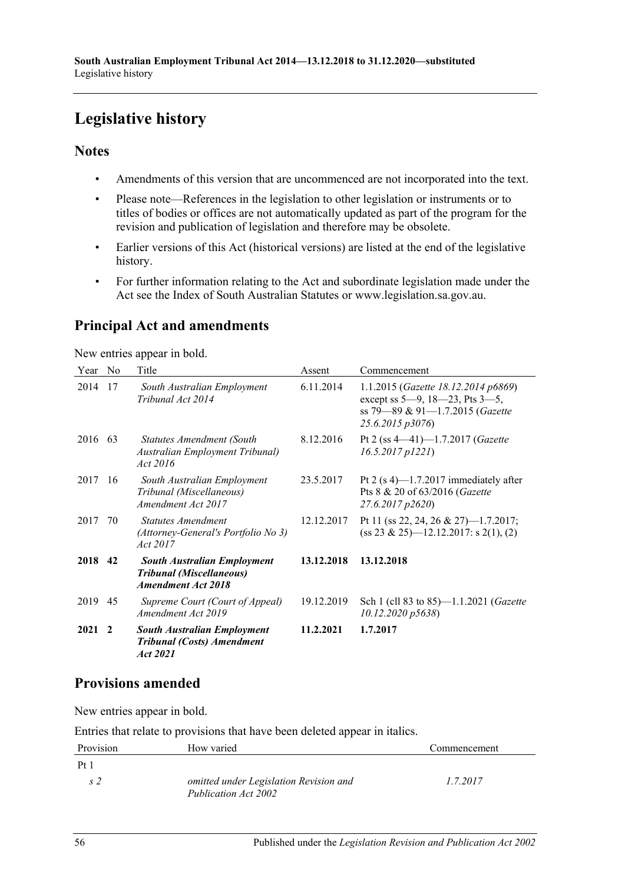# <span id="page-55-0"></span>**Legislative history**

# **Notes**

- Amendments of this version that are uncommenced are not incorporated into the text.
- Please note—References in the legislation to other legislation or instruments or to titles of bodies or offices are not automatically updated as part of the program for the revision and publication of legislation and therefore may be obsolete.
- Earlier versions of this Act (historical versions) are listed at the end of the legislative history.
- For further information relating to the Act and subordinate legislation made under the Act see the Index of South Australian Statutes or www.legislation.sa.gov.au.

# **Principal Act and amendments**

New entries appear in bold.

| Year    | N <sub>o</sub> | Title                                                                                              | Assent     | Commencement                                                                                                                          |
|---------|----------------|----------------------------------------------------------------------------------------------------|------------|---------------------------------------------------------------------------------------------------------------------------------------|
| 2014    | 17             | South Australian Employment<br>Tribunal Act 2014                                                   | 6.11.2014  | 1.1.2015 (Gazette 18.12.2014 p6869)<br>except ss $5-9$ , $18-23$ , Pts $3-5$ ,<br>ss 79-89 & 91-1.7.2015 (Gazette<br>25.6.2015 p3076) |
| 2016    | 63             | Statutes Amendment (South<br>Australian Employment Tribunal)<br>Act 2016                           | 8.12.2016  | Pt 2 (ss $4-41$ )-1.7.2017 (Gazette<br>$16.5.2017$ $p1221$ )                                                                          |
| 2017    | 16             | South Australian Employment<br>Tribunal (Miscellaneous)<br>Amendment Act 2017                      | 23.5.2017  | Pt 2 $(s 4)$ —1.7.2017 immediately after<br>Pts 8 & 20 of 63/2016 (Gazette<br>27.6.2017 p2620)                                        |
| 2017    | 70             | <i>Statutes Amendment</i><br>(Attorney-General's Portfolio No 3)<br><i>Act 2017</i>                | 12.12.2017 | Pt 11 (ss 22, 24, 26 & 27)-1.7.2017;<br>$(s\ s\ 23 \& 25)$ —12.12.2017: s 2(1), (2)                                                   |
| 2018    | 42             | <b>South Australian Employment</b><br><b>Tribunal (Miscellaneous)</b><br><b>Amendment Act 2018</b> | 13.12.2018 | 13.12.2018                                                                                                                            |
| 2019 45 |                | Supreme Court (Court of Appeal)<br>Amendment Act 2019                                              | 19.12.2019 | Sch 1 (cll 83 to 85)-1.1.2021 (Gazette<br>10.12.2020 p5638                                                                            |
| 2021    | $\mathbf{2}$   | <b>South Australian Employment</b><br><b>Tribunal (Costs) Amendment</b><br>Act 2021                | 11.2.2021  | 1.7.2017                                                                                                                              |

# **Provisions amended**

New entries appear in bold.

Entries that relate to provisions that have been deleted appear in italics.

| Provision       | How varied                                                     | Commencement |
|-----------------|----------------------------------------------------------------|--------------|
| Pt <sub>1</sub> |                                                                |              |
| s 2             | omitted under Legislation Revision and<br>Publication Act 2002 | 1.7.2017     |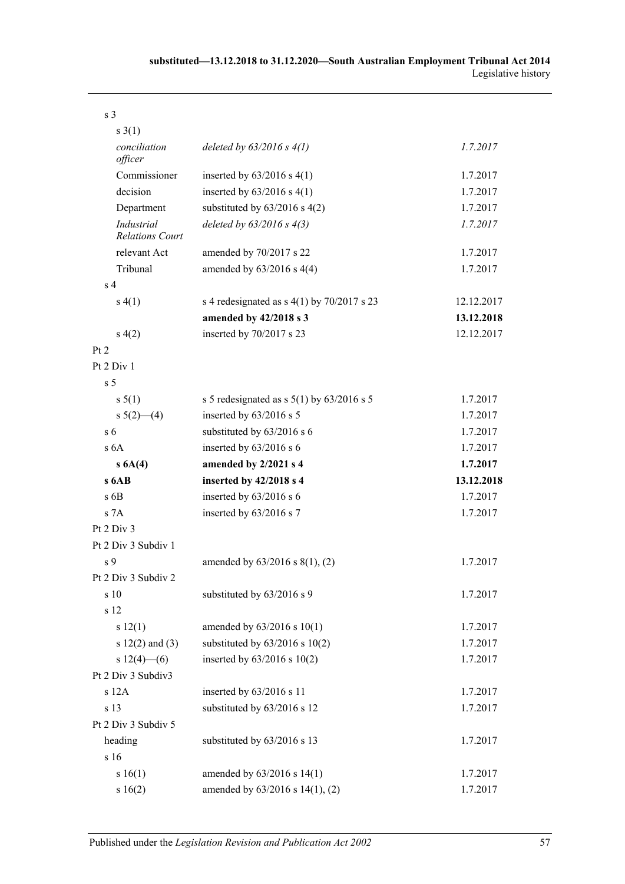| s <sub>3</sub>                       |                                               |            |
|--------------------------------------|-----------------------------------------------|------------|
| $s \; 3(1)$                          |                                               |            |
| conciliation<br>officer              | deleted by $63/2016$ s $4(1)$                 | 1.7.2017   |
| Commissioner                         | inserted by $63/2016$ s 4(1)                  | 1.7.2017   |
| decision                             | inserted by $63/2016$ s 4(1)                  | 1.7.2017   |
| Department                           | substituted by $63/2016$ s $4(2)$             | 1.7.2017   |
| Industrial<br><b>Relations Court</b> | deleted by $63/2016$ s $4(3)$                 | 1.7.2017   |
| relevant Act                         | amended by 70/2017 s 22                       | 1.7.2017   |
| Tribunal                             | amended by $63/2016$ s 4(4)                   | 1.7.2017   |
| s <sub>4</sub>                       |                                               |            |
| s(4(1))                              | s 4 redesignated as $s$ 4(1) by 70/2017 s 23  | 12.12.2017 |
|                                      | amended by 42/2018 s 3                        | 13.12.2018 |
| s(4(2)                               | inserted by 70/2017 s 23                      | 12.12.2017 |
| Pt 2                                 |                                               |            |
| Pt 2 Div 1                           |                                               |            |
| s <sub>5</sub>                       |                                               |            |
| s 5(1)                               | s 5 redesignated as s $5(1)$ by $63/2016$ s 5 | 1.7.2017   |
| $s\ 5(2)$ (4)                        | inserted by 63/2016 s 5                       | 1.7.2017   |
| s <sub>6</sub>                       | substituted by 63/2016 s 6                    | 1.7.2017   |
| s <sub>6A</sub>                      | inserted by 63/2016 s 6                       | 1.7.2017   |
| s 6A(4)                              | amended by 2/2021 s 4                         | 1.7.2017   |
| $s$ 6AB                              | inserted by 42/2018 s 4                       | 13.12.2018 |
| s 6B                                 | inserted by 63/2016 s 6                       | 1.7.2017   |
| s 7A                                 | inserted by 63/2016 s 7                       | 1.7.2017   |
| Pt 2 Div 3                           |                                               |            |
| Pt 2 Div 3 Subdiv 1                  |                                               |            |
| s 9                                  | amended by $63/2016$ s $8(1)$ , (2)           | 1.7.2017   |
| Pt 2 Div 3 Subdiv 2                  |                                               |            |
| s 10                                 | substituted by 63/2016 s 9                    | 1.7.2017   |
| s 12                                 |                                               |            |
| s 12(1)                              | amended by 63/2016 s 10(1)                    | 1.7.2017   |
| $s 12(2)$ and (3)                    | substituted by $63/2016$ s $10(2)$            | 1.7.2017   |
| s $12(4)$ - (6)                      | inserted by $63/2016$ s $10(2)$               | 1.7.2017   |
| Pt 2 Div 3 Subdiv3                   |                                               |            |
| s 12A                                | inserted by 63/2016 s 11                      | 1.7.2017   |
| s 13                                 | substituted by 63/2016 s 12                   | 1.7.2017   |
| Pt 2 Div 3 Subdiv 5                  |                                               |            |
| heading                              | substituted by 63/2016 s 13                   | 1.7.2017   |
| s 16                                 |                                               |            |
| s 16(1)                              | amended by 63/2016 s 14(1)                    | 1.7.2017   |
| s 16(2)                              | amended by 63/2016 s 14(1), (2)               | 1.7.2017   |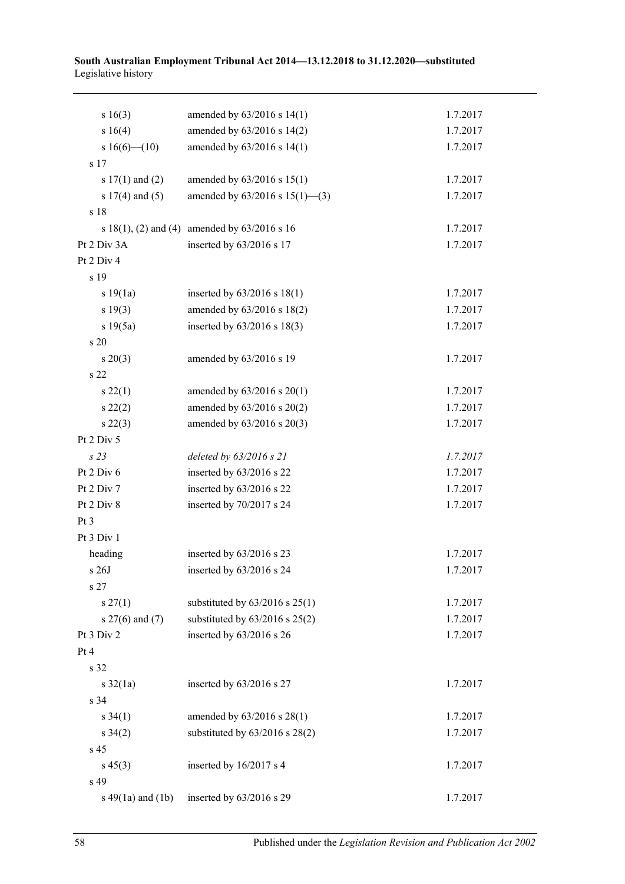#### **South Australian Employment Tribunal Act 2014—13.12.2018 to 31.12.2020—substituted** Legislative history

| s 16(3)               | amended by 63/2016 s 14(1)                        | 1.7.2017 |
|-----------------------|---------------------------------------------------|----------|
| s 16(4)               | amended by $63/2016$ s $14(2)$                    | 1.7.2017 |
| s $16(6)$ (10)        | amended by 63/2016 s 14(1)                        | 1.7.2017 |
| s 17                  |                                                   |          |
| s $17(1)$ and $(2)$   | amended by $63/2016$ s $15(1)$                    | 1.7.2017 |
| s $17(4)$ and $(5)$   | amended by $63/2016$ s $15(1)$ —(3)               | 1.7.2017 |
| s 18                  |                                                   |          |
|                       | s $18(1)$ , (2) and (4) amended by $63/2016$ s 16 | 1.7.2017 |
| Pt 2 Div 3A           | inserted by 63/2016 s 17                          | 1.7.2017 |
| Pt 2 Div 4            |                                                   |          |
| s 19                  |                                                   |          |
| s 19(1a)              | inserted by $63/2016$ s $18(1)$                   | 1.7.2017 |
| s 19(3)               | amended by 63/2016 s 18(2)                        | 1.7.2017 |
| s 19(5a)              | inserted by 63/2016 s 18(3)                       | 1.7.2017 |
| s 20                  |                                                   |          |
| $s\ 20(3)$            | amended by 63/2016 s 19                           | 1.7.2017 |
| s 22                  |                                                   |          |
| $s\,22(1)$            | amended by $63/2016$ s $20(1)$                    | 1.7.2017 |
| s 22(2)               | amended by 63/2016 s 20(2)                        | 1.7.2017 |
| $s\,22(3)$            | amended by $63/2016$ s $20(3)$                    | 1.7.2017 |
| Pt 2 Div 5            |                                                   |          |
| s23                   | deleted by 63/2016 s 21                           | 1.7.2017 |
| Pt 2 Div 6            | inserted by 63/2016 s 22                          | 1.7.2017 |
| Pt 2 Div 7            | inserted by 63/2016 s 22                          | 1.7.2017 |
| Pt 2 Div 8            | inserted by 70/2017 s 24                          | 1.7.2017 |
| Pt 3                  |                                                   |          |
| Pt 3 Div 1            |                                                   |          |
| heading               | inserted by 63/2016 s 23                          | 1.7.2017 |
| s 26J                 | inserted by 63/2016 s 24                          | 1.7.2017 |
| s 27                  |                                                   |          |
| s 27(1)               | substituted by $63/2016$ s $25(1)$                | 1.7.2017 |
| s $27(6)$ and $(7)$   | substituted by $63/2016$ s $25(2)$                | 1.7.2017 |
| Pt 3 Div 2            | inserted by 63/2016 s 26                          | 1.7.2017 |
| Pt 4                  |                                                   |          |
| s 32                  |                                                   |          |
| $s \frac{32}{1a}$     | inserted by 63/2016 s 27                          | 1.7.2017 |
| s 34                  |                                                   |          |
| $s \, 34(1)$          | amended by 63/2016 s 28(1)                        | 1.7.2017 |
| $s \; 34(2)$          | substituted by $63/2016$ s $28(2)$                | 1.7.2017 |
| s 45                  |                                                   |          |
| $s\,45(3)$            | inserted by 16/2017 s 4                           | 1.7.2017 |
| s 49                  |                                                   |          |
| s $49(1a)$ and $(1b)$ | inserted by 63/2016 s 29                          | 1.7.2017 |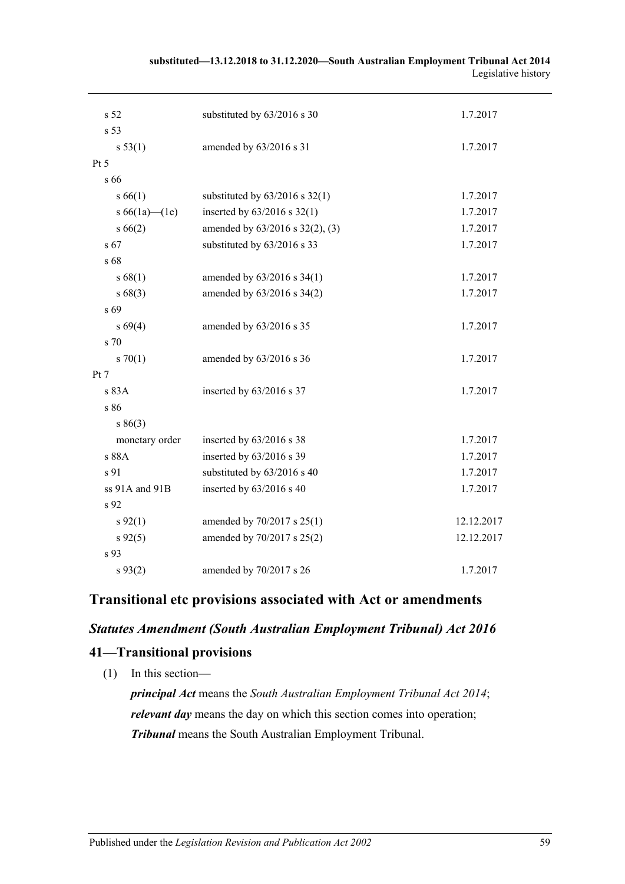| s 52            | substituted by 63/2016 s 30        | 1.7.2017   |
|-----------------|------------------------------------|------------|
| s 53            |                                    |            |
| s 53(1)         | amended by 63/2016 s 31            | 1.7.2017   |
| Pt 5            |                                    |            |
| s 66            |                                    |            |
| s 66(1)         | substituted by $63/2016$ s $32(1)$ | 1.7.2017   |
| s $66(1a)$ (1e) | inserted by 63/2016 s 32(1)        | 1.7.2017   |
| s66(2)          | amended by 63/2016 s 32(2), (3)    | 1.7.2017   |
| s 67            | substituted by 63/2016 s 33        | 1.7.2017   |
| s 68            |                                    |            |
| s 68(1)         | amended by 63/2016 s 34(1)         | 1.7.2017   |
| s68(3)          | amended by 63/2016 s 34(2)         | 1.7.2017   |
| s 69            |                                    |            |
| $s\,69(4)$      | amended by 63/2016 s 35            | 1.7.2017   |
| s 70            |                                    |            |
| $s \, 70(1)$    | amended by 63/2016 s 36            | 1.7.2017   |
| Pt 7            |                                    |            |
| s 83A           | inserted by 63/2016 s 37           | 1.7.2017   |
| s 86            |                                    |            |
| s 86(3)         |                                    |            |
| monetary order  | inserted by 63/2016 s 38           | 1.7.2017   |
| s 88A           | inserted by 63/2016 s 39           | 1.7.2017   |
| s 91            | substituted by 63/2016 s 40        | 1.7.2017   |
| ss 91A and 91B  | inserted by 63/2016 s 40           | 1.7.2017   |
| s 92            |                                    |            |
| $s\,92(1)$      | amended by 70/2017 s 25(1)         | 12.12.2017 |
| $s\,92(5)$      | amended by 70/2017 s 25(2)         | 12.12.2017 |
| s 93            |                                    |            |
| $s\,93(2)$      | amended by 70/2017 s 26            | 1.7.2017   |

#### **substituted—13.12.2018 to 31.12.2020—South Australian Employment Tribunal Act 2014** Legislative history

# **Transitional etc provisions associated with Act or amendments**

# *Statutes Amendment (South Australian Employment Tribunal) Act 2016*

## **41—Transitional provisions**

(1) In this section—

*principal Act* means the *[South Australian Employment Tribunal Act](http://www.legislation.sa.gov.au/index.aspx?action=legref&type=act&legtitle=South%20Australian%20Employment%20Tribunal%20Act%202014) 2014*; *relevant day* means the day on which this section comes into operation; *Tribunal* means the South Australian Employment Tribunal.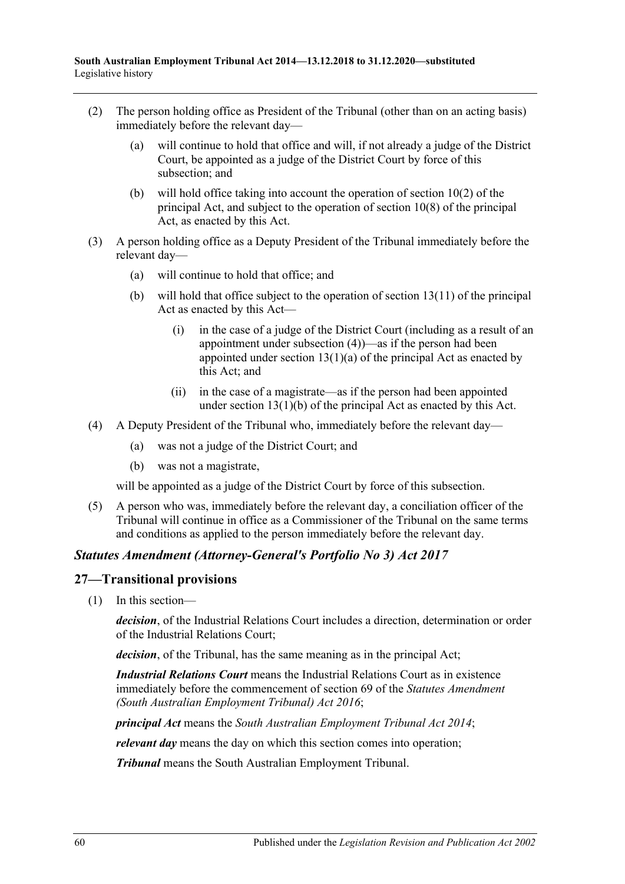- (2) The person holding office as President of the Tribunal (other than on an acting basis) immediately before the relevant day—
	- (a) will continue to hold that office and will, if not already a judge of the District Court, be appointed as a judge of the District Court by force of this subsection; and
	- (b) will hold office taking into account the operation of section 10(2) of the principal Act, and subject to the operation of section 10(8) of the principal Act, as enacted by this Act.
- (3) A person holding office as a Deputy President of the Tribunal immediately before the relevant day—
	- (a) will continue to hold that office; and
	- (b) will hold that office subject to the operation of section  $13(11)$  of the principal Act as enacted by this Act—
		- (i) in the case of a judge of the District Court (including as a result of an appointment under [subsection](#page-59-0) (4))—as if the person had been appointed under section  $13(1)(a)$  of the principal Act as enacted by this Act; and
		- (ii) in the case of a magistrate—as if the person had been appointed under section 13(1)(b) of the principal Act as enacted by this Act.
- <span id="page-59-0"></span>(4) A Deputy President of the Tribunal who, immediately before the relevant day—
	- (a) was not a judge of the District Court; and
	- (b) was not a magistrate,

will be appointed as a judge of the District Court by force of this subsection.

(5) A person who was, immediately before the relevant day, a conciliation officer of the Tribunal will continue in office as a Commissioner of the Tribunal on the same terms and conditions as applied to the person immediately before the relevant day.

## *Statutes Amendment (Attorney-General's Portfolio No 3) Act 2017*

#### **27—Transitional provisions**

(1) In this section—

*decision*, of the Industrial Relations Court includes a direction, determination or order of the Industrial Relations Court;

*decision*, of the Tribunal, has the same meaning as in the principal Act;

*Industrial Relations Court* means the Industrial Relations Court as in existence immediately before the commencement of section 69 of the *[Statutes Amendment](http://www.legislation.sa.gov.au/index.aspx?action=legref&type=act&legtitle=Statutes%20Amendment%20(South%20Australian%20Employment%20Tribunal)%20Act%202016)  [\(South Australian Employment Tribunal\) Act](http://www.legislation.sa.gov.au/index.aspx?action=legref&type=act&legtitle=Statutes%20Amendment%20(South%20Australian%20Employment%20Tribunal)%20Act%202016) 2016*;

*principal Act* means the *[South Australian Employment Tribunal Act](http://www.legislation.sa.gov.au/index.aspx?action=legref&type=act&legtitle=South%20Australian%20Employment%20Tribunal%20Act%202014) 2014*;

*relevant day* means the day on which this section comes into operation;

*Tribunal* means the South Australian Employment Tribunal.